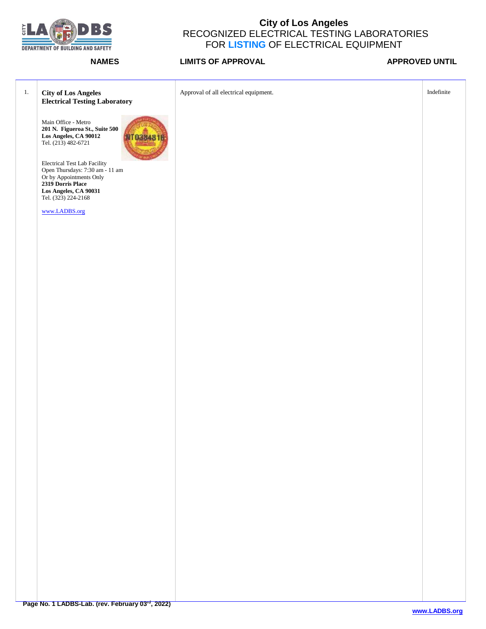

| $1.$ | <b>City of Los Angeles</b><br><b>Electrical Testing Laboratory</b>                                                                                                     | Approval of all electrical equipment. | Indefinite |
|------|------------------------------------------------------------------------------------------------------------------------------------------------------------------------|---------------------------------------|------------|
|      | Main Office - Metro<br>201 N. Figueroa St., Suite 500<br>Los Angeles, CA 90012<br>Tel. (213) 482-6721<br><b>MT038481F</b>                                              |                                       |            |
|      | Electrical Test Lab Facility<br>Open Thursdays: 7:30 am - 11 am<br>Or by Appointments Only<br><b>2319 Dorris Place</b><br>Los Angeles, CA 90031<br>Tel. (323) 224-2168 |                                       |            |
|      | www.LADBS.org                                                                                                                                                          |                                       |            |
|      |                                                                                                                                                                        |                                       |            |
|      |                                                                                                                                                                        |                                       |            |
|      |                                                                                                                                                                        |                                       |            |
|      |                                                                                                                                                                        |                                       |            |
|      |                                                                                                                                                                        |                                       |            |
|      |                                                                                                                                                                        |                                       |            |
|      |                                                                                                                                                                        |                                       |            |
|      |                                                                                                                                                                        |                                       |            |
|      |                                                                                                                                                                        |                                       |            |
|      |                                                                                                                                                                        |                                       |            |
|      |                                                                                                                                                                        |                                       |            |
|      |                                                                                                                                                                        |                                       |            |
|      |                                                                                                                                                                        |                                       |            |
|      |                                                                                                                                                                        |                                       |            |
|      |                                                                                                                                                                        |                                       |            |
|      |                                                                                                                                                                        |                                       |            |
|      |                                                                                                                                                                        |                                       |            |
|      |                                                                                                                                                                        |                                       |            |
|      |                                                                                                                                                                        |                                       |            |
|      |                                                                                                                                                                        |                                       |            |
|      |                                                                                                                                                                        |                                       |            |
|      |                                                                                                                                                                        |                                       |            |
|      |                                                                                                                                                                        |                                       |            |
|      |                                                                                                                                                                        |                                       |            |
|      |                                                                                                                                                                        |                                       |            |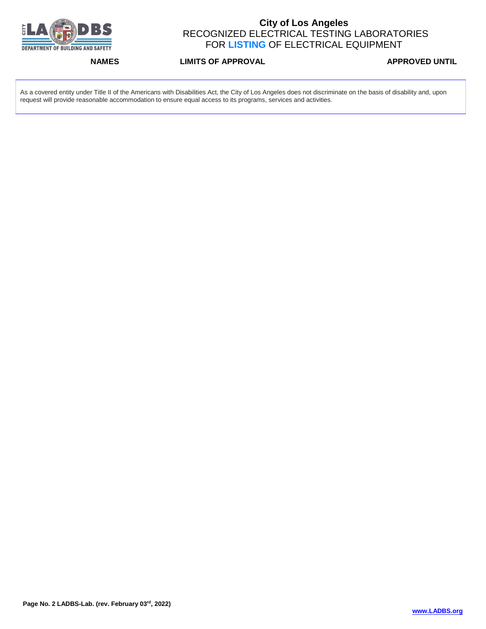

**NAMES LIMITS OF APPROVAL APPROVED UNTIL** 

As a covered entity under Title II of the Americans with Disabilities Act, the City of Los Angeles does not discriminate on the basis of disability and, upon request will provide reasonable accommodation to ensure equal access to its programs, services and activities.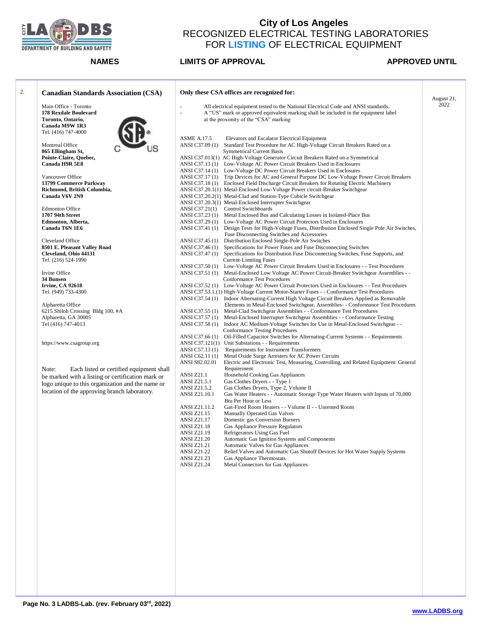

### **NAMES LIMITS OF APPROVAL APPROVED UNTIL**

August 21, 2022

### 2. **Canadian Standards Association (CSA)** Main Office - Toronto **178 Rexdale Boulevard Toronto, Ontario, Canada M9W 1R3** Tel. (416) 747-4000 Montreal Office **865 Ellingham St, Pointe-Claire, Quebec, Canada H9R 5E8** Vancouver Office **13799 Commerce Parkway Richmond, British Columbia, Canada V6V 2N9** Edmonton Office **1707 94th Street Edmonton, Alberta, Canada T6N 1E6** Cleveland Office **8501 E. Pleasant Valley Road Cleveland, Ohio 44131** Tel. (216) 524-1990 Irvine Office **34 Bunsen Irvine, CA 92618** Tel. (949) 733-4300 Alpharetta Office 6215 Shiloh Crossing Bldg 100, #A Alpharetta, GA 30005 Tel (416) 747-4013 https://www.csagroup.org Note: Each listed or certified equipment shall be marked with a listing or certification mark or logo unique to this organization and the name or location of the approving branch laboratory. **Only these CSA offices are recognized for:** All electrical equipment tested to the National Electrical Code and ANSI standards. A "US" mark or approved equivalent marking shall be included in the equipment label at the proximity of the "CSA" marking ASME A.17.5 Elevators and Escalator Electrical Equipment ANSI C37.09 (1) Standard Test Procedure for AC High-Voltage Circuit Breakers Rated on a Symmetrical Current Basis ANSI C37.013(1) AC High-Voltage Generator Circuit Breakers Rated on a Symmetrical ANSI C37.13 (1) Low-Voltage AC Power Circuit Breakers Used in Enclosures ANSI C37.14 (1) Low-Voltage DC Power Circuit Breakers Used in Enclosures ANSI C37.17 (1) Trip Devices for AC and General Purpose DC Low-Voltage Power Circuit Breakers ANSI C37.18 (1) Enclosed Field Discharge Circuit Breakers for Rotating Electric Machinery ANSI C37.20.1(1) Metal-Enclosed Low-Voltage Power circuit-Breaker Switchgear ANSI C37.20.2(1) Metal-Clad and Station-Type Cubicle Switchgear ANSI C37.20.3(1) Metal-Enclosed Interrupter Switchgear ANSI C37.21(1) Control Switchboards ANSI C37.23 (1) Metal Enclosed Bus and Calculating Losses in Isolated-Place Bus ANSI C37.29 (1) Low-Voltage AC Power Circuit Protectors Used in Enclosures ANSI C37.41 (1) Design Tests for High-Voltage Fuses, Distribution Enclosed Single Pole Air Switches, Fuse Disconnecting Switches and Accessories ANSI C37.45 (1) Distribution Enclosed Single-Pole Air Switches<br>ANSI C37.46 (1) Specifications for Power Fuses and Fuse Discon Specifications for Power Fuses and Fuse Disconnecting Switches ANSI C37.47 (1) Specifications for Distribution Fuse Disconnecting Switches, Fuse Supports, and Current-Limiting Fuses ANSI C37.50 (1) Low-Voltage AC Power Circuit Breakers Used in Enclosures - - Test Procedures ANSI C37.51 (1) Metal-Enclosed Low Voltage AC Power Circuit-Breaker Switchgear Assemblies - - Conformance Test Procedures ANSI C37.52 (1) Low-Voltage AC Power Circuit Protectors Used in Enclosures - - Test Procedures ANSI C37.53.1.(1) High-Voltage Current Motor-Starter Fuses - - Conformance Test Procedures ANSI C37.54 (1) Indoor Alternating-Current High Voltage Circuit Breakers Applied as Removable Elements in Metal-Enclosed Switchgear, Assemblies- - Conformance Test Procedures ANSI C37.55 (1) Metal-Clad Switchgear Assemblies - - Conformance Test Procedures Metal-Enclosed Interrupter Switchgear Assemblies - - Conformance Testing ANSI C37.58 (1) Indoor AC Medium-Voltage Switches for Use in Metal-Enclosed Switchgear - - Conformance Testing Procedures<br>ANSI C37.66 (1) Oil-Filled Capacitor Switches for Oil-Filled Capacitor Switches for Alternating-Current Systems - - Requirements ANSI C37.121(1) Unit Substations - - Requirements<br>ANSI C57.13 (1) Requirements for Instrument Tran Requirements for Instrument Transformers ANSI C62.11 (1) Metal Oxide Surge Arresters for AC Power Circuits<br>ANSI S82.02.01 Electric and Electronic Test. Measuring. Controlling Electric and Electronic Test, Measuring, Controlling, and Related Equipment: General Requirement<br>ANSI 721 1 Household C ANSI Z21.1 Household Cooking Gas Appliances<br>ANSI Z21.5.1 Gas Clothes Dryers - - Type 1 ANSI Z21.5.1 Gas Clothes Dryers - - Type 1<br>ANSI Z21.5.2 Gas Clothes Dryers, Type 2, V ANSI Z21.5.2 Gas Clothes Dryers, Type 2, Volume II<br>ANSI Z21.10.1 Gas Water Heaters - - Automatic Storag Gas Water Heaters - - Automatic Storage Type Water Heaters with Inputs of 70,000 Btu Per Hour or Less<br>ANSI Z21.11.2 Gas-Fired Room Heat ANSI Z21.11.2 Gas-Fired Room Heaters - - Volume II - - Unrented Room ANSI Z21.15 Manually Operated Gas Valves<br>ANSI Z21.17 Domestic gas Conversion Burne Domestic gas Conversion Burners ANSI Z21.18 Gas Appliance Pressure Regulators<br>ANSI Z21.19 Refrigerators Using Gas Fuel ANSI Z21.19 Refrigerators Using Gas Fuel<br>ANSI Z21.20 Automatic Gas Ignition System ANSI Z21.20 Automatic Gas Ignition Systems and Components<br>ANSI Z21.21 Automatic Valves for Gas Appliances Automatic Valves for Gas Appliances ANSI Z21.22 Relief Valves and Automatic Gas Shutoff Devices for Hot Water Supply Systems<br>ANSI 721.23 Gas Appliance Thermostats Gas Appliance Thermostats ANSI Z21.24 Metal Connectors for Gas Appliances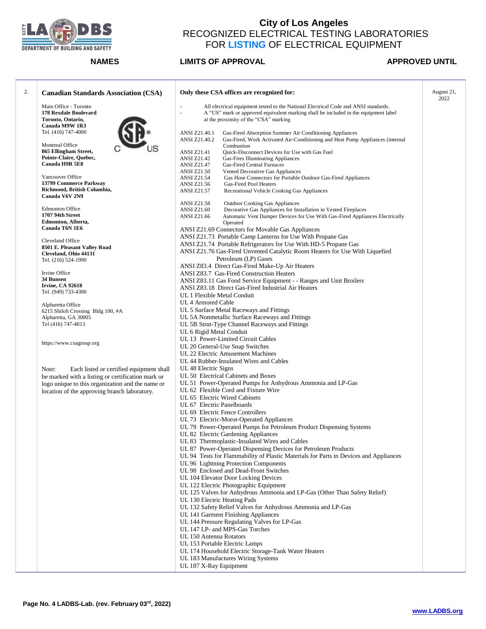

| 2. | <b>Canadian Standards Association (CSA)</b>           | Only these CSA offices are recognized for:                                                                                                           | August 21,<br>2022 |
|----|-------------------------------------------------------|------------------------------------------------------------------------------------------------------------------------------------------------------|--------------------|
|    | Main Office - Toronto                                 | All electrical equipment tested to the National Electrical Code and ANSI standards.<br>ä,                                                            |                    |
|    | 178 Rexdale Boulevard                                 | L.<br>A "US" mark or approved equivalent marking shall be included in the equipment label                                                            |                    |
|    | Toronto, Ontario,                                     | at the proximity of the "CSA" marking                                                                                                                |                    |
|    | Canada M9W 1R3                                        |                                                                                                                                                      |                    |
|    | Tel. (416) 747-4000                                   | ANSI Z21.40.1<br>Gas-Fired Absorption Summer Air Conditioning Appliances                                                                             |                    |
|    |                                                       | ANSI Z21.40.2<br>Gas-Fired, Work Activated Air-Conditioning and Heat Pump Appliances (internal                                                       |                    |
|    | Montreal Office<br>865 Ellingham Street,              | Combustion<br><b>ANSI Z21.41</b><br>Quick-Disconnect Devices for Use with Gas Fuel                                                                   |                    |
|    | Pointe-Claire, Quebec,                                | <b>ANSI Z21.42</b><br><b>Gas-Fires Illuminating Appliances</b>                                                                                       |                    |
|    | Canada H9R 5E8                                        | <b>ANSI Z21.47</b><br><b>Gas-Fired Central Furnaces</b>                                                                                              |                    |
|    |                                                       | Vented Decorative Gas Appliances<br><b>ANSI Z21.50</b>                                                                                               |                    |
|    | Vancouver Office                                      | Gas Hose Connectors for Portable Outdoor Gas-Fired Appliances<br><b>ANSI Z21.54</b>                                                                  |                    |
|    | 13799 Commerce Parkway                                | Gas-Fired Pool Heaters<br>ANSI Z21.56                                                                                                                |                    |
|    | Richmond, British Columbia,                           | ANSI Z21.57<br>Recreational Vehicle Cooking Gas Appliances                                                                                           |                    |
|    | Canada V6V 2N9                                        |                                                                                                                                                      |                    |
|    | <b>Edmonton Office</b>                                | <b>ANSI Z21.58</b><br><b>Outdoor Cooking Gas Appliances</b><br><b>ANSI Z21.60</b><br>Decorative Gas Appliances for Installation in Vented Fireplaces |                    |
|    | 1707 94th Street                                      | <b>ANSI Z21.66</b><br>Automatic Vent Damper Devices for Use With Gas-Fired Appliances Electrically                                                   |                    |
|    | Edmonton, Alberta,                                    | Operated                                                                                                                                             |                    |
|    | Canada T6N 1E6                                        | ANSI Z21.69 Connectors for Movable Gas Appliances                                                                                                    |                    |
|    |                                                       | ANSI Z21.73 Portable Camp Lanterns for Use With Propane Gas                                                                                          |                    |
|    | Cleveland Office                                      | ANSI Z21.74 Portable Refrigerators for Use With HD-5 Propane Gas                                                                                     |                    |
|    | 8501 E. Pleasant Valley Road<br>Cleveland, Ohio 44131 | ANSI Z21.76 Gas-Fired Unvented Catalytic Room Heaters for Use With Liquefied                                                                         |                    |
|    | Tel. (216) 524-1990                                   | Petroleum (LP) Gases                                                                                                                                 |                    |
|    |                                                       | ANSI Z83.4 Direct Gas-Fired Make-Up Air Heaters                                                                                                      |                    |
|    | Irvine Office                                         | ANSI Z83.7 Gas-Fired Construction Heaters                                                                                                            |                    |
|    | 34 Bunsen                                             | ANSI Z83.11 Gas Food Service Equipment - - Ranges and Unit Broilers                                                                                  |                    |
|    | <b>Irvine, CA 92618</b>                               | ANSI Z83.18 Direct Gas-Fired Industrial Air Heaters                                                                                                  |                    |
|    | Tel. (949) 733-4300                                   | UL 1 Flexible Metal Conduit                                                                                                                          |                    |
|    | Alpharetta Office                                     | UL 4 Armored Cable                                                                                                                                   |                    |
|    | 6215 Shiloh Crossing Bldg 100, #A                     | UL 5 Surface Metal Raceways and Fittings                                                                                                             |                    |
|    | Alpharetta, GA 30005                                  | UL 5A Nonmetallic Surface Raceways and Fittings                                                                                                      |                    |
|    | Tel (416) 747-4013                                    | UL 5B Strut-Type Channel Raceways and Fittings                                                                                                       |                    |
|    |                                                       | UL 6 Rigid Metal Conduit                                                                                                                             |                    |
|    |                                                       | UL 13 Power-Limited Circuit Cables                                                                                                                   |                    |
|    | https://www.csagroup.org                              | UL 20 General-Use Snap Switches                                                                                                                      |                    |
|    |                                                       | UL 22 Electric Amusement Machines                                                                                                                    |                    |
|    |                                                       | UL 44 Rubber-Insulated Wires and Cables                                                                                                              |                    |
|    | Note:<br>Each listed or certified equipment shall     | UL 48 Electric Signs                                                                                                                                 |                    |
|    | be marked with a listing or certification mark or     | UL 50 Electrical Cabinets and Boxes                                                                                                                  |                    |
|    | logo unique to this organization and the name or      | UL 51 Power-Operated Pumps for Anhydrous Ammonia and LP-Gas                                                                                          |                    |
|    | location of the approving branch laboratory.          | UL 62 Flexible Cord and Fixture Wire                                                                                                                 |                    |
|    |                                                       | UL 65 Electric Wired Cabinets                                                                                                                        |                    |
|    |                                                       | UL 67 Electric Panelboards                                                                                                                           |                    |
|    |                                                       | UL 69 Electric Fence Controllers                                                                                                                     |                    |
|    |                                                       | UL 73 Electric-Morot-Operated Appliances                                                                                                             |                    |
|    |                                                       | UL 79 Power-Operated Pumps for Petroleum Product Dispensing Systems                                                                                  |                    |
|    |                                                       | UL 82 Electric Gardening Appliances                                                                                                                  |                    |
|    |                                                       | UL 83 Thermoplastic-Insulated Wires and Cables                                                                                                       |                    |
|    |                                                       | UL 87 Power-Operated Dispensing Devices for Petroleum Products                                                                                       |                    |
|    |                                                       | UL 94 Tests for Flammability of Plastic Materials for Parts in Devices and Appliances                                                                |                    |
|    |                                                       | UL 96 Lightning Protection Components                                                                                                                |                    |
|    |                                                       | UL 98 Enclosed and Dead-Front Switches                                                                                                               |                    |
|    |                                                       | UL 104 Elevator Door Locking Devices                                                                                                                 |                    |
|    |                                                       | UL 122 Electric Photographic Equipment                                                                                                               |                    |
|    |                                                       | UL 125 Valves for Anhydrous Ammonia and LP-Gas (Other Than Safety Relief)                                                                            |                    |
|    |                                                       | UL 130 Electric Heating Pads<br>UL 132 Safety Relief Valves for Anhydrous Ammonia and LP-Gas                                                         |                    |
|    |                                                       |                                                                                                                                                      |                    |
|    |                                                       | UL 141 Garment Finishing Appliances<br>UL 144 Pressure Regulating Valves for LP-Gas                                                                  |                    |
|    |                                                       | UL 147 LP- and MPS-Gas Torches                                                                                                                       |                    |
|    |                                                       | UL 150 Antenna Rotators                                                                                                                              |                    |
|    |                                                       | UL 153 Portable Electric Lamps                                                                                                                       |                    |
|    |                                                       | UL 174 Household Electric Storage-Tank Water Heaters                                                                                                 |                    |
|    |                                                       | UL 183 Manufactures Wiring Systems                                                                                                                   |                    |
|    |                                                       | UL 187 X-Ray Equipment                                                                                                                               |                    |
|    |                                                       |                                                                                                                                                      |                    |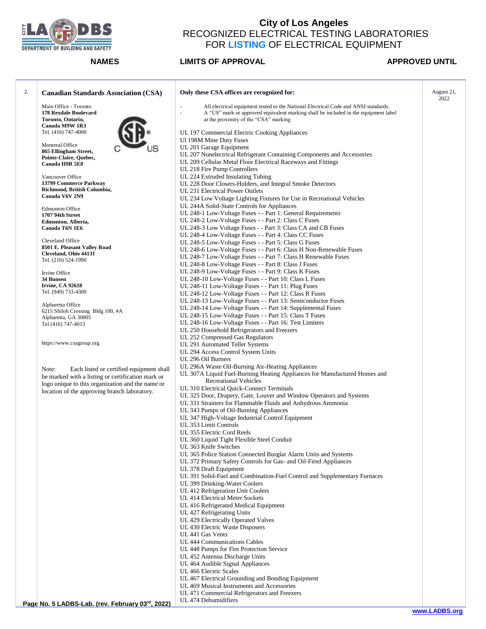

| 2. | <b>Canadian Standards Association (CSA)</b>       | Only these CSA offices are recognized for:                                                                                    | August 21,<br>2022 |
|----|---------------------------------------------------|-------------------------------------------------------------------------------------------------------------------------------|--------------------|
|    | Main Office - Toronto                             | ä,<br>All electrical equipment tested to the National Electrical Code and ANSI standards.                                     |                    |
|    | 178 Rexdale Boulevard                             | A "US" mark or approved equivalent marking shall be included in the equipment label<br>ä,                                     |                    |
|    | Toronto, Ontario,                                 | at the proximity of the "CSA" marking                                                                                         |                    |
|    | Canada M9W 1R3<br>Tel. (416) 747-4000             | UL 197 Commercial Electric Cooking Appliances                                                                                 |                    |
|    |                                                   | Ul 198M Mine Duty Fuses                                                                                                       |                    |
|    | Montreal Office                                   | UL 201 Garage Equipment                                                                                                       |                    |
|    | 865 Ellingham Street,                             | UL 207 Nonelectrical Refrigerant Containing Components and Accessories                                                        |                    |
|    | Pointe-Claire, Quebec,<br>Canada H9R 5E8          | UL 209 Cellular Metal Floor Electrical Raceways and Fittings                                                                  |                    |
|    |                                                   | UL 218 Fire Pump Controllers                                                                                                  |                    |
|    | Vancouver Office                                  | UL 224 Extruded Insulating Tubing                                                                                             |                    |
|    | 13799 Commerce Parkway                            | UL 228 Door Closers-Holders, and Integral Smoke Detectors                                                                     |                    |
|    | Richmond, British Columbia,<br>Canada V6V 2N9     | UL 231 Electrical Power Outlets                                                                                               |                    |
|    |                                                   | UL 234 Low Voltage Lighting Fixtures for Use in Recreational Vehicles                                                         |                    |
|    | <b>Edmonton Office</b>                            | UL 244A Solid-State Controls for Appliances                                                                                   |                    |
|    | 1707 94th Street                                  | UL 248-1 Low-Voltage Fuses - - Part 1: General Requirements<br>UL 248-2 Low-Voltage Fuses - - Part 2: Class C Fuses           |                    |
|    | Edmonton, Alberta,<br>Canada T6N 1E6              | UL 248-3 Low Voltage Fuses - - Part 3: Class CA and CB Fuses                                                                  |                    |
|    |                                                   | UL 248-4 Low-Voltage Fuses - - Part 4: Class CC Fuses                                                                         |                    |
|    | Cleveland Office                                  | UL 248-5 Low-Voltage Fuses - - Part 5: Class G Fuses                                                                          |                    |
|    | 8501 E. Pleasant Valley Road                      | UL 248-6 Low-Voltage Fuses - - Part 6: Class H Non-Renewable Fuses                                                            |                    |
|    | Cleveland, Ohio 44131<br>Tel. (216) 524-1990      | UL 248-7 Low-Voltage Fuses - - Part 7: Class H Renewable Fuses                                                                |                    |
|    |                                                   | UL 248-8 Low-Voltage Fuses - - Part 8: Class J Fuses                                                                          |                    |
|    | Irvine Office                                     | UL 248-9 Low-Voltage Fuses - - Part 9: Class K Fuses                                                                          |                    |
|    | 34 Bunsen                                         | UL 248-10 Low-Voltage Fuses - - Part 10: Class L Fuses                                                                        |                    |
|    | <b>Irvine, CA 92618</b><br>Tel. (949) 733-4300    | UL 248-11 Low-Voltage Fuses - - Part 11: Plug Fuses<br>UL 248-12 Low-Voltage Fuses - - Part 12: Class R Fuses                 |                    |
|    |                                                   | UL 248-13 Low-Voltage Fuses - - Part 13: Semiconductor Fuses                                                                  |                    |
|    | Alpharetta Office                                 | UL 248-14 Low-Voltage Fuses - - Part 14: Supplemental Fuses                                                                   |                    |
|    | 6215 Shiloh Crossing Bldg 100, #A                 | UL 248-15 Low-Voltage Fuses - - Part 15: Class T Fuses                                                                        |                    |
|    | Alpharetta, GA 30005<br>Tel (416) 747-4013        | UL 248-16 Low-Voltage Fuses - - Part 16: Test Limiters                                                                        |                    |
|    |                                                   | UL 250 Household Refrigerators and Freezers                                                                                   |                    |
|    |                                                   | UL 252 Compressed Gas Regulators                                                                                              |                    |
|    | https://www.csagroup.org                          | UL 291 Automated Teller Systems                                                                                               |                    |
|    |                                                   | UL 294 Access Control System Units                                                                                            |                    |
|    |                                                   | UL 296 Oil Burners                                                                                                            |                    |
|    | Note:<br>Each listed or certified equipment shall | UL 296A Waste Oil-Burning Air-Heating Appliances<br>UL 307A Liquid Fuel-Burning Heating Appliances for Manufactured Homes and |                    |
|    | be marked with a listing or certification mark or | <b>Recreational Vehicles</b>                                                                                                  |                    |
|    | logo unique to this organization and the name or  | UL 310 Electrical Quick-Connect Terminals                                                                                     |                    |
|    | location of the approving branch laboratory.      | UL 325 Door, Drapery, Gate, Louver and Window Operators and Systems                                                           |                    |
|    |                                                   | UL 331 Strainers for Flammable Fluids and Anhydrous Ammonia                                                                   |                    |
|    |                                                   | UL 343 Pumps of Oil-Burning Appliances                                                                                        |                    |
|    |                                                   | UL 347 High-Voltage Industrial Control Equipment                                                                              |                    |
|    |                                                   | UL 353 Limit Controls                                                                                                         |                    |
|    |                                                   | UL 355 Electric Cord Reels                                                                                                    |                    |
|    |                                                   | UL 360 Liquid Tight Flexible Steel Conduit<br>UL 363 Knife Switches                                                           |                    |
|    |                                                   | UL 365 Police Station Connected Burglar Alarm Units and Systems                                                               |                    |
|    |                                                   | UL 372 Primary Safety Controls for Gas- and Oil-Fired Appliances                                                              |                    |
|    |                                                   | UL 378 Draft Equipment                                                                                                        |                    |
|    |                                                   | UL 391 Solid-Fuel and Combination-Fuel Control and Supplementary Furnaces                                                     |                    |
|    |                                                   | UL 399 Drinking-Water Coolers                                                                                                 |                    |
|    |                                                   | UL 412 Refrigeration Unit Coolers                                                                                             |                    |
|    |                                                   | UL 414 Electrical Meter Sockets                                                                                               |                    |
|    |                                                   | UL 416 Refrigerated Medical Equipment                                                                                         |                    |
|    |                                                   | UL 427 Refrigerating Units<br>UL 429 Electrically Operated Valves                                                             |                    |
|    |                                                   | UL 430 Electric Waste Disposers                                                                                               |                    |
|    |                                                   | UL 441 Gas Vents                                                                                                              |                    |
|    |                                                   | UL 444 Communications Cables                                                                                                  |                    |
|    |                                                   | UL 448 Pumps for Fire Protection Service                                                                                      |                    |
|    |                                                   | UL 452 Antenna Discharge Units                                                                                                |                    |
|    |                                                   | UL 464 Audible Signal Appliances                                                                                              |                    |
|    |                                                   | UL 466 Electric Scales                                                                                                        |                    |
|    |                                                   | UL 467 Electrical Grounding and Bonding Equipment                                                                             |                    |
|    |                                                   | UL 469 Musical Instruments and Accessories<br>UL 471 Commercial Refrigerators and Freezers                                    |                    |
|    |                                                   | UL 474 Dehumidifiers                                                                                                          |                    |
|    | nard anna<br>$E$   ADDC   $E$                     |                                                                                                                               |                    |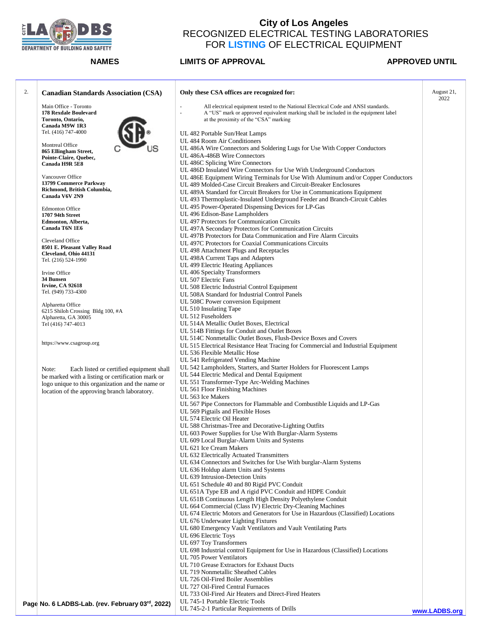

| 2. | <b>Canadian Standards Association (CSA)</b>                                                            | Only these CSA offices are recognized for:                                                                                                                                                                                      | August 21,<br>2022 |
|----|--------------------------------------------------------------------------------------------------------|---------------------------------------------------------------------------------------------------------------------------------------------------------------------------------------------------------------------------------|--------------------|
|    | Main Office - Toronto<br>178 Rexdale Boulevard<br>Toronto, Ontario,                                    | All electrical equipment tested to the National Electrical Code and ANSI standards.<br>A "US" mark or approved equivalent marking shall be included in the equipment label<br>$\omega$<br>at the proximity of the "CSA" marking |                    |
|    | Canada M9W 1R3                                                                                         |                                                                                                                                                                                                                                 |                    |
|    | Tel. (416) 747-4000                                                                                    | UL 482 Portable Sun/Heat Lamps<br>UL 484 Room Air Conditioners                                                                                                                                                                  |                    |
|    | Montreal Office<br>865 Ellingham Street,                                                               | UL 486A Wire Connectors and Soldering Lugs for Use With Copper Conductors                                                                                                                                                       |                    |
|    | Pointe-Claire, Quebec,<br>Canada H9R 5E8                                                               | UL 486A-486B Wire Connectors<br>UL 486C Splicing Wire Connectors                                                                                                                                                                |                    |
|    |                                                                                                        | UL 486D Insulated Wire Connectors for Use With Underground Conductors                                                                                                                                                           |                    |
|    | Vancouver Office                                                                                       | UL 486E Equipment Wiring Terminals for Use With Aluminum and/or Copper Conductors                                                                                                                                               |                    |
|    | 13799 Commerce Parkway<br>Richmond, British Columbia,                                                  | UL 489 Molded-Case Circuit Breakers and Circuit-Breaker Enclosures<br>UL 489A Standard for Circuit Breakers for Use in Communications Equipment                                                                                 |                    |
|    | Canada V6V 2N9                                                                                         | UL 493 Thermoplastic-Insulated Underground Feeder and Branch-Circuit Cables                                                                                                                                                     |                    |
|    | <b>Edmonton Office</b><br>1707 94th Street                                                             | UL 495 Power-Operated Dispensing Devices for LP-Gas<br>UL 496 Edison-Base Lampholders                                                                                                                                           |                    |
|    | Edmonton, Alberta,                                                                                     | UL 497 Protectors for Communication Circuits                                                                                                                                                                                    |                    |
|    | Canada T6N 1E6                                                                                         | UL 497A Secondary Protectors for Communication Circuits                                                                                                                                                                         |                    |
|    | Cleveland Office                                                                                       | UL 497B Protectors for Data Communication and Fire Alarm Circuits<br>UL 497C Protectors for Coaxial Communications Circuits                                                                                                     |                    |
|    | 8501 E. Pleasant Valley Road                                                                           | UL 498 Attachment Plugs and Receptacles                                                                                                                                                                                         |                    |
|    | Cleveland, Ohio 44131<br>Tel. (216) 524-1990                                                           | UL 498A Current Taps and Adapters                                                                                                                                                                                               |                    |
|    |                                                                                                        | UL 499 Electric Heating Appliances                                                                                                                                                                                              |                    |
|    | Irvine Office<br>34 Bunsen                                                                             | UL 406 Specialty Transformers<br>UL 507 Electric Fans                                                                                                                                                                           |                    |
|    | Irvine, CA 92618                                                                                       | UL 508 Electric Industrial Control Equipment                                                                                                                                                                                    |                    |
|    | Tel. (949) 733-4300                                                                                    | UL 508A Standard for Industrial Control Panels                                                                                                                                                                                  |                    |
|    | Alpharetta Office                                                                                      | UL 508C Power conversion Equipment<br>UL 510 Insulating Tape                                                                                                                                                                    |                    |
|    | 6215 Shiloh Crossing Bldg 100, #A<br>Alpharetta, GA 30005                                              | UL 512 Fuseholders                                                                                                                                                                                                              |                    |
|    | Tel (416) 747-4013                                                                                     | UL 514A Metallic Outlet Boxes, Electrical                                                                                                                                                                                       |                    |
|    |                                                                                                        | UL 514B Fittings for Conduit and Outlet Boxes<br>UL 514C Nonmetallic Outlet Boxes, Flush-Device Boxes and Covers                                                                                                                |                    |
|    | https://www.csagroup.org                                                                               | UL 515 Electrical Resistance Heat Tracing for Commercial and Industrial Equipment                                                                                                                                               |                    |
|    |                                                                                                        | UL 536 Flexible Metallic Hose                                                                                                                                                                                                   |                    |
|    |                                                                                                        | UL 541 Refrigerated Vending Machine<br>UL 542 Lampholders, Starters, and Starter Holders for Fluorescent Lamps                                                                                                                  |                    |
|    | Note:<br>Each listed or certified equipment shall<br>be marked with a listing or certification mark or | UL 544 Electric Medical and Dental Equipment                                                                                                                                                                                    |                    |
|    | logo unique to this organization and the name or                                                       | UL 551 Transformer-Type Arc-Welding Machines                                                                                                                                                                                    |                    |
|    | location of the approving branch laboratory.                                                           | UL 561 Floor Finishing Machines<br>UL 563 Ice Makers                                                                                                                                                                            |                    |
|    |                                                                                                        | UL 567 Pipe Connectors for Flammable and Combustible Liquids and LP-Gas                                                                                                                                                         |                    |
|    |                                                                                                        | UL 569 Pigtails and Flexible Hoses                                                                                                                                                                                              |                    |
|    |                                                                                                        | UL 574 Electric Oil Heater<br>UL 588 Christmas-Tree and Decorative-Lighting Outfits                                                                                                                                             |                    |
|    |                                                                                                        | UL 603 Power Supplies for Use With Burglar-Alarm Systems                                                                                                                                                                        |                    |
|    |                                                                                                        | UL 609 Local Burglar-Alarm Units and Systems                                                                                                                                                                                    |                    |
|    |                                                                                                        | UL 621 Ice Cream Makers<br>UL 632 Electrically Actuated Transmitters                                                                                                                                                            |                    |
|    |                                                                                                        | UL 634 Connectors and Switches for Use With burglar-Alarm Systems                                                                                                                                                               |                    |
|    |                                                                                                        | UL 636 Holdup alarm Units and Systems                                                                                                                                                                                           |                    |
|    |                                                                                                        | UL 639 Intrusion-Detection Units<br>UL 651 Schedule 40 and 80 Rigid PVC Conduit                                                                                                                                                 |                    |
|    |                                                                                                        | UL 651A Type EB and A rigid PVC Conduit and HDPE Conduit                                                                                                                                                                        |                    |
|    |                                                                                                        | UL 651B Continuous Length High Density Polyethylene Conduit                                                                                                                                                                     |                    |
|    |                                                                                                        | UL 664 Commercial (Class IV) Electric Dry-Cleaning Machines<br>UL 674 Electric Motors and Generators for Use in Hazardous (Classified) Locations                                                                                |                    |
|    |                                                                                                        | UL 676 Underwater Lighting Fixtures                                                                                                                                                                                             |                    |
|    |                                                                                                        | UL 680 Emergency Vault Ventilators and Vault Ventilating Parts                                                                                                                                                                  |                    |
|    |                                                                                                        | UL 696 Electric Toys<br>UL 697 Toy Transformers                                                                                                                                                                                 |                    |
|    |                                                                                                        | UL 698 Industrial control Equipment for Use in Hazardous (Classified) Locations                                                                                                                                                 |                    |
|    |                                                                                                        | UL 705 Power Ventilators                                                                                                                                                                                                        |                    |
|    |                                                                                                        | UL 710 Grease Extractors for Exhaust Ducts<br>UL 719 Nonmetallic Sheathed Cables                                                                                                                                                |                    |
|    |                                                                                                        | UL 726 Oil-Fired Boiler Assemblies                                                                                                                                                                                              |                    |
|    |                                                                                                        | UL 727 Oil-Fired Central Furnaces                                                                                                                                                                                               |                    |
|    |                                                                                                        | UL 733 Oil-Fired Air Heaters and Direct-Fired Heaters<br>UL 745-1 Portable Electric Tools                                                                                                                                       |                    |
|    | Page No. 6   ADRS-Lab (roy February 03rd 2022)                                                         |                                                                                                                                                                                                                                 |                    |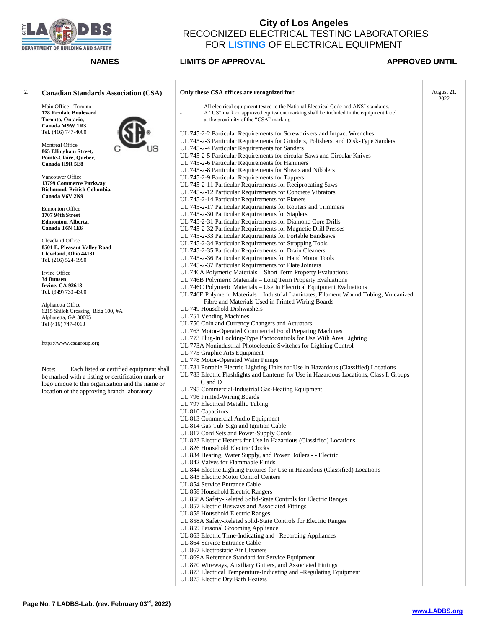

| <b>Canadian Standards Association (CSA)</b>            | Only these CSA offices are recognized for:                                                                      | August 21,<br>2022 |
|--------------------------------------------------------|-----------------------------------------------------------------------------------------------------------------|--------------------|
| Main Office - Toronto                                  | All electrical equipment tested to the National Electrical Code and ANSI standards.<br>$\overline{\phantom{a}}$ |                    |
| 178 Rexdale Boulevard                                  | $\bar{z}$<br>A "US" mark or approved equivalent marking shall be included in the equipment label                |                    |
| Toronto, Ontario,                                      | at the proximity of the "CSA" marking                                                                           |                    |
| Canada M9W 1R3                                         |                                                                                                                 |                    |
| Tel. (416) 747-4000                                    | UL 745-2-2 Particular Requirements for Screwdrivers and Impact Wrenches                                         |                    |
|                                                        | UL 745-2-3 Particular Requirements for Grinders, Polishers, and Disk-Type Sanders                               |                    |
| Montreal Office                                        | UL 745-2-4 Particular Requirements for Sanders                                                                  |                    |
| 865 Ellingham Street,                                  | UL 745-2-5 Particular Requirements for circular Saws and Circular Knives                                        |                    |
| Pointe-Claire, Quebec,<br>Canada H9R 5E8               | UL 745-2-6 Particular Requirements for Hammers                                                                  |                    |
|                                                        | UL 745-2-8 Particular Requirements for Shears and Nibblers                                                      |                    |
| Vancouver Office                                       |                                                                                                                 |                    |
| 13799 Commerce Parkway                                 | UL 745-2-9 Particular Requirements for Tappers                                                                  |                    |
| Richmond, British Columbia,                            | UL 745-2-11 Particular Requirements for Reciprocating Saws                                                      |                    |
| Canada V6V 2N9                                         | UL 745-2-12 Particular Requirements for Concrete Vibrators                                                      |                    |
|                                                        | UL 745-2-14 Particular Requirements for Planers                                                                 |                    |
| <b>Edmonton Office</b>                                 | UL 745-2-17 Particular Requirements for Routers and Trimmers                                                    |                    |
| 1707 94th Street                                       | UL 745-2-30 Particular Requirements for Staplers                                                                |                    |
| Edmonton, Alberta,                                     | UL 745-2-31 Particular Requirements for Diamond Core Drills                                                     |                    |
| Canada T6N 1E6                                         | UL 745-2-32 Particular Requirements for Magnetic Drill Presses                                                  |                    |
|                                                        | UL 745-2-33 Particular Requirements for Portable Bandsaws                                                       |                    |
| Cleveland Office                                       | UL 745-2-34 Particular Requirements for Strapping Tools                                                         |                    |
| 8501 E. Pleasant Valley Road                           | UL 745-2-35 Particular Requirements for Drain Cleaners                                                          |                    |
| Cleveland, Ohio 44131                                  |                                                                                                                 |                    |
| Tel. (216) 524-1990                                    | UL 745-2-36 Particular Requirements for Hand Motor Tools                                                        |                    |
|                                                        | UL 745-2-37 Particular Requirements for Plate Jointers                                                          |                    |
| Irvine Office                                          | UL 746A Polymeric Materials - Short Term Property Evaluations                                                   |                    |
| 34 Bunsen                                              | UL 746B Polymeric Materials - Long Term Property Evaluations                                                    |                    |
| <b>Irvine, CA 92618</b>                                | UL 746C Polymeric Materials - Use In Electrical Equipment Evaluations                                           |                    |
| Tel. (949) 733-4300                                    | UL 746E Polymeric Materials - Industrial Laminates, Filament Wound Tubing, Vulcanized                           |                    |
|                                                        | Fibre and Materials Used in Printed Wiring Boards                                                               |                    |
| Alpharetta Office<br>6215 Shiloh Crossing Bldg 100, #A | UL 749 Household Dishwashers                                                                                    |                    |
| Alpharetta, GA 30005                                   | UL 751 Vending Machines                                                                                         |                    |
| Tel (416) 747-4013                                     | UL 756 Coin and Currency Changers and Actuators                                                                 |                    |
|                                                        | UL 763 Motor-Operated Commercial Food Preparing Machines                                                        |                    |
|                                                        |                                                                                                                 |                    |
| https://www.csagroup.org                               | UL 773 Plug-In Locking-Type Photocontrols for Use With Area Lighting                                            |                    |
|                                                        | UL 773A Nonindustrial Photoelectric Switches for Lighting Control                                               |                    |
|                                                        | UL 775 Graphic Arts Equipment                                                                                   |                    |
|                                                        | UL 778 Motor-Operated Water Pumps                                                                               |                    |
| Note:<br>Each listed or certified equipment shall      | UL 781 Portable Electric Lighting Units for Use in Hazardous (Classified) Locations                             |                    |
| be marked with a listing or certification mark or      | UL 783 Electric Flashlights and Lanterns for Use in Hazardous Locations, Class I, Groups                        |                    |
| logo unique to this organization and the name or       | C and D                                                                                                         |                    |
| location of the approving branch laboratory.           | UL 795 Commercial-Industrial Gas-Heating Equipment                                                              |                    |
|                                                        | UL 796 Printed-Wiring Boards                                                                                    |                    |
|                                                        | UL 797 Electrical Metallic Tubing                                                                               |                    |
|                                                        | UL 810 Capacitors                                                                                               |                    |
|                                                        | UL 813 Commercial Audio Equipment                                                                               |                    |
|                                                        |                                                                                                                 |                    |
|                                                        | UL 814 Gas-Tub-Sign and Ignition Cable                                                                          |                    |
|                                                        | UL 817 Cord Sets and Power-Supply Cords                                                                         |                    |
|                                                        | UL 823 Electric Heaters for Use in Hazardous (Classified) Locations                                             |                    |
|                                                        | UL 826 Household Electric Clocks                                                                                |                    |
|                                                        | UL 834 Heating, Water Supply, and Power Boilers - - Electric                                                    |                    |
|                                                        | UL 842 Valves for Flammable Fluids                                                                              |                    |
|                                                        | UL 844 Electric Lighting Fixtures for Use in Hazardous (Classified) Locations                                   |                    |
|                                                        | UL 845 Electric Motor Control Centers                                                                           |                    |
|                                                        | UL 854 Service Entrance Cable                                                                                   |                    |
|                                                        | UL 858 Household Electric Rangers                                                                               |                    |
|                                                        | UL 858A Safety-Related Solid-State Controls for Electric Ranges                                                 |                    |
|                                                        | UL 857 Electric Busways and Associated Fittings                                                                 |                    |
|                                                        |                                                                                                                 |                    |
|                                                        | UL 858 Household Electric Ranges                                                                                |                    |
|                                                        | UL 858A Safety-Related solid-State Controls for Electric Ranges                                                 |                    |
|                                                        | UL 859 Personal Grooming Appliance                                                                              |                    |
|                                                        | UL 863 Electric Time-Indicating and -Recording Appliances                                                       |                    |
|                                                        | UL 864 Service Entrance Cable                                                                                   |                    |
|                                                        | UL 867 Electrostatic Air Cleaners                                                                               |                    |
|                                                        | UL 869A Reference Standard for Service Equipment                                                                |                    |
|                                                        | UL 870 Wireways, Auxiliary Gutters, and Associated Fittings                                                     |                    |
|                                                        | UL 873 Electrical Temperature-Indicating and -Regulating Equipment                                              |                    |
|                                                        | UL 875 Electric Dry Bath Heaters                                                                                |                    |
|                                                        |                                                                                                                 |                    |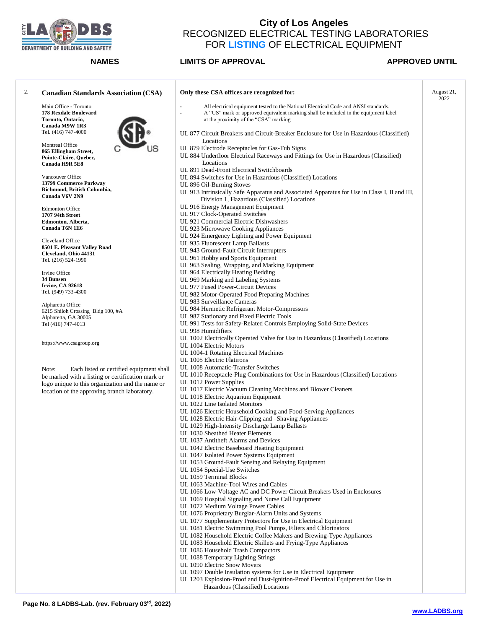

| 2. | <b>Canadian Standards Association (CSA)</b>                         | Only these CSA offices are recognized for:                                                                                                                                                                                | August 21,<br>2022 |
|----|---------------------------------------------------------------------|---------------------------------------------------------------------------------------------------------------------------------------------------------------------------------------------------------------------------|--------------------|
|    | Main Office - Toronto<br>178 Rexdale Boulevard<br>Toronto, Ontario, | All electrical equipment tested to the National Electrical Code and ANSI standards.<br>÷,<br>A "US" mark or approved equivalent marking shall be included in the equipment label<br>at the proximity of the "CSA" marking |                    |
|    | Canada M9W 1R3<br>Tel. (416) 747-4000                               | UL 877 Circuit Breakers and Circuit-Breaker Enclosure for Use in Hazardous (Classified)<br>Locations                                                                                                                      |                    |
|    | Montreal Office<br>865 Ellingham Street,<br>Pointe-Claire, Quebec,  | UL 879 Electrode Receptacles for Gas-Tub Signs<br>UL 884 Underfloor Electrical Raceways and Fittings for Use in Hazardous (Classified)                                                                                    |                    |
|    | Canada H9R 5E8                                                      | Locations<br>UL 891 Dead-Front Electrical Switchboards                                                                                                                                                                    |                    |
|    | Vancouver Office                                                    | UL 894 Switches for Use in Hazardous (Classified) Locations                                                                                                                                                               |                    |
|    | 13799 Commerce Parkway<br>Richmond, British Columbia,               | UL 896 Oil-Burning Stoves                                                                                                                                                                                                 |                    |
|    | Canada V6V 2N9                                                      | UL 913 Intrinsically Safe Apparatus and Associated Apparatus for Use in Class I, II and III,<br>Division 1, Hazardous (Classified) Locations                                                                              |                    |
|    | <b>Edmonton Office</b>                                              | UL 916 Energy Management Equipment                                                                                                                                                                                        |                    |
|    | 1707 94th Street<br>Edmonton, Alberta,                              | UL 917 Clock-Operated Switches<br>UL 921 Commercial Electric Dishwashers                                                                                                                                                  |                    |
|    | Canada T6N 1E6                                                      | UL 923 Microwave Cooking Appliances                                                                                                                                                                                       |                    |
|    |                                                                     | UL 924 Emergency Lighting and Power Equipment                                                                                                                                                                             |                    |
|    | Cleveland Office                                                    | UL 935 Fluorescent Lamp Ballasts                                                                                                                                                                                          |                    |
|    | 8501 E. Pleasant Valley Road<br>Cleveland, Ohio 44131               | UL 943 Ground-Fault Circuit Interrupters                                                                                                                                                                                  |                    |
|    | Tel. (216) 524-1990                                                 | UL 961 Hobby and Sports Equipment                                                                                                                                                                                         |                    |
|    |                                                                     | UL 963 Sealing, Wrapping, and Marking Equipment                                                                                                                                                                           |                    |
|    | Irvine Office                                                       | UL 964 Electrically Heating Bedding                                                                                                                                                                                       |                    |
|    | 34 Bunsen<br><b>Irvine, CA 92618</b>                                | UL 969 Marking and Labeling Systems<br>UL 977 Fused Power-Circuit Devices                                                                                                                                                 |                    |
|    | Tel. (949) 733-4300                                                 | UL 982 Motor-Operated Food Preparing Machines                                                                                                                                                                             |                    |
|    |                                                                     | UL 983 Surveillance Cameras                                                                                                                                                                                               |                    |
|    | Alpharetta Office<br>6215 Shiloh Crossing Bldg 100, #A              | UL 984 Hermetic Refrigerant Motor-Compressors                                                                                                                                                                             |                    |
|    | Alpharetta, GA 30005                                                | UL 987 Stationary and Fixed Electric Tools                                                                                                                                                                                |                    |
|    | Tel (416) 747-4013                                                  | UL 991 Tests for Safety-Related Controls Employing Solid-State Devices                                                                                                                                                    |                    |
|    |                                                                     | UL 998 Humidifiers                                                                                                                                                                                                        |                    |
|    | https://www.csagroup.org                                            | UL 1002 Electrically Operated Valve for Use in Hazardous (Classified) Locations<br>UL 1004 Electric Motors                                                                                                                |                    |
|    |                                                                     | UL 1004-1 Rotating Electrical Machines                                                                                                                                                                                    |                    |
|    |                                                                     | UL 1005 Electric Flatirons                                                                                                                                                                                                |                    |
|    | Each listed or certified equipment shall<br>Note:                   | UL 1008 Automatic-Transfer Switches                                                                                                                                                                                       |                    |
|    | be marked with a listing or certification mark or                   | UL 1010 Receptacle-Plug Combinations for Use in Hazardous (Classified) Locations                                                                                                                                          |                    |
|    | logo unique to this organization and the name or                    | UL 1012 Power Supplies                                                                                                                                                                                                    |                    |
|    | location of the approving branch laboratory.                        | UL 1017 Electric Vacuum Cleaning Machines and Blower Cleaners<br>UL 1018 Electric Aquarium Equipment                                                                                                                      |                    |
|    |                                                                     | UL 1022 Line Isolated Monitors                                                                                                                                                                                            |                    |
|    |                                                                     | UL 1026 Electric Household Cooking and Food-Serving Appliances                                                                                                                                                            |                    |
|    |                                                                     | UL 1028 Electric Hair-Clipping and -Shaving Appliances<br>UL 1029 High-Intensity Discharge Lamp Ballasts                                                                                                                  |                    |
|    |                                                                     | UL 1030 Sheathed Heater Elements                                                                                                                                                                                          |                    |
|    |                                                                     | UL 1037 Antitheft Alarms and Devices                                                                                                                                                                                      |                    |
|    |                                                                     | UL 1042 Electric Baseboard Heating Equipment                                                                                                                                                                              |                    |
|    |                                                                     | UL 1047 Isolated Power Systems Equipment                                                                                                                                                                                  |                    |
|    |                                                                     | UL 1053 Ground-Fault Sensing and Relaying Equipment                                                                                                                                                                       |                    |
|    |                                                                     | UL 1054 Special-Use Switches<br>UL 1059 Terminal Blocks                                                                                                                                                                   |                    |
|    |                                                                     | UL 1063 Machine-Tool Wires and Cables                                                                                                                                                                                     |                    |
|    |                                                                     | UL 1066 Low-Voltage AC and DC Power Circuit Breakers Used in Enclosures                                                                                                                                                   |                    |
|    |                                                                     | UL 1069 Hospital Signaling and Nurse Call Equipment                                                                                                                                                                       |                    |
|    |                                                                     | UL 1072 Medium Voltage Power Cables                                                                                                                                                                                       |                    |
|    |                                                                     | UL 1076 Proprietary Burglar-Alarm Units and Systems                                                                                                                                                                       |                    |
|    |                                                                     | UL 1077 Supplementary Protectors for Use in Electrical Equipment                                                                                                                                                          |                    |
|    |                                                                     | UL 1081 Electric Swimming Pool Pumps, Filters and Chlorinators<br>UL 1082 Household Electric Coffee Makers and Brewing-Type Appliances                                                                                    |                    |
|    |                                                                     | UL 1083 Household Electric Skillets and Frying-Type Appliances                                                                                                                                                            |                    |
|    |                                                                     | UL 1086 Household Trash Compactors                                                                                                                                                                                        |                    |
|    |                                                                     | UL 1088 Temporary Lighting Strings                                                                                                                                                                                        |                    |
|    |                                                                     | UL 1090 Electric Snow Movers                                                                                                                                                                                              |                    |
|    |                                                                     | UL 1097 Double Insulation systems for Use in Electrical Equipment                                                                                                                                                         |                    |
|    |                                                                     | UL 1203 Explosion-Proof and Dust-Ignition-Proof Electrical Equipment for Use in                                                                                                                                           |                    |
|    |                                                                     | Hazardous (Classified) Locations                                                                                                                                                                                          |                    |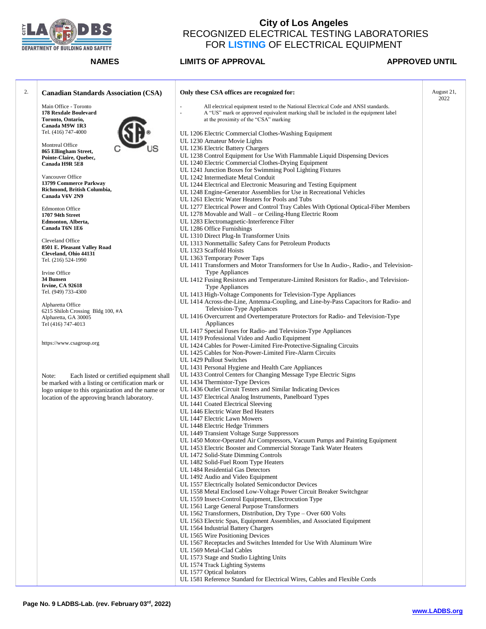

| <b>Canadian Standards Association (CSA)</b>            | Only these CSA offices are recognized for:                                                                      | August 21,<br>2022 |
|--------------------------------------------------------|-----------------------------------------------------------------------------------------------------------------|--------------------|
| Main Office - Toronto                                  | All electrical equipment tested to the National Electrical Code and ANSI standards.<br>$\bar{a}$                |                    |
| 178 Rexdale Boulevard                                  | $\overline{\phantom{a}}$<br>A "US" mark or approved equivalent marking shall be included in the equipment label |                    |
| Toronto, Ontario,                                      | at the proximity of the "CSA" marking                                                                           |                    |
| Canada M9W 1R3                                         |                                                                                                                 |                    |
| Tel. (416) 747-4000                                    | UL 1206 Electric Commercial Clothes-Washing Equipment                                                           |                    |
| Montreal Office                                        | UL 1230 Amateur Movie Lights                                                                                    |                    |
| 865 Ellingham Street,                                  | UL 1236 Electric Battery Chargers                                                                               |                    |
| Pointe-Claire, Quebec,                                 | UL 1238 Control Equipment for Use With Flammable Liquid Dispensing Devices                                      |                    |
| Canada H9R 5E8                                         | UL 1240 Electric Commercial Clothes-Drying Equipment                                                            |                    |
| Vancouver Office                                       | UL 1241 Junction Boxes for Swimming Pool Lighting Fixtures<br>UL 1242 Intermediate Metal Conduit                |                    |
| 13799 Commerce Parkway                                 | UL 1244 Electrical and Electronic Measuring and Testing Equipment                                               |                    |
| Richmond, British Columbia,                            | UL 1248 Engine-Generator Assemblies for Use in Recreational Vehicles                                            |                    |
| Canada V6V 2N9                                         | UL 1261 Electric Water Heaters for Pools and Tubs                                                               |                    |
|                                                        | UL 1277 Electrical Power and Control Tray Cables With Optional Optical-Fiber Members                            |                    |
| <b>Edmonton Office</b>                                 | UL 1278 Movable and Wall – or Ceiling-Hung Electric Room                                                        |                    |
| 1707 94th Street<br>Edmonton, Alberta,                 | UL 1283 Electromagnetic-Interference Filter                                                                     |                    |
| Canada T6N 1E6                                         | UL 1286 Office Furnishings                                                                                      |                    |
|                                                        | UL 1310 Direct Plug-In Transformer Units                                                                        |                    |
| Cleveland Office                                       | UL 1313 Nonmettallic Safety Cans for Petroleum Products                                                         |                    |
| 8501 E. Pleasant Valley Road                           | UL 1323 Scaffold Hoists                                                                                         |                    |
| Cleveland, Ohio 44131                                  | UL 1363 Temporary Power Taps                                                                                    |                    |
| Tel. (216) 524-1990                                    | UL 1411 Transformers and Motor Transformers for Use In Audio-, Radio-, and Television-                          |                    |
| Irvine Office                                          | <b>Type Appliances</b>                                                                                          |                    |
| 34 Bunsen                                              | UL 1412 Fusing Resistors and Temperature-Limited Resistors for Radio-, and Television-                          |                    |
| <b>Irvine, CA 92618</b>                                | <b>Type Appliances</b>                                                                                          |                    |
| Tel. (949) 733-4300                                    | UL 1413 High-Voltage Components for Television-Type Appliances                                                  |                    |
|                                                        | UL 1414 Across-the-Line, Antenna-Coupling, and Line-by-Pass Capacitors for Radio- and                           |                    |
| Alpharetta Office<br>6215 Shiloh Crossing Bldg 100, #A | Television-Type Appliances                                                                                      |                    |
| Alpharetta, GA 30005                                   | UL 1416 Overcurrent and Overtemperature Protectors for Radio- and Television-Type                               |                    |
| Tel (416) 747-4013                                     | Appliances                                                                                                      |                    |
|                                                        | UL 1417 Special Fuses for Radio- and Television-Type Appliances                                                 |                    |
|                                                        | UL 1419 Professional Video and Audio Equipment                                                                  |                    |
| https://www.csagroup.org                               | UL 1424 Cables for Power-Limited Fire-Protective-Signaling Circuits                                             |                    |
|                                                        | UL 1425 Cables for Non-Power-Limited Fire-Alarm Circuits                                                        |                    |
|                                                        | UL 1429 Pullout Switches                                                                                        |                    |
|                                                        | UL 1431 Personal Hygiene and Health Care Appliances                                                             |                    |
| Note:<br>Each listed or certified equipment shall      | UL 1433 Control Centers for Changing Message Type Electric Signs                                                |                    |
| be marked with a listing or certification mark or      | UL 1434 Thermistor-Type Devices                                                                                 |                    |
| logo unique to this organization and the name or       | UL 1436 Outlet Circuit Testers and Similar Indicating Devices                                                   |                    |
| location of the approving branch laboratory.           | UL 1437 Electrical Analog Instruments, Panelboard Types                                                         |                    |
|                                                        | UL 1441 Coated Electrical Sleeving                                                                              |                    |
|                                                        | UL 1446 Electric Water Bed Heaters                                                                              |                    |
|                                                        | UL 1447 Electric Lawn Mowers                                                                                    |                    |
|                                                        | UL 1448 Electric Hedge Trimmers                                                                                 |                    |
|                                                        | UL 1449 Transient Voltage Surge Suppressors                                                                     |                    |
|                                                        | UL 1450 Motor-Operated Air Compressors, Vacuum Pumps and Painting Equipment                                     |                    |
|                                                        | UL 1453 Electric Booster and Commercial Storage Tank Water Heaters                                              |                    |
|                                                        | UL 1472 Solid-State Dimming Controls                                                                            |                    |
|                                                        | UL 1482 Solid-Fuel Room Type Heaters                                                                            |                    |
|                                                        | UL 1484 Residential Gas Detectors                                                                               |                    |
|                                                        | UL 1492 Audio and Video Equipment                                                                               |                    |
|                                                        | UL 1557 Electrically Isolated Semiconductor Devices                                                             |                    |
|                                                        | UL 1558 Metal Enclosed Low-Voltage Power Circuit Breaker Switchgear                                             |                    |
|                                                        | UL 1559 Insect-Control Equipment, Electrocution Type                                                            |                    |
|                                                        | UL 1561 Large General Purpose Transformers                                                                      |                    |
|                                                        | UL 1562 Transformers, Distribution, Dry Type - Over 600 Volts                                                   |                    |
|                                                        | UL 1563 Electric Spas, Equipment Assemblies, and Associated Equipment                                           |                    |
|                                                        | UL 1564 Industrial Battery Chargers                                                                             |                    |
|                                                        | UL 1565 Wire Positioning Devices                                                                                |                    |
|                                                        | UL 1567 Receptacles and Switches Intended for Use With Aluminum Wire                                            |                    |
|                                                        | UL 1569 Metal-Clad Cables                                                                                       |                    |
|                                                        | UL 1573 Stage and Studio Lighting Units                                                                         |                    |
|                                                        | UL 1574 Track Lighting Systems                                                                                  |                    |
|                                                        | UL 1577 Optical Isolators<br>UL 1581 Reference Standard for Electrical Wires, Cables and Flexible Cords         |                    |
|                                                        |                                                                                                                 |                    |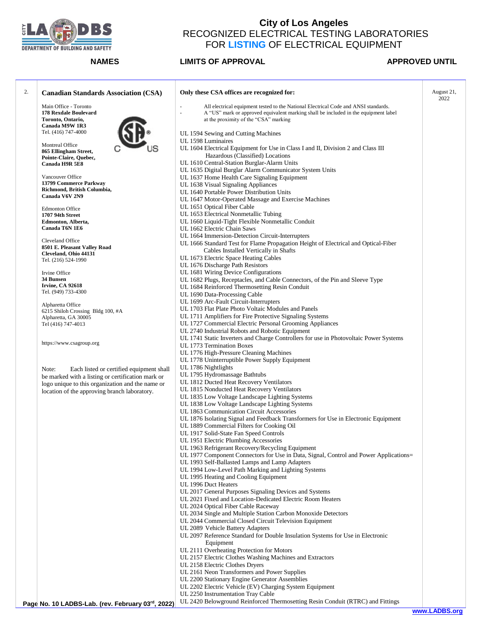

**Page No. 10 LADBS-Lab. (rev. February 03 rd, 2022)**

## **City of Los Angeles**  RECOGNIZED ELECTRICAL TESTING LABORATORIES FOR **LISTING** OF ELECTRICAL EQUIPMENT

### **NAMES LIMITS OF APPROVAL APPROVED UNTIL**

| 2. | <b>Canadian Standards Association (CSA)</b>       | Only these CSA offices are recognized for:                                                                                       | August 21,<br>2022 |
|----|---------------------------------------------------|----------------------------------------------------------------------------------------------------------------------------------|--------------------|
|    | Main Office - Toronto                             | All electrical equipment tested to the National Electrical Code and ANSI standards.<br>$\sim$                                    |                    |
|    | 178 Rexdale Boulevard                             | A "US" mark or approved equivalent marking shall be included in the equipment label<br>$\overline{\phantom{a}}$                  |                    |
|    | Toronto, Ontario,                                 | at the proximity of the "CSA" marking                                                                                            |                    |
|    | Canada M9W 1R3                                    |                                                                                                                                  |                    |
|    | Tel. (416) 747-4000                               | UL 1594 Sewing and Cutting Machines<br>UL 1598 Luminaires                                                                        |                    |
|    | Montreal Office                                   | UL 1604 Electrical Equipment for Use in Class I and II, Division 2 and Class III                                                 |                    |
|    | 865 Ellingham Street,                             | Hazardous (Classified) Locations                                                                                                 |                    |
|    | Pointe-Claire, Quebec,<br>Canada H9R 5E8          | UL 1610 Central-Station Burglar-Alarm Units                                                                                      |                    |
|    |                                                   | UL 1635 Digital Burglar Alarm Communicator System Units                                                                          |                    |
|    | Vancouver Office                                  | UL 1637 Home Health Care Signaling Equipment                                                                                     |                    |
|    | 13799 Commerce Parkway                            | UL 1638 Visual Signaling Appliances                                                                                              |                    |
|    | Richmond, British Columbia,                       | UL 1640 Portable Power Distribution Units                                                                                        |                    |
|    | Canada V6V 2N9                                    | UL 1647 Motor-Operated Massage and Exercise Machines                                                                             |                    |
|    |                                                   | UL 1651 Optical Fiber Cable                                                                                                      |                    |
|    | <b>Edmonton Office</b><br>1707 94th Street        | UL 1653 Electrical Nonmetallic Tubing                                                                                            |                    |
|    | Edmonton, Alberta,                                | UL 1660 Liquid-Tight Flexible Nonmetallic Conduit                                                                                |                    |
|    | Canada T6N 1E6                                    | UL 1662 Electric Chain Saws                                                                                                      |                    |
|    |                                                   | UL 1664 Immersion-Detection Circuit-Interrupters                                                                                 |                    |
|    | Cleveland Office                                  | UL 1666 Standard Test for Flame Propagation Height of Electrical and Optical-Fiber                                               |                    |
|    | 8501 E. Pleasant Valley Road                      | Cables Installed Vertically in Shafts                                                                                            |                    |
|    | Cleveland, Ohio 44131                             | UL 1673 Electric Space Heating Cables                                                                                            |                    |
|    | Tel. (216) 524-1990                               | UL 1676 Discharge Path Resistors                                                                                                 |                    |
|    | Irvine Office                                     | UL 1681 Wiring Device Configurations                                                                                             |                    |
|    | 34 Bunsen                                         | UL 1682 Plugs, Receptacles, and Cable Connectors, of the Pin and Sleeve Type                                                     |                    |
|    | <b>Irvine, CA 92618</b>                           | UL 1684 Reinforced Thermosetting Resin Conduit                                                                                   |                    |
|    | Tel. (949) 733-4300                               | UL 1690 Data-Processing Cable                                                                                                    |                    |
|    | Alpharetta Office                                 | UL 1699 Arc-Fault Circuit-Interrupters                                                                                           |                    |
|    | 6215 Shiloh Crossing Bldg 100, #A                 | UL 1703 Flat Plate Photo Voltaic Modules and Panels                                                                              |                    |
|    | Alpharetta, GA 30005                              | UL 1711 Amplifiers for Fire Protective Signaling Systems                                                                         |                    |
|    | Tel (416) 747-4013                                | UL 1727 Commercial Electric Personal Grooming Appliances                                                                         |                    |
|    |                                                   | UL 2740 Industrial Robots and Robotic Equipment                                                                                  |                    |
|    |                                                   | UL 1741 Static Inverters and Charge Controllers for use in Photovoltaic Power Systems                                            |                    |
|    | https://www.csagroup.org                          | UL 1773 Termination Boxes                                                                                                        |                    |
|    |                                                   | UL 1776 High-Pressure Cleaning Machines                                                                                          |                    |
|    |                                                   | UL 1778 Uninterruptible Power Supply Equipment                                                                                   |                    |
|    | Note:<br>Each listed or certified equipment shall | UL 1786 Nightlights                                                                                                              |                    |
|    | be marked with a listing or certification mark or | UL 1795 Hydromassage Bathtubs                                                                                                    |                    |
|    | logo unique to this organization and the name or  | UL 1812 Ducted Heat Recovery Ventilators                                                                                         |                    |
|    | location of the approving branch laboratory.      | UL 1815 Nonducted Heat Recovery Ventilators                                                                                      |                    |
|    |                                                   | UL 1835 Low Voltage Landscape Lighting Systems                                                                                   |                    |
|    |                                                   | UL 1838 Low Voltage Landscape Lighting Systems                                                                                   |                    |
|    |                                                   | UL 1863 Communication Circuit Accessories                                                                                        |                    |
|    |                                                   | UL 1876 Isolating Signal and Feedback Transformers for Use in Electronic Equipment<br>UL 1889 Commercial Filters for Cooking Oil |                    |
|    |                                                   | UL 1917 Solid-State Fan Speed Controls                                                                                           |                    |
|    |                                                   | UL 1951 Electric Plumbing Accessories                                                                                            |                    |
|    |                                                   | UL 1963 Refrigerant Recovery/Recycling Equipment                                                                                 |                    |
|    |                                                   | UL 1977 Component Connectors for Use in Data, Signal, Control and Power Applications=                                            |                    |
|    |                                                   | UL 1993 Self-Ballasted Lamps and Lamp Adapters                                                                                   |                    |
|    |                                                   | UL 1994 Low-Level Path Marking and Lighting Systems                                                                              |                    |
|    |                                                   | UL 1995 Heating and Cooling Equipment                                                                                            |                    |
|    |                                                   | UL 1996 Duct Heaters                                                                                                             |                    |
|    |                                                   | UL 2017 General Purposes Signaling Devices and Systems                                                                           |                    |
|    |                                                   | UL 2021 Fixed and Location-Dedicated Electric Room Heaters                                                                       |                    |
|    |                                                   | UL 2024 Optical Fiber Cable Raceway                                                                                              |                    |
|    |                                                   | UL 2034 Single and Multiple Station Carbon Monoxide Detectors                                                                    |                    |
|    |                                                   | UL 2044 Commercial Closed Circuit Television Equipment                                                                           |                    |
|    |                                                   | UL 2089 Vehicle Battery Adapters                                                                                                 |                    |
|    |                                                   | UL 2097 Reference Standard for Double Insulation Systems for Use in Electronic                                                   |                    |
|    |                                                   | Equipment                                                                                                                        |                    |
|    |                                                   | UL 2111 Overheating Protection for Motors                                                                                        |                    |
|    |                                                   | UL 2157 Electric Clothes Washing Machines and Extractors                                                                         |                    |
|    |                                                   | UL 2158 Electric Clothes Dryers                                                                                                  |                    |
|    |                                                   | UL 2161 Neon Transformers and Power Supplies                                                                                     |                    |
|    |                                                   | UL 2200 Stationary Engine Generator Assemblies                                                                                   |                    |
|    |                                                   | UL 2202 Electric Vehicle (EV) Charging System Equipment                                                                          |                    |
|    |                                                   | UL 2250 Instrumentation Tray Cable                                                                                               |                    |

UL 2420 Belowground Reinforced Thermosetting Resin Conduit (RTRC) and Fittings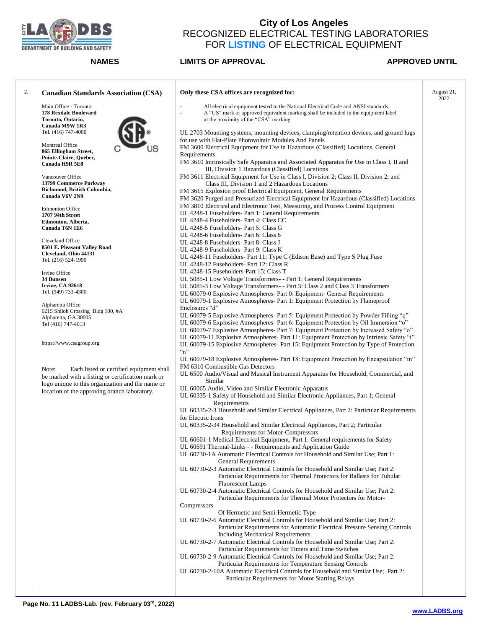

| <b>Canadian Standards Association (CSA)</b>           | Only these CSA offices are recognized for:                                                                                                   | August 21, |
|-------------------------------------------------------|----------------------------------------------------------------------------------------------------------------------------------------------|------------|
| Main Office - Toronto                                 | All electrical equipment tested to the National Electrical Code and ANSI standards.<br>$\overline{\phantom{a}}$                              |            |
| 178 Rexdale Boulevard                                 | ä,<br>A "US" mark or approved equivalent marking shall be included in the equipment label                                                    |            |
| Toronto, Ontario,                                     | at the proximity of the "CSA" marking                                                                                                        |            |
| Canada M9W 1R3                                        |                                                                                                                                              |            |
| Tel. (416) 747-4000                                   | UL 2703 Mounting systems, mounting devices, clamping/retention devices, and ground lugs                                                      |            |
|                                                       | for use with Flat-Plate Photovoltaic Modules And Panels                                                                                      |            |
| Montreal Office                                       | FM 3600 Electrical Equipment for Use in Hazardous (Classified) Locations, General                                                            |            |
| 865 Ellingham Street,                                 | Requirements                                                                                                                                 |            |
| Pointe-Claire, Quebec,<br>Canada H9R 5E8              | FM 3610 Intrinsically Safe Apparatus and Associated Apparatus for Use in Class I, II and<br>III, Division 1 Hazardous (Classified) Locations |            |
|                                                       |                                                                                                                                              |            |
| Vancouver Office                                      | FM 3611 Electrical Equipment for Use in Class I, Division 2; Class II, Division 2; and                                                       |            |
| 13799 Commerce Parkway<br>Richmond, British Columbia, | Class III, Division 1 and 2 Hazardous Locations                                                                                              |            |
| Canada V6V 2N9                                        | FM 3615 Explosion proof Electrical Equipment, General Requirements                                                                           |            |
|                                                       | FM 3620 Purged and Pressurized Electrical Equipment for Hazardous (Classified) Locations                                                     |            |
| <b>Edmonton Office</b>                                | FM 3810 Electrical and Electronic Test, Measuring, and Process Control Equipment                                                             |            |
| 1707 94th Street                                      | UL 4248-1 Fuseholders- Part 1: General Requirements                                                                                          |            |
| Edmonton, Alberta,                                    | UL 4248-4 Fuseholders- Part 4: Class CC                                                                                                      |            |
| Canada T6N 1E6                                        | UL 4248-5 Fuseholders- Part 5: Class G                                                                                                       |            |
|                                                       | UL 4248-6 Fuseholders- Part 6: Class 6                                                                                                       |            |
| Cleveland Office                                      | UL 4248-8 Fuseholders- Part 8: Class J                                                                                                       |            |
| 8501 E. Pleasant Valley Road                          | UL 4248-9 Fuseholders- Part 9: Class K                                                                                                       |            |
| Cleveland, Ohio 44131                                 | UL 4248-11 Fuseholders- Part 11: Type C (Edison Base) and Type S Plug Fuse                                                                   |            |
| Tel. (216) 524-1990                                   | UL 4248-12 Fuseholders- Part 12: Class R                                                                                                     |            |
|                                                       | UL 4248-15 Fuseholders-Part 15: Class T                                                                                                      |            |
| Irvine Office                                         | UL 5085-1 Low Voltage Transformers- - Part 1: General Requirements                                                                           |            |
| 34 Bunsen                                             |                                                                                                                                              |            |
| <b>Irvine, CA 92618</b>                               | UL 5085-3 Low Voltage Transformers- - Part 3: Class 2 and Class 3 Transformers                                                               |            |
| Tel. (949) 733-4300                                   | UL 60079-0 Explosive Atmospheres- Part 0: Equipment- General Requirements                                                                    |            |
| Alpharetta Office                                     | UL 60079-1 Explosive Atmospheres- Part 1: Equipment Protection by Flameproof                                                                 |            |
| 6215 Shiloh Crossing Bldg 100, #A                     | Enclosures "d"                                                                                                                               |            |
| Alpharetta, GA 30005                                  | UL 60079-5 Explosive Atmospheres- Part 5: Equipment Protection by Powder Filling "q"                                                         |            |
| Tel (416) 747-4013                                    | UL 60079-6 Explosive Atmospheres- Part 6: Equipment Protection by Oil Immersion "o"                                                          |            |
|                                                       | UL 60079-7 Explosive Atmospheres- Part 7: Equipment Protection by Increased Safety "o"                                                       |            |
|                                                       | UL 60079-11 Explosive Atmospheres- Part 11: Equipment Protection by Intrinsic Safety "i"                                                     |            |
| https://www.csagroup.org                              | UL 60079-15 Explosive Atmospheres- Part 15: Equipment Protection by Type of Protection                                                       |            |
|                                                       | $\cdot$ 'n''                                                                                                                                 |            |
|                                                       | UL 60079-18 Explosive Atmospheres- Part 18: Equipment Protection by Encapsulation "m"                                                        |            |
|                                                       | FM 6310 Combustible Gas Detectors                                                                                                            |            |
| Note:<br>Each listed or certified equipment shall     | UL 6500 Audio/Visual and Musical Instrument Apparatus for Household, Commercial, and                                                         |            |
| be marked with a listing or certification mark or     | Similar                                                                                                                                      |            |
| logo unique to this organization and the name or      | UL 60065 Audio, Video and Similar Electronic Apparatus                                                                                       |            |
| location of the approving branch laboratory.          | UL 60335-1 Safety of Household and Similar Electronic Appliances, Part 1; General                                                            |            |
|                                                       | Requirements                                                                                                                                 |            |
|                                                       |                                                                                                                                              |            |
|                                                       | UL 60335-2-3 Household and Similar Electrical Appliances, Part 2: Particular Requirements                                                    |            |
|                                                       | for Electric Irons                                                                                                                           |            |
|                                                       | UL 60335-2-34 Household and Similar Electrical Appliances, Part 2; Particular                                                                |            |
|                                                       | Requirements for Motor-Compressors                                                                                                           |            |
|                                                       | UL 60601-1 Medical Electrical Equipment, Part 1: General requirements for Safety                                                             |            |
|                                                       | UL 60691 Thermal-Links - - Requirements and Application Guide                                                                                |            |
|                                                       | UL 60730-1A Automatic Electrical Controls for Household and Similar Use; Part 1:                                                             |            |
|                                                       | General Requirements                                                                                                                         |            |
|                                                       | UL 60730-2-3 Automatic Electrical Controls for Household and Similar Use; Part 2:                                                            |            |
|                                                       | Particular Requirements for Thermal Protectors for Ballasts for Tubular                                                                      |            |
|                                                       | <b>Fluorescent Lamps</b>                                                                                                                     |            |
|                                                       | UL 60730-2-4 Automatic Electrical Controls for Household and Similar Use; Part 2:                                                            |            |
|                                                       | Particular Requirements for Thermal Motor Protectors for Motor-                                                                              |            |
|                                                       | Compressors                                                                                                                                  |            |
|                                                       | Of Hermetic and Semi-Hermetic Type                                                                                                           |            |
|                                                       | UL 60730-2-6 Automatic Electrical Controls for Household and Similar Use; Part 2:                                                            |            |
|                                                       |                                                                                                                                              |            |
|                                                       | Particular Requirements for Automatic Electrical Pressure Sensing Controls                                                                   |            |
|                                                       | <b>Including Mechanical Requirements</b>                                                                                                     |            |
|                                                       | UL 60730-2-7 Automatic Electrical Controls for Household and Similar Use; Part 2:                                                            |            |
|                                                       | Particular Requirements for Timers and Time Switches                                                                                         |            |
|                                                       | UL 60730-2-9 Automatic Electrical Controls for Household and Similar Use; Part 2:                                                            |            |
|                                                       | Particular Requirements for Temperature Sensing Controls                                                                                     |            |
|                                                       | UL 60730-2-10A Automatic Electrical Controls for Household and Similar Use; Part 2:                                                          |            |
|                                                       |                                                                                                                                              |            |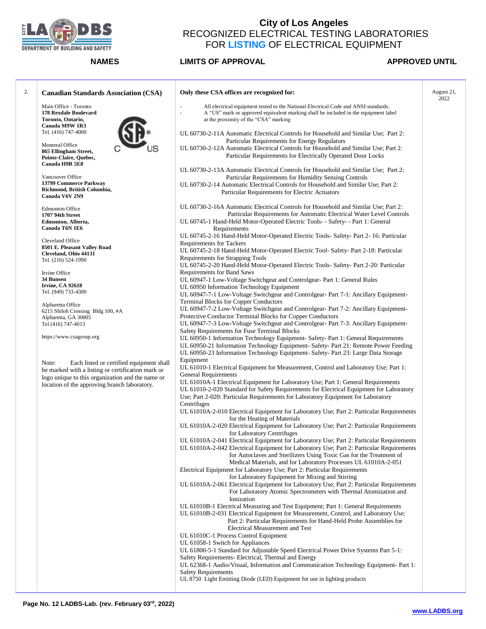

| <b>Canadian Standards Association (CSA)</b>                                                           | Only these CSA offices are recognized for:                                                                                                                                                                                                                                                                                     | August 21,<br>2022 |
|-------------------------------------------------------------------------------------------------------|--------------------------------------------------------------------------------------------------------------------------------------------------------------------------------------------------------------------------------------------------------------------------------------------------------------------------------|--------------------|
| Main Office - Toronto<br>178 Rexdale Boulevard<br>Toronto, Ontario,                                   | All electrical equipment tested to the National Electrical Code and ANSI standards.<br>A "US" mark or approved equivalent marking shall be included in the equipment label<br>÷,<br>at the proximity of the "CSA" marking                                                                                                      |                    |
| Canada M9W 1R3                                                                                        |                                                                                                                                                                                                                                                                                                                                |                    |
| Tel. (416) 747-4000                                                                                   | UL 60730-2-11A Automatic Electrical Controls for Household and Similar Use; Part 2:<br>Particular Requirements for Energy Regulators                                                                                                                                                                                           |                    |
| Montreal Office<br>865 Ellingham Street,                                                              | UL 60730-2-12A Automatic Electrical Controls for Household and Similar Use; Part 2:                                                                                                                                                                                                                                            |                    |
| Pointe-Claire, Quebec,<br>Canada H9R 5E8                                                              | Particular Requirements for Electrically Operated Door Locks                                                                                                                                                                                                                                                                   |                    |
|                                                                                                       | UL 60730-2-13A Automatic Electrical Controls for Household and Similar Use; Part 2:                                                                                                                                                                                                                                            |                    |
| Vancouver Office<br>13799 Commerce Parkway                                                            | Particular Requirements for Humidity Sensing Controls<br>UL 60730-2-14 Automatic Electrical Controls for Household and Similar Use; Part 2:                                                                                                                                                                                    |                    |
| Richmond, British Columbia,<br>Canada V6V 2N9                                                         | Particular Requirements for Electric Actuators                                                                                                                                                                                                                                                                                 |                    |
| <b>Edmonton Office</b><br>1707 94th Street                                                            | UL 60730-2-16A Automatic Electrical Controls for Household and Similar Use; Part 2:<br>Particular Requirements for Automatic Electrical Water Level Controls                                                                                                                                                                   |                    |
| Edmonton, Alberta,                                                                                    | UL 60745-1 Hand-Held Motor-Operated Electric Tools- - Safety- - Part 1: General                                                                                                                                                                                                                                                |                    |
| Canada T6N 1E6                                                                                        | Requirements<br>UL 60745-2-16 Hand-Held Motor-Operated Electric Tools- Safety- Part 2-16: Particular                                                                                                                                                                                                                           |                    |
| Cleveland Office                                                                                      | <b>Requirements for Tackers</b>                                                                                                                                                                                                                                                                                                |                    |
| 8501 E. Pleasant Valley Road<br>Cleveland, Ohio 44131                                                 | UL 60745-2-18 Hand-Held Motor-Operated Electric Tool- Safety- Part 2-18: Particular                                                                                                                                                                                                                                            |                    |
| Tel. (216) 524-1990                                                                                   | Requirements for Strapping Tools<br>UL 60745-2-20 Hand-Held Motor-Operated Electric Tools-Safety- Part 2-20: Particular                                                                                                                                                                                                        |                    |
| Irvine Office                                                                                         | <b>Requirements for Band Saws</b>                                                                                                                                                                                                                                                                                              |                    |
| 34 Bunsen<br><b>Irvine, CA 92618</b>                                                                  | UL 60947-1 Low-Voltage Switchgear and Controlgear- Part 1: General Rules                                                                                                                                                                                                                                                       |                    |
| Tel. (949) 733-4300                                                                                   | UL 60950 Information Technology Equipment<br>UL 60947-7-1 Low-Voltage Switchgear and Controlgear- Part 7-1: Ancillary Equipment-                                                                                                                                                                                               |                    |
| Alpharetta Office                                                                                     | <b>Terminal Blocks for Copper Conductors</b>                                                                                                                                                                                                                                                                                   |                    |
| 6215 Shiloh Crossing Bldg 100, #A                                                                     | UL 60947-7-2 Low-Voltage Switchgear and Controlgear- Part 7-2: Ancillary Equipment-<br>Protective Conductor Terminal Blocks for Copper Conductors                                                                                                                                                                              |                    |
| Alpharetta, GA 30005<br>Tel (416) 747-4013                                                            | UL 60947-7-3 Low-Voltage Switchgear and Controlgear- Part 7-3: Ancillary Equipment-<br>Safety Requirements for Fuse Terminal Blocks                                                                                                                                                                                            |                    |
| https://www.csagroup.org                                                                              | UL 60950-1 Information Technology Equipment- Safety- Part 1: General Requirements<br>UL 60950-21 Information Technology Equipment- Safety- Part 21: Remote Power Feeding<br>UL 60950-23 Information Technology Equipment- Safety-Part 23: Large Data Storage                                                                   |                    |
| Note:<br>Each listed or certified equipment shall                                                     | Equipment                                                                                                                                                                                                                                                                                                                      |                    |
| be marked with a listing or certification mark or<br>logo unique to this organization and the name or | UL 61010-1 Electrical Equipment for Measurement, Control and Laboratory Use; Part 1:<br><b>General Requirements</b>                                                                                                                                                                                                            |                    |
| location of the approving branch laboratory.                                                          | UL 61010A-1 Electrical Equipment for Laboratory Use; Part 1: General Requirements<br>UL 61010-2-020 Standard for Safety Requirements for Electrical Equipment for Laboratory<br>Use; Part 2-020: Particular Requirements for Laboratory Equipment for Laboratory                                                               |                    |
|                                                                                                       | Centrifuges<br>UL 61010A-2-010 Electrical Equipment for Laboratory Use; Part 2: Particular Requirements                                                                                                                                                                                                                        |                    |
|                                                                                                       | for the Heating of Materials<br>UL 61010A-2-020 Electrical Equipment for Laboratory Use; Part 2: Particular Requirements                                                                                                                                                                                                       |                    |
|                                                                                                       | for Laboratory Centrifuges                                                                                                                                                                                                                                                                                                     |                    |
|                                                                                                       | UL 61010A-2-041 Electrical Equipment for Laboratory Use; Part 2: Particular Requirements<br>UL 61010A-2-042 Electrical Equipment for Laboratory Use; Part 2: Particular Requirements<br>for Autoclaves and Sterilizers Using Toxic Gas for the Treatment of<br>Medical Materials, and for Laboratory Processes UL 61010A-2-051 |                    |
|                                                                                                       | Electrical Equipment for Laboratory Use; Part 2: Particular Requirements                                                                                                                                                                                                                                                       |                    |
|                                                                                                       | for Laboratory Equipment for Mixing and Stirring<br>UL 61010A-2-061 Electrical Equipment for Laboratory Use; Part 2: Particular Requirements<br>For Laboratory Atomic Spectrometers with Thermal Atomization and                                                                                                               |                    |
|                                                                                                       | Ionization<br>UL 61010B-1 Electrical Measuring and Test Equipment; Part 1: General Requirements                                                                                                                                                                                                                                |                    |
|                                                                                                       | UL 61010B-2-031 Electrical Equipment for Measurement, Control, and Laboratory Use;<br>Part 2: Particular Requirements for Hand-Held Probe Assemblies for<br><b>Electrical Measurement and Test</b>                                                                                                                             |                    |
|                                                                                                       | UL 61010C-1 Process Control Equipment                                                                                                                                                                                                                                                                                          |                    |
|                                                                                                       | UL 61058-1 Switch for Appliances                                                                                                                                                                                                                                                                                               |                    |
|                                                                                                       | UL 61800-5-1 Standard for Adjustable Speed Electrical Power Drive Systems Part 5-1:<br>Safety Requirements- Electrical, Thermal and Energy                                                                                                                                                                                     |                    |
|                                                                                                       | UL 62368-1 Audio/Visual, Information and Communication Technology Equipment- Part 1:<br><b>Safety Requirements</b>                                                                                                                                                                                                             |                    |
|                                                                                                       | UL 8750 Light Emitting Diode (LED) Equipment for use in lighting products                                                                                                                                                                                                                                                      |                    |
|                                                                                                       |                                                                                                                                                                                                                                                                                                                                |                    |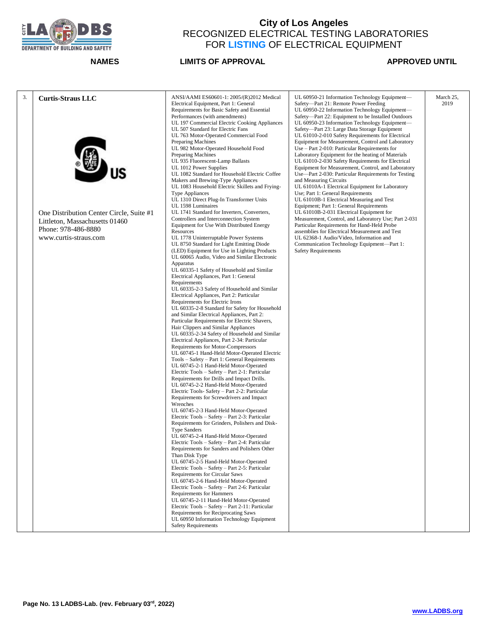

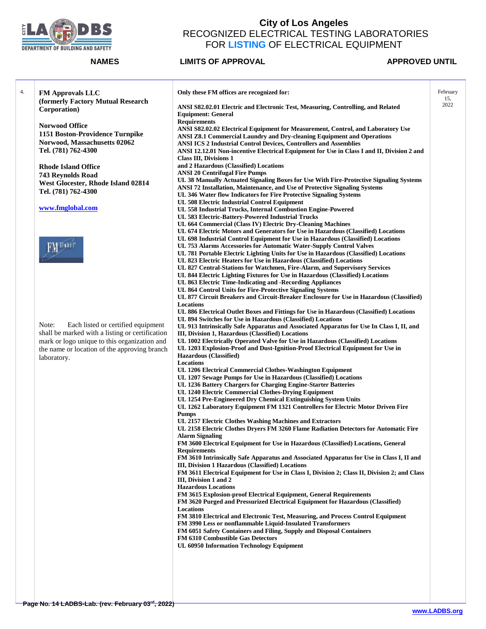

| 4. | <b>FM Approvals LLC</b>                         | Only these FM offices are recognized for:                                                                                                                  | February |
|----|-------------------------------------------------|------------------------------------------------------------------------------------------------------------------------------------------------------------|----------|
|    |                                                 |                                                                                                                                                            | 15,      |
|    | (formerly Factory Mutual Research               | ANSI S82.02.01 Electric and Electronic Test, Measuring, Controlling, and Related                                                                           | 2022     |
|    | Corporation)                                    | <b>Equipment: General</b>                                                                                                                                  |          |
|    |                                                 | <b>Requirements</b>                                                                                                                                        |          |
|    | <b>Norwood Office</b>                           | ANSI S82.02.02 Electrical Equipment for Measurement, Control, and Laboratory Use                                                                           |          |
|    | 1151 Boston-Providence Turnpike                 | ANSI Z8.1 Commercial Laundry and Dry-cleaning Equipment and Operations                                                                                     |          |
|    | Norwood, Massachusetts 02062                    | <b>ANSI ICS 2 Industrial Control Devices, Controllers and Assemblies</b>                                                                                   |          |
|    | Tel. (781) 762-4300                             | ANSI 12.12.01 Non-incentive Electrical Equipment for Use in Class I and II, Division 2 and                                                                 |          |
|    |                                                 | <b>Class III, Divisions 1</b>                                                                                                                              |          |
|    | <b>Rhode Island Office</b>                      | and 2 Hazardous (Classified) Locations                                                                                                                     |          |
|    | 743 Reynolds Road                               | <b>ANSI 20 Centrifugal Fire Pumps</b>                                                                                                                      |          |
|    | West Glocester, Rhode Island 02814              | UL 38 Manually Actuated Signaling Boxes for Use With Fire-Protective Signaling Systems                                                                     |          |
|    | Tel. (781) 762-4300                             | ANSI 72 Installation, Maintenance, and Use of Protective Signaling Systems                                                                                 |          |
|    |                                                 | UL 346 Water flow Indicators for Fire Protective Signaling Systems                                                                                         |          |
|    |                                                 | UL 508 Electric Industrial Control Equipment                                                                                                               |          |
|    | www.fmglobal.com                                | UL 558 Industrial Trucks, Internal Combustion Engine-Powered                                                                                               |          |
|    |                                                 | UL 583 Electric-Battery-Powered Industrial Trucks                                                                                                          |          |
|    |                                                 | UL 664 Commercial (Class IV) Electric Dry-Cleaning Machines                                                                                                |          |
|    |                                                 | UL 674 Electric Motors and Generators for Use in Hazardous (Classified) Locations                                                                          |          |
|    |                                                 | UL 698 Industrial Control Equipment for Use in Hazardous (Classified) Locations                                                                            |          |
|    |                                                 | UL 753 Alarms Accessories for Automatic Water-Supply Control Valves                                                                                        |          |
|    |                                                 | UL 781 Portable Electric Lighting Units for Use in Hazardous (Classified) Locations<br>UL 823 Electric Heaters for Use in Hazardous (Classified) Locations |          |
|    |                                                 | UL 827 Central-Stations for Watchmen, Fire-Alarm, and Supervisory Services                                                                                 |          |
|    |                                                 | UL 844 Electric Lighting Fixtures for Use in Hazardous (Classified) Locations                                                                              |          |
|    |                                                 | UL 863 Electric Time-Indicating and -Recording Appliances                                                                                                  |          |
|    |                                                 | UL 864 Control Units for Fire-Protective Signaling Systems                                                                                                 |          |
|    |                                                 | UL 877 Circuit Breakers and Circuit-Breaker Enclosure for Use in Hazardous (Classified)                                                                    |          |
|    |                                                 | Locations                                                                                                                                                  |          |
|    |                                                 | UL 886 Electrical Outlet Boxes and Fittings for Use in Hazardous (Classified) Locations                                                                    |          |
|    |                                                 | UL 894 Switches for Use in Hazardous (Classified) Locations                                                                                                |          |
|    | Note:<br>Each listed or certified equipment     | UL 913 Intrinsically Safe Apparatus and Associated Apparatus for Use In Class I, II, and                                                                   |          |
|    | shall be marked with a listing or certification | III, Division 1, Hazardous (Classified) Locations                                                                                                          |          |
|    | mark or logo unique to this organization and    | UL 1002 Electrically Operated Valve for Use in Hazardous (Classified) Locations                                                                            |          |
|    | the name or location of the approving branch    | UL 1203 Explosion-Proof and Dust-Ignition-Proof Electrical Equipment for Use in                                                                            |          |
|    | laboratory.                                     | <b>Hazardous</b> (Classified)                                                                                                                              |          |
|    |                                                 | Locations                                                                                                                                                  |          |
|    |                                                 | UL 1206 Electrical Commercial Clothes-Washington Equipment                                                                                                 |          |
|    |                                                 | UL 1207 Sewage Pumps for Use in Hazardous (Classified) Locations<br>UL 1236 Battery Chargers for Charging Engine-Starter Batteries                         |          |
|    |                                                 | UL 1240 Electric Commercial Clothes-Drying Equipment                                                                                                       |          |
|    |                                                 | UL 1254 Pre-Engineered Dry Chemical Extinguishing System Units                                                                                             |          |
|    |                                                 | UL 1262 Laboratory Equipment FM 1321 Controllers for Electric Motor Driven Fire                                                                            |          |
|    |                                                 | <b>Pumps</b>                                                                                                                                               |          |
|    |                                                 | UL 2157 Electric Clothes Washing Machines and Extractors                                                                                                   |          |
|    |                                                 | UL 2158 Electric Clothes Dryers FM 3260 Flame Radiation Detectors for Automatic Fire                                                                       |          |
|    |                                                 | Alarm Signaling                                                                                                                                            |          |
|    |                                                 | FM 3600 Electrical Equipment for Use in Hazardous (Classified) Locations, General                                                                          |          |
|    |                                                 | <b>Requirements</b>                                                                                                                                        |          |
|    |                                                 | FM 3610 Intrinsically Safe Apparatus and Associated Apparatus for Use in Class I, II and                                                                   |          |
|    |                                                 | III, Division 1 Hazardous (Classified) Locations                                                                                                           |          |
|    |                                                 | FM 3611 Electrical Equipment for Use in Class I, Division 2; Class II, Division 2; and Class                                                               |          |
|    |                                                 | III, Division 1 and 2                                                                                                                                      |          |
|    |                                                 | <b>Hazardous Locations</b>                                                                                                                                 |          |
|    |                                                 | FM 3615 Explosion-proof Electrical Equipment, General Requirements                                                                                         |          |
|    |                                                 | FM 3620 Purged and Pressurized Electrical Equipment for Hazardous (Classified)                                                                             |          |
|    |                                                 | Locations                                                                                                                                                  |          |
|    |                                                 | FM 3810 Electrical and Electronic Test, Measuring, and Process Control Equipment<br>FM 3990 Less or nonflammable Liquid-Insulated Transformers             |          |
|    |                                                 | FM 6051 Safety Containers and Filing, Supply and Disposal Containers                                                                                       |          |
|    |                                                 | <b>FM 6310 Combustible Gas Detectors</b>                                                                                                                   |          |
|    |                                                 | UL 60950 Information Technology Equipment                                                                                                                  |          |
|    |                                                 |                                                                                                                                                            |          |
|    |                                                 |                                                                                                                                                            |          |
|    |                                                 |                                                                                                                                                            |          |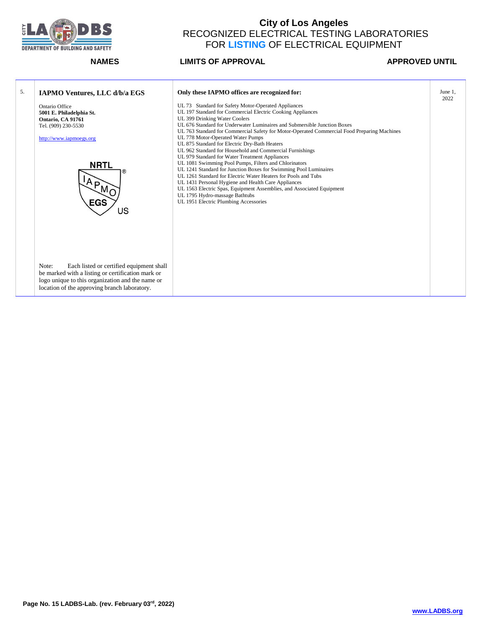

| 5. | IAPMO Ventures, LLC d/b/a EGS                                                                                                                                                                              | Only these IAPMO offices are recognized for:                                                                                                                                                                                                                                                                                                                                                                                                                                                                                                                                                                                                                                                                                                                                                                                                                                                                                                | June 1,<br>2022 |
|----|------------------------------------------------------------------------------------------------------------------------------------------------------------------------------------------------------------|---------------------------------------------------------------------------------------------------------------------------------------------------------------------------------------------------------------------------------------------------------------------------------------------------------------------------------------------------------------------------------------------------------------------------------------------------------------------------------------------------------------------------------------------------------------------------------------------------------------------------------------------------------------------------------------------------------------------------------------------------------------------------------------------------------------------------------------------------------------------------------------------------------------------------------------------|-----------------|
|    | Ontario Office<br>5001 E. Philadelphia St.<br>Ontario, CA 91761<br>Tel. (909) 230-5530<br>http://www.iapmoegs.org<br><b>NRTL</b><br>$A_{P_{M_Q}}$<br><b>EGS</b><br>US                                      | UL 73 Standard for Safety Motor-Operated Appliances<br>UL 197 Standard for Commercial Electric Cooking Appliances<br>UL 399 Drinking Water Coolers<br>UL 676 Standard for Underwater Luminaires and Submersible Junction Boxes<br>UL 763 Standard for Commercial Safety for Motor-Operated Commercial Food Preparing Machines<br>UL 778 Motor-Operated Water Pumps<br>UL 875 Standard for Electric Dry-Bath Heaters<br>UL 962 Standard for Household and Commercial Furnishings<br>UL 979 Standard for Water Treatment Appliances<br>UL 1081 Swimming Pool Pumps, Filters and Chlorinators<br>UL 1241 Standard for Junction Boxes for Swimming Pool Luminaires<br>UL 1261 Standard for Electric Water Heaters for Pools and Tubs<br>UL 1431 Personal Hygiene and Health Care Appliances<br>UL 1563 Electric Spas, Equipment Assemblies, and Associated Equipment<br>UL 1795 Hydro-massage Bathtubs<br>UL 1951 Electric Plumbing Accessories |                 |
|    | Note:<br>Each listed or certified equipment shall<br>be marked with a listing or certification mark or<br>logo unique to this organization and the name or<br>location of the approving branch laboratory. |                                                                                                                                                                                                                                                                                                                                                                                                                                                                                                                                                                                                                                                                                                                                                                                                                                                                                                                                             |                 |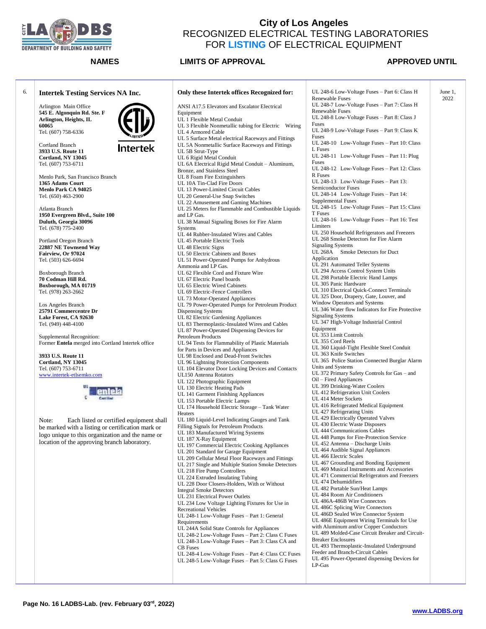

## **NAMES LIMITS OF APPROVAL APPROVED UNTIL**

June 1, 2022

| 6. | <b>Intertek Testing Services NA Inc.</b>                                        | Only these Intertek offices Recognized for:                                               |
|----|---------------------------------------------------------------------------------|-------------------------------------------------------------------------------------------|
|    | Arlington Main Office<br>545 E. Algonquin Rd. Ste. F                            | ANSI A17.5 Elevators and Escalator Electrical<br>Equipment                                |
|    | Arlington, Heights, IL                                                          | UL 1 Flexible Metal Conduit                                                               |
|    | 60065                                                                           | UL 3 Flexible Nonmetallic tubing for Electric Wiring                                      |
|    | Tel. (607) 758-6336                                                             | UL 4 Armored Cable                                                                        |
|    |                                                                                 | UL 5 Surface Metal electrical Raceways and Fittings                                       |
|    | <b>Cortland Branch</b><br>Intertek                                              | UL 5A Nonmetallic Surface Raceways and Fittings                                           |
|    | 3933 U.S. Route 11                                                              | UL 5B Strut-Type                                                                          |
|    | Cortland, NY 13045                                                              | UL 6 Rigid Metal Conduit                                                                  |
|    | Tel. (607) 753-6711                                                             | UL 6A Electrical Rigid Metal Conduit - Aluminum,                                          |
|    |                                                                                 | Bronze, and Stainless Steel                                                               |
|    | Menlo Park, San Francisco Branch                                                | UL 8 Foam Fire Extinguishers                                                              |
|    | 1365 Adams Court                                                                | UL 10A Tin-Clad Fire Doors                                                                |
|    | Menlo Park CA 94025                                                             | UL 13 Power-Limited Circuit Cables                                                        |
|    | Tel. (650) 463-2900                                                             | UL 20 General-Use Snap Switches                                                           |
|    | Atlanta Branch                                                                  | UL 22 Amusement and Gaming Machines<br>UL 25 Meters for Flammable and Combustible Liquids |
|    | 1950 Evergreen Blvd., Suite 100                                                 | and LP Gas.                                                                               |
|    | Duluth, Georgia 30096                                                           | UL 38 Manual Signaling Boxes for Fire Alarm                                               |
|    | Tel. (678) 775-2400                                                             | Systems                                                                                   |
|    |                                                                                 | UL 44 Rubber-Insulated Wires and Cables                                                   |
|    | Portland Oregon Branch                                                          | UL 45 Portable Electric Tools                                                             |
|    | 22887 NE Townsend Way                                                           | UL 48 Electric Signs                                                                      |
|    | Fairview, Or 97024                                                              | UL 50 Electric Cabinets and Boxes                                                         |
|    | Tel. (503) 626-6694                                                             | UL 51 Power-Operated Pumps for Anhydrous                                                  |
|    |                                                                                 | Ammonia and LP Gas.                                                                       |
|    | Boxborough Branch                                                               | UL 62 Flexible Cord and Fixture Wire                                                      |
|    | 70 Codman Hill Rd.                                                              | UL 67 Electric Panel boards                                                               |
|    | Boxborough, MA 01719                                                            | UL 65 Electric Wired Cabinets                                                             |
|    | Tel. (978) 263-2662                                                             | UL 69 Electric-Fence Controllers                                                          |
|    |                                                                                 | UL 73 Motor-Operated Appliances                                                           |
|    | Los Angeles Branch                                                              | UL 79 Power-Operated Pumps for Petroleum Product                                          |
|    | 25791 Commercentre Dr                                                           | Dispensing Systems                                                                        |
|    | Lake Forest, CA 92630                                                           | UL 82 Electric Gardening Appliances                                                       |
|    | Tel. (949) 448-4100                                                             | UL 83 Thermoplastic-Insulated Wires and Cables                                            |
|    |                                                                                 | UL 87 Power-Operated Dispensing Devices for<br>Petroleum Products                         |
|    | Supplemental Recognition:<br>Former Entela merged into Cortland Intertek office | UL 94 Tests for Flammability of Plastic Materials                                         |
|    |                                                                                 | for Parts in Devices and Appliances                                                       |
|    | 3933 U.S. Route 11                                                              | UL 98 Enclosed and Dead-Front Switches                                                    |
|    | Cortland, NY 13045                                                              | UL 96 Lightning Protection Components                                                     |
|    | Tel. (607) 753-6711                                                             | UL 104 Elevator Door Locking Devices and Contacts                                         |
|    | www.intertek-etlsemko.com                                                       | UL150 Antenna Rotators                                                                    |
|    |                                                                                 | UL 122 Photographic Equipment                                                             |
|    | IJΣ                                                                             | UL 130 Electric Heating Pads                                                              |
|    |                                                                                 | UL 141 Garment Finishing Appliances                                                       |
|    |                                                                                 | UL 153 Portable Electric Lamps                                                            |
|    |                                                                                 | UL 174 Household Electric Storage - Tank Water                                            |
|    |                                                                                 | Heaters                                                                                   |
|    | Each listed or certified equipment shall<br>Note:                               | UL 180 Liquid-Level Indicating Gauges and Tank                                            |
|    | be marked with a listing or certification mark or                               | Filling Signals for Petroleum Products                                                    |
|    | logo unique to this organization and the name or                                | UL 183 Manufactured Wiring Systems                                                        |
|    | location of the approving branch laboratory.                                    | UL 187 X-Ray Equipment                                                                    |
|    |                                                                                 | UL 197 Commercial Electric Cooking Appliances                                             |
|    |                                                                                 | UL 201 Standard for Garage Equipment<br>UL 209 Cellular Metal Floor Raceways and Fittings |
|    |                                                                                 | UL 217 Single and Multiple Station Smoke Detectors                                        |
|    |                                                                                 | UL 218 Fire Pump Controllers                                                              |
|    |                                                                                 | UL 224 Extruded Insulating Tubing                                                         |
|    |                                                                                 | UL 228 Door Closers-Holders, With or Without                                              |
|    |                                                                                 | <b>Integral Smoke Detectors</b>                                                           |
|    |                                                                                 | UL 231 Electrical Power Outlets                                                           |
|    |                                                                                 | UL 234 Low Voltage Lighting Fixtures for Use in                                           |
|    |                                                                                 | <b>Recreational Vehicles</b>                                                              |
|    |                                                                                 | UL 248-1 Low-Voltage Fuses - Part 1: General                                              |
|    |                                                                                 | Requirements                                                                              |
|    |                                                                                 | UL 244A Solid State Controls for Appliances                                               |
|    |                                                                                 | UL 248-2 Low-Voltage Fuses - Part 2: Class C Fuses                                        |
|    |                                                                                 | UL 248-3 Low-Voltage Fuses – Part 3: Class CA and                                         |
|    |                                                                                 | <b>CB</b> Fuses                                                                           |
|    |                                                                                 | UL 248-4 Low-Voltage Fuses - Part 4: Class CC Fuses                                       |
|    |                                                                                 | UL 248-5 Low-Voltage Fuses - Part 5: Class G Fuses                                        |
|    |                                                                                 |                                                                                           |
|    |                                                                                 |                                                                                           |

| UL 248-6 Low-Voltage Fuses - Part 6: Class H                                     |
|----------------------------------------------------------------------------------|
| Renewable Fuses<br>UL 248-7 Low-Voltage Fuses - Part 7: Class H                  |
| Renewable Fuses                                                                  |
| UL 248-8 Low-Voltage Fuses - Part 8: Class J                                     |
| Fuses<br>UL 248-9 Low-Voltage Fuses - Part 9: Class K                            |
| Fuses                                                                            |
| UL 248-10 Low-Voltage Fuses - Part 10: Class                                     |
| L Fuses                                                                          |
| UL 248-11<br>Low-Voltage Fuses - Part 11: Plug<br>Fuses                          |
| UL 248-12 Low-Voltage Fuses - Part 12: Class                                     |
| R Fuses                                                                          |
| UL 248-13 Low-Voltage Fuses - Part 13:<br>Semiconductor Fuses                    |
| UL 248-14 Low-Voltage Fuses - Part 14:                                           |
| Supplemental Fuses                                                               |
| UL 248-15 Low-Voltage Fuses - Part 15: Class                                     |
| T Fuses<br>UL 248-16 Low-Voltage Fuses - Part 16: Test                           |
| Limiters                                                                         |
| UL 250 Household Refrigerators and Freezers                                      |
| UL 268 Smoke Detectors for Fire Alarm                                            |
| <b>Signaling Systems</b><br><b>UL 268A</b><br>Smoke Detectors for Duct           |
| Application                                                                      |
| UL 291 Automated Teller Systems                                                  |
| UL 294 Access Control System Units<br>UL 298 Portable Electric Hand Lamps        |
| UL 305 Panic Hardware                                                            |
| UL 310 Electrical Quick-Connect Terminals                                        |
| UL 325 Door, Drapery, Gate, Louver, and                                          |
| Window Operators and Systems<br>UL 346 Water flow Indicators for Fire Protective |
| <b>Signaling Systems</b>                                                         |
| UL 347 High-Voltage Industrial Control                                           |
| Equipment<br>UL 353 Limit Controls                                               |
| UL 355 Cord Reels                                                                |
| UL 360 Liquid-Tight Flexible Steel Conduit                                       |
| UL 363 Knife Switches                                                            |
| UL 365 Police Station Connected Burglar Alarm<br>Units and Systems               |
| UL 372 Primary Safety Controls for Gas – and                                     |
| Oil – Fired Appliances                                                           |
| UL 399 Drinking-Water Coolers                                                    |
| UL 412 Refrigeration Unit Coolers<br>UL 414 Meter Sockets                        |
| UL 416 Refrigerated Medical Equipment                                            |
| UL 427 Refrigerating Units                                                       |
| UL 429 Electrically Operated Valves<br>UL 430 Electric Waste Disposers           |
| UL 444 Communications Cables                                                     |
| UL 448 Pumps for Fire-Protection Service                                         |
| UL 452 Antenna - Discharge Units<br>UL 464 Audible Signal Appliances             |
| UL 466 Electric Scales                                                           |
| UL 467 Grounding and Bonding Equipment                                           |
| UL 469 Musical Instruments and Accessories                                       |
| UL 471 Commercial Refrigerators and Freezers<br>UL 474 Dehumidifiers             |
| UL 482 Portable Sun/Heat Lamps                                                   |
| UL 484 Room Air Conditioners                                                     |
| UL 486A-486B Wire Connectors                                                     |
| UL 486C Splicing Wire Connectors<br>UL 486D Sealed Wire Connector System         |
| UL 486E Equipment Wiring Terminals for Use                                       |
| with Aluminum and/or Copper Conductors                                           |
| UL 489 Molded-Case Circuit Breaker and Circuit-<br><b>Breaker Enclosures</b>     |
| UL 493 Thermoplastic-Insulated Underground                                       |
| Feeder and Branch-Circuit Cables                                                 |
| UL 495 Power-Operated dispensing Devices for                                     |
| LP-Gas                                                                           |
|                                                                                  |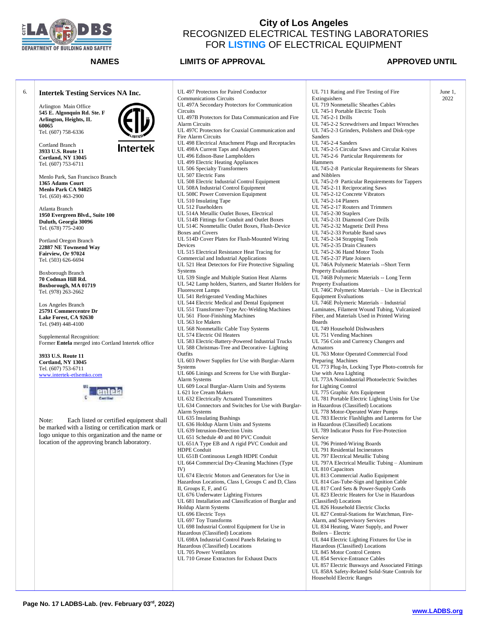

**NAMES LIMITS OF APPROVAL APPROVED UNTIL** 

June 1, 2022



UL 711 Rating and Fire Testing of Fire Extinguishers UL 719 Nonmetallic Sheathes Cables UL 745-1 Portable Electric Tools UL 745-2-1 Drills UL 745-2-2 Screwdrivers and Impact Wrenches UL 745-2-3 Grinders, Polishers and Disk-type UL 745-2-4 Sanders UL 745-2-5 Circular Saws and Circular Knives UL 745-2-6 Particular Requirements for UL 745-2-8 Particular Requirements for Shears UL 745-2-9 Particular Requirements for Tappers UL 745-2-11 Reciprocating Saws UL 745-2-12 Concrete Vibrators UL 745-2-14 Planers UL 745-2-17 Routers and Trimmers UL 745-2-30 Staplers UL 745-2-31 Diamond Core Drills UL 745-2-32 Magnetic Drill Press UL 745-2-33 Portable Band saws UL 745-2-34 Strapping Tools UL 745-2-35 Drain Cleaners UL 745-2-36 Hand Motor Tools UL 745-2-37 Plate Joiners UL 746A Polymeric Materials --Short Term Property Evaluations UL 746B Polymeric Materials -- Long Term Property Evaluations UL 746C Polymeric Materials – Use in Electrical Equipment Evaluations UL 746E Polymeric Materials – Industrial Laminates, Filament Wound Tubing, Vulcanized Fiber, and Materials Used in Printed Wiring UL 749 Household Dishwashers UL 751 Vending Machines UL 756 Coin and Currency Changers and UL 763 Motor Operated Commercial Food Preparing Machines UL 773 Plug-In, Locking Type Photo-controls for Use with Area Lighting UL 773A Nonindustrial Photoelectric Switches for Lighting Control UL 775 Graphic Arts Equipment UL 781 Portable Electric Lighting Units for Use in Hazardous (Classified) Locations UL 778 Motor-Operated Water Pumps UL 783 Electric Flashlights and Lanterns for Use in Hazardous (Classified) Locations UL 789 Indicator Posts for Fire-Protection UL 796 Printed-Wiring Boards UL 791 Residential Incinerators UL 797 Electrical Metallic Tubing UL 797A Electrical Metallic Tubing – Aluminum UL 810 Capacitors UL 813 Commercial Audio Equipment UL 814 Gas-Tube-Sign and Ignition Cable UL 817 Cord Sets & Power-Supply Cords UL 823 Electric Heaters for Use in Hazardous (Classified) Locations UL 826 Household Electric Clocks UL 827 Central-Stations for Watchman, Fire-Alarm, and Supervisory Services UL 834 Heating, Water Supply, and Power Boilers – Electric UL 844 Electric Lighting Fixtures for Use in Hazardous (Classified) Locations UL 845 Motor Control Centers UL 854 Service-Entrance Cables UL 857 Electric Busways and Associated Fittings UL 858A Safety-Related Solid-State Controls for Household Electric Ranges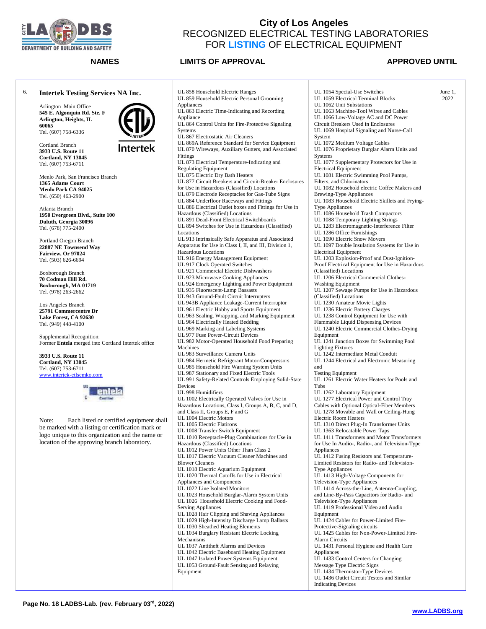

### **NAMES LIMITS OF APPROVAL**  APPROVED UNTIL

June 1, 2022

### 6. **Intertek Testing Services NA Inc.** Appliances Arlington Main Office **545 E. Algonquin Rd. Ste. F** Appliance **Arlington, Heights, IL 60065** Systems Tel. (607) 758-6336 Cortland Branch Intertek **3933 U.S. Route 11** Fittings **Cortland, NY 13045** Tel. (607) 753-6711 Menlo Park, San Francisco Branch **1365 Adams Court Menlo Park CA 94025** Tel. (650) 463-2900 Atlanta Branch **1950 Evergreen Blvd., Suite 100 Duluth, Georgia 30096** Tel. (678) 775-2400 Locations Portland Oregon Branch **22887 NE Townsend Way Fairview, Or 97024** Tel. (503) 626-6694 Boxborough Branch **70 Codman Hill Rd. Boxborough, MA 01719** Tel. (978) 263-2662 Los Angeles Branch **25791 Commercentre Dr Lake Forest, CA 92630** Tel. (949) 448-4100 Supplemental Recognition: Former **Entela** merged into Cortland Intertek office Machines **3933 U.S. Route 11 Cortland, NY 13045** Tel. (607) 753-6711 [www.intertek-etlsemko.com](http://www.intertek-etlsemko.com/) Devices Note: Each listed or certified equipment shall be marked with a listing or certification mark or logo unique to this organization and the name or location of the approving branch laboratory. Mechanisms Equipment

UL 858 Household Electric Ranges UL 859 Household Electric Personal Grooming UL 863 Electric Time-Indicating and Recording UL 864 Control Units for Fire-Protective Signaling UL 867 Electrostatic Air Cleaners UL 869A Reference Standard for Service Equipment UL 870 Wireways, Auxiliary Gutters, and Associated UL 873 Electrical Temperature-Indicating and Regulating Equipment UL 875 Electric Dry Bath Heaters UL 877 Circuit Breakers and Circuit-Breaker Enclosures for Use in Hazardous (Classified) Locations UL 879 Electrode Receptacles for Gas-Tube Signs UL 884 Underfloor Raceways and Fittings UL 886 Electrical Outlet boxes and Fittings for Use in Hazardous (Classified) Locations UL 891 Dead-Front Electrical Switchboards UL 894 Switches for Use in Hazardous (Classified) UL 913 Intrinsically Safe Apparatus and Associated Apparatus for Use in Class I, II, and III, Division 1, Hazardous Locations UL 916 Energy Management Equipment UL 917 Clock Operated Switches UL 921 Commercial Electric Dishwashers UL 923 Microwave Cooking Appliances UL 924 Emergency Lighting and Power Equipment UL 935 Fluorescent-Lamp Bassasts UL 943 Ground-Fault Circuit Interrupters UL 943B Appliance Leakage-Current Interruptor UL 961 Electric Hobby and Sports Equipment UL 963 Sealing, Wrapping, and Marking Equipment UL 964 Electrically Heated Bedding UL 969 Marking and Labeling Systems UL 977 Fuse Power-Circuit Devices UL 982 Motor-Operated Household Food Preparing UL 983 Surveillance Camera Units UL 984 Hermetic Refrigerant Motor-Compressors UL 985 Household Fire Warning System Units UL 987 Stationary and Fixed Electric Tools UL 991 Safety-Related Controls Employing Solid-State UL 998 Humidifiers UL 1002 Electrically Operated Valves for Use in Hazardous Locations, Class I, Groups A, B, C, and D, and Class II, Groups E, F and G UL 1004 Electric Motors UL 1005 Electric Flatirons UL 1008 Transfer Switch Equipment UL 1010 Receptacle-Plug Combinations for Use in Hazardous (Classified) Locations UL 1012 Power Units Other Than Class 2 UL 1017 Electric Vacuum Cleaner Machines and Blower Cleaners UL 1018 Electric Aquarium Equipment UL 1020 Thermal Cutoffs for Use in Electrical Appliances and Components UL 1022 Line Isolated Monitors UL 1023 Household Burglar-Alarm System Units UL 1026 Household Electric Cooking and Food-Serving Appliances UL 1028 Hair Clipping and Shaving Appliances UL 1029 High-Intensity Discharge Lamp Ballasts UL 1030 Sheathed Heating Elements UL 1034 Burglary Resistant Electric Locking UL 1037 Antitheft Alarms and Devices UL 1042 Electric Baseboard Heating Equipment UL 1047 Isolated Power Systems Equipment UL 1053 Ground-Fault Sensing and Relaying

UL 1054 Special-Use Switches UL 1059 Electrical Terminal Blocks UL 1062 Unit Substations UL 1063 Machine-Tool Wires and Cables UL 1066 Low-Voltage AC and DC Power Circuit Breakers Used in Enclosures UL 1069 Hospital Signaling and Nurse-Call System UL 1072 Medium Voltage Cables UL 1076 Proprietary Burglar Alarm Units and **Systems** UL 1077 Supplementary Protectors for Use in Electrical Equipment UL 1081 Electric Swimming Pool Pumps, Filters, and Chlorinators UL 1082 Household electric Coffee Makers and Brewing-Type Appliances UL 1083 Household Electric Skillets and Frying-Type Appliances UL 1086 Household Trash Compactors UL 1088 Temporary Lighting Strings UL 1283 Electromagnetic-Interference Filter UL 1286 Office Furnishings UL 1090 Electric Snow Movers UL 1097 Double Insulation Systems for Use in Electrical Equipment UL 1203 Explosion-Proof and Dust-Ignition-Proof Electrical Equipment for Use in Hazardous (Classified) Locations UL 1206 Electrical Commercial Clothes-Washing Equipment UL 1207 Sewage Pumps for Use in Hazardous (Classified) Locations UL 1230 Amateur Movie Lights UL 1236 Electric Battery Charges UL 1238 Control Equipment for Use with Flammable Liquid Dispensing Devices UL 1240 Electric Commercial Clothes-Drying Equipment UL 1241 Junction Boxes for Swimming Pool Lighting Fixtures UL 1242 Intermediate Metal Conduit UL 1244 Electrical and Electronic Measuring and Testing Equipment UL 1261 Electric Water Heaters for Pools and Tubs UL 1262 Laboratory Equipment UL 1277 Electrical Power and Control Tray Cables with Optional Optical-Fiber Members UL 1278 Movable and Wall or Ceiling-Hung Electric Room Heaters UL 1310 Direct Plug-In Transformer Units UL 1363 Relocatable Power Taps UL 1411 Transformers and Motor Transformers for Use In Audio-, Radio-, and Television-Type Appliances UL 1412 Fusing Resistors and Temperature-Limited Resistors for Radio- and Television-Type Appliances UL 1413 High-Voltage Components for Television-Type Appliances UL 1414 Across-the-Line, Antenna-Coupling, and Line-By-Pass Capacitors for Radio- and Television-Type Appliances UL 1419 Professional Video and Audio Equipment UL 1424 Cables for Power-Limited Fire-Protective-Signaling circuits UL 1425 Cables for Non-Power-Limited Fire-Alarm Circuits UL 1431 Personal Hygiene and Health Care Appliances UL 1433 Control Centers for Changing Message Type Electric Signs UL 1434 Thermistor-Type Devices UL 1436 Outlet Circuit Testers and Similar Indicating Devices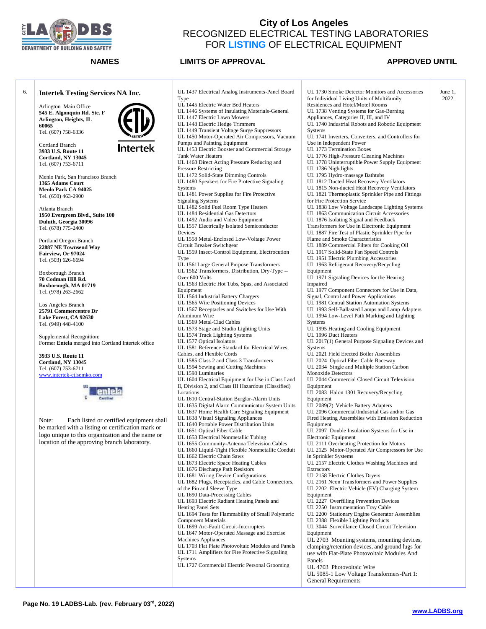

### **NAMES LIMITS OF APPROVAL APPROVED UNTIL**

June 1, 2022

| 6. | <b>Intertek Testing Services NA Inc.</b>           | UL 1437 Electrical Analog Instruments-Panel Board                                                           | UL 1730 Smoke Detector Monitors and Accessories                                               |
|----|----------------------------------------------------|-------------------------------------------------------------------------------------------------------------|-----------------------------------------------------------------------------------------------|
|    |                                                    | Type<br>UL 1445 Electric Water Bed Heaters                                                                  | for Individual Living Units of Multifamily<br>Residences and Hotel/Motel Rooms                |
|    | Arlington Main Office                              | UL 1446 Systems of Insulating Materials-General                                                             | UL 1738 Venting Systems for Gas-Burning                                                       |
|    | 545 E. Algonquin Rd. Ste. F                        | UL 1447 Electric Lawn Mowers                                                                                | Appliances, Categories II, III, and IV                                                        |
|    | Arlington, Heights, IL                             | UL 1448 Electric Hedge Trimmers                                                                             | UL 1740 Industrial Robots and Robotic Equipment                                               |
|    | 60065                                              | UL 1449 Transient Voltage Surge Suppressors                                                                 | Systems                                                                                       |
|    | Tel. (607) 758-6336                                | UL 1450 Motor-Operated Air Compressors, Vacuum                                                              | UL 1741 Inverters, Converters, and Controllers for                                            |
|    | Cortland Branch                                    | Pumps and Painting Equipment                                                                                | Use in Independent Power                                                                      |
|    | <b>Intertek</b><br>3933 U.S. Route 11              | UL 1453 Electric Booster and Commercial Storage                                                             | UL 1773 Termination Boxes                                                                     |
|    | Cortland, NY 13045                                 | <b>Tank Water Heaters</b>                                                                                   | UL 1776 High-Pressure Cleaning Machines                                                       |
|    | Tel. (607) 753-6711                                | UL 1468 Direct Acting Pressure Reducing and                                                                 | UL 1778 Uninterruptible Power Supply Equipment                                                |
|    |                                                    | <b>Pressure Restricting</b>                                                                                 | UL 1786 Nightlights                                                                           |
|    | Menlo Park, San Francisco Branch                   | UL 1472 Solid-State Dimming Controls                                                                        | UL 1795 Hydro-massage Bathtubs                                                                |
|    | 1365 Adams Court                                   | UL 1480 Speakers for Fire Protective Signaling                                                              | UL 1812 Ducted Heat Recovery Ventilators                                                      |
|    | Menlo Park CA 94025                                | Systems                                                                                                     | UL 1815 Non-ducted Heat Recovery Ventilators                                                  |
|    | Tel. (650) 463-2900                                | UL 1481 Power Supplies for Fire Protective                                                                  | UL 1821 Thermoplastic Sprinkler Pipe and Fittings                                             |
|    |                                                    | <b>Signaling Systems</b>                                                                                    | for Fire Protection Service                                                                   |
|    | Atlanta Branch                                     | UL 1482 Solid Fuel Room Type Heaters                                                                        | UL 1838 Low Voltage Landscape Lighting Systems                                                |
|    | 1950 Evergreen Blvd., Suite 100                    | UL 1484 Residential Gas Detectors                                                                           | UL 1863 Communication Circuit Accessories                                                     |
|    | Duluth, Georgia 30096                              | UL 1492 Audio and Video Equipment<br>UL 1557 Electrically Isolated Semiconductor                            | UL 1876 Isolating Signal and Feedback<br>Transformers for Use in Electronic Equipment         |
|    | Tel. (678) 775-2400                                | Devices                                                                                                     | UL 1887 Fire Test of Plastic Sprinkler Pipe for                                               |
|    |                                                    | UL 1558 Metal-Enclosed Low-Voltage Power                                                                    | Flame and Smoke Characteristics                                                               |
|    | Portland Oregon Branch                             | Circuit Breaker Switchgear                                                                                  | UL 1889 Commercial Filters for Cooking Oil                                                    |
|    | 22887 NE Townsend Way<br>Fairview, Or 97024        | UL 1559 Insect-Control Equipment, Electrocution                                                             | UL 1917 Solid-State Fan Speed Controls                                                        |
|    | Tel. (503) 626-6694                                | Type                                                                                                        | UL 1951 Electric Plumbing Accessories                                                         |
|    |                                                    | UL 1561 Large General Purpose Transformers                                                                  | UL 1963 Refrigerant Recovery/Recycling                                                        |
|    | Boxborough Branch                                  | UL 1562 Transformers, Distribution, Dry-Type --                                                             | Equipment                                                                                     |
|    | 70 Codman Hill Rd.                                 | Over 600 Volts                                                                                              | UL 1971 Signaling Devices for the Hearing                                                     |
|    | Boxborough, MA 01719                               | UL 1563 Electric Hot Tubs, Spas, and Associated                                                             | Impaired                                                                                      |
|    | Tel. (978) 263-2662                                | Equipment                                                                                                   | UL 1977 Component Connectors for Use in Data,                                                 |
|    |                                                    | UL 1564 Industrial Battery Chargers                                                                         | Signal, Control and Power Applications                                                        |
|    | Los Angeles Branch                                 | UL 1565 Wire Positioning Devices                                                                            | UL 1981 Central Station Automation Systems                                                    |
|    | 25791 Commercentre Dr                              | UL 1567 Receptacles and Switches for Use With<br>Aluminum Wire                                              | UL 1993 Self-Ballasted Lamps and Lamp Adapters<br>UL 1994 Low-Level Path Marking and Lighting |
|    | Lake Forest, CA 92630                              | UL 1569 Metal-Clad Cables                                                                                   | Systems                                                                                       |
|    | Tel. (949) 448-4100                                | UL 1573 Stage and Studio Lighting Units                                                                     | UL 1995 Heating and Cooling Equipment                                                         |
|    | Supplemental Recognition:                          | UL 1574 Track Lighting Systems                                                                              | UL 1996 Duct Heaters                                                                          |
|    | Former Entela merged into Cortland Intertek office | UL 1577 Optical Isolators                                                                                   | UL 2017(1) General Purpose Signaling Devices and                                              |
|    |                                                    | UL 1581 Reference Standard for Electrical Wires,                                                            | Systems                                                                                       |
|    | 3933 U.S. Route 11                                 | Cables, and Flexible Cords                                                                                  | UL 2021 Field Erected Boiler Assemblies                                                       |
|    | Cortland, NY 13045                                 | UL 1585 Class 2 and Class 3 Transformers                                                                    | UL 2024 Optical Fiber Cable Raceway                                                           |
|    | Tel. (607) 753-6711                                | UL 1594 Sewing and Cutting Machines                                                                         | UL 2034 Single and Multiple Station Carbon                                                    |
|    | www.intertek-etlsemko.com                          | UL 1598 Luminaries                                                                                          | Monoxide Detectors<br>UL 2044 Commercial Closed Circuit Television                            |
|    |                                                    | UL 1604 Electrical Equipment for Use in Class I and<br>II, Division 2, and Class III Hazardous (Classified) | Equipment                                                                                     |
|    |                                                    | Locations                                                                                                   | UL 2083 Halon 1301 Recovery/Recycling                                                         |
|    |                                                    | UL 1610 Central-Station Burglar-Alarm Units                                                                 | Equipment                                                                                     |
|    |                                                    | UL 1635 Digital Alarm Communicator System Units                                                             | UL 2089(2) Vehicle Battery Adapters                                                           |
|    |                                                    | UL 1637 Home Health Care Signaling Equipment                                                                | UL 2096 Commercial/Industrial Gas and/or Gas                                                  |
|    | Note:<br>Each listed or certified equipment shall  | UL 1638 Visual Signaling Appliances                                                                         | Fired Heating Assemblies with Emission Reduction                                              |
|    | be marked with a listing or certification mark or  | UL 1640 Portable Power Distribution Units                                                                   | Equipment                                                                                     |
|    | logo unique to this organization and the name or   | UL 1651 Optical Fiber Cable                                                                                 | UL 2097 Double Insulation Systems for Use in                                                  |
|    | location of the approving branch laboratory.       | UL 1653 Electrical Nonmetallic Tubing                                                                       | Electronic Equipment                                                                          |
|    |                                                    | UL 1655 Community-Antenna Television Cables                                                                 | UL 2111 Overheating Protection for Motors                                                     |
|    |                                                    | UL 1660 Liquid-Tight Flexible Nonmetallic Conduit<br>UL 1662 Electric Chain Saws                            | UL 2125 Motor-Operated Air Compressors for Use<br>in Sprinkler Systems                        |
|    |                                                    | UL 1673 Electric Space Heating Cables                                                                       | UL 2157 Electric Clothes Washing Machines and                                                 |
|    |                                                    | UL 1676 Discharge Path Resistors                                                                            | Extractors                                                                                    |
|    |                                                    | UL 1681 Wiring Device Configurations                                                                        | UL 2158 Electric Clothes Dryers                                                               |
|    |                                                    | UL 1682 Plugs, Receptacles, and Cable Connectors,                                                           | UL 2161 Neon Transformers and Power Supplies                                                  |
|    |                                                    | of the Pin and Sleeve Type                                                                                  | UL 2202 Electric Vehicle (EV) Charging System                                                 |
|    |                                                    | UL 1690 Data-Processing Cables                                                                              | Equipment                                                                                     |
|    |                                                    | UL 1693 Electric Radiant Heating Panels and                                                                 | UL 2227 Overfilling Prevention Devices                                                        |
|    |                                                    | <b>Heating Panel Sets</b>                                                                                   | UL 2250 Instrumentation Tray Cable                                                            |
|    |                                                    | UL 1694 Tests for Flammability of Small Polymeric                                                           | UL 2200 Stationary Engine Generator Assemblies                                                |
|    |                                                    | <b>Component Materials</b>                                                                                  | UL 2388 Flexible Lighting Products                                                            |
|    |                                                    | UL 1699 Arc-Fault Circuit-Interrupters<br>UL 1647 Motor-Operated Massage and Exercise                       | UL 3044 Surveillance Closed Circuit Television<br>Equipment                                   |
|    |                                                    | Machines Appliances                                                                                         | UL 2703 Mounting systems, mounting devices,                                                   |
|    |                                                    | UL 1703 Flat Plate Photovoltaic Modules and Panels                                                          | clamping/retention devices, and ground lugs for                                               |
|    |                                                    | UL 1711 Amplifiers for Fire Protective Signaling                                                            | use with Flat-Plate Photovoltaic Modules And                                                  |
|    |                                                    | Systems                                                                                                     | Panels                                                                                        |
|    |                                                    | UL 1727 Commercial Electric Personal Grooming                                                               | UL 4703 Photovoltaic Wire                                                                     |
|    |                                                    |                                                                                                             | UL 5085-1 Low Voltage Transformers-Part 1:                                                    |
|    |                                                    |                                                                                                             | <b>General Requirements</b>                                                                   |
|    |                                                    |                                                                                                             |                                                                                               |

Systems for Gas-Burning ries II, III, and IV Robots and Robotic Equipment Converters, and Controllers for Power on Boxes sure Cleaning Machines ptible Power Supply Equipment UL 1786 Nightlights ussage Bathtubs eat Recovery Ventilators ed Heat Recovery Ventilators astic Sprinkler Pipe and Fittings Service<sup>T</sup> age Landscape Lighting Systems cation Circuit Accessories Signal and Feedback se in Electronic Equipment of Plastic Sprinkler Pipe for Characteristics ial Filters for Cooking Oil e Fan Speed Controls lumbing Accessories nt Recovery/Recycling Devices for the Hearing nt Connectors for Use in Data. Power Applications tation Automation Systems sted Lamps and Lamp Adapters el Path Marking and Lighting nd Cooling Equipment ters al Purpose Signaling Devices and ted Boiler Assemblies Fiber Cable Raceway d Multiple Station Carbon Monoxide Detectors ial Closed Circuit Television 01 Recovery/Recycling e Battery Adapters ial/Industrial Gas and/or Gas mblies with Emission Reduction nsulation Systems for Use in Electronic Equipment ng Protection for Motors perated Air Compressors for Use in Sprinkler Systems Iothes Washing Machines and Iothes Dryers nsformers and Power Supplies Vehicle (EV) Charging System ng Prevention Devices ntation Tray Cable y Engine Generator Assemblies .<br>Lighting Products nce Closed Circuit Television ng systems, mounting devices, n devices, and ground lugs for e Photovoltaic Modules And

- bltaic Wire
- Voltage Transformers-Part 1: ents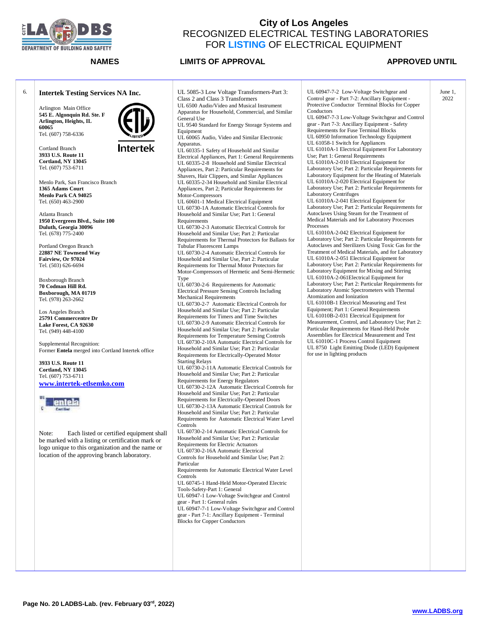

**NAMES LIMITS OF APPROVAL APPROVED UNTIL** 

Arlington Main Office **545 E. Algonquin Rd. Ste. F**

6. **Intertek Testing Services NA Inc.**

**Arlington, Heights, IL 60065** Tel. (607) 758-6336

Cortland Branch **3933 U.S. Route 11 Cortland, NY 13045** Tel. (607) 753-6711

Intertek

Menlo Park, San Francisco Branch **1365 Adams Court Menlo Park CA 94025** Tel. (650) 463-2900

Atlanta Branch **1950 Evergreen Blvd., Suite 100 Duluth, Georgia 30096** Tel. (678) 775-2400

Portland Oregon Branch **22887 NE Townsend Way Fairview, Or 97024** Tel. (503) 626-6694

Boxborough Branch **70 Codman Hill Rd. Boxborough, MA 01719** Tel. (978) 263-2662

Los Angeles Branch **25791 Commercentre Dr Lake Forest, CA 92630** Tel. (949) 448-4100

Supplemental Recognition: Former **Entela** merged into Cortland Intertek office

**3933 U.S. Route 11 Cortland, NY 13045** Tel. (607) 753-6711 **[www.intertek-etlsemko.com](http://www.intertek-etlsemko.com/)**



Note: Each listed or certified equipment shall be marked with a listing or certification mark or logo unique to this organization and the name or location of the approving branch laboratory.

UL 5085-3 Low Voltage Transformers-Part 3: Class 2 and Class 3 Transformers UL 6500 Audio/Video and Musical Instrument Apparatus for Household, Commercial, and Similar General Use UL 9540 Standard for Energy Storage Systems and Equipment UL 60065 Audio, Video and Similar Electronic Apparatus. UL 60335-1 Safety of Household and Similar Electrical Appliances, Part 1: General Requirements UL 60335-2-8 Household and Similar Electrical Appliances, Part 2: Particular Requirements for Shavers, Hair Clippers, and Similar Appliances UL 60335-2-34 Household and Similar Electrical Appliances, Part 2; Particular Requirements for Motor-Compressors UL 60601-1 Medical Electrical Equipment UL 60730-1A Automatic Electrical Controls for Household and Similar Use; Part 1: General Requirements UL 60730-2-3 Automatic Electrical Controls for Household and Similar Use; Part 2: Particular Requirements for Thermal Protectors for Ballasts for Tubular Fluorescent Lamps UL 60730-2-4 Automatic Electrical Controls for Household and Similar Use, Part 2: Particular Requirements for Thermal Motor Protectors for Motor-Compressors of Hermetic and Semi-Hermetic Type UL 60730-2-6 Requirements for Automatic Electrical Pressure Sensing Controls Including Mechanical Requirements UL 60730-2-7 Automatic Electrical Controls for Household and Similar Use; Part 2: Particular Requirements for Timers and Time Switches UL 60730-2-9 Automatic Electrical Controls for Household and Similar Use; Part 2: Particular Requirements for Temperature Sensing Controls UL 60730-2-10A Automatic Electrical Controls for Household and Similar Use; Part 2: Particular Requirements for Electrically-Operated Motor Starting Relays UL 60730-2-11A Automatic Electrical Controls for Household and Similar Use; Part 2: Particular Requirements for Energy Regulators UL 60730-2-12A Automatic Electrical Controls for Household and Similar Use; Part 2: Particular Requirements for Electrically-Operated Doors UL 60730-2-13A Automatic Electrical Controls for Household and Similar Use; Part 2: Particular Requirements for Automatic Electrical Water Level Controls UL 60730-2-14 Automatic Electrical Controls for Household and Similar Use; Part 2: Particular Requirements for Electric Actuators UL 60730-2-16A Automatic Electrical Controls for Household and Similar Use; Part 2: Particular Requirements for Automatic Electrical Water Level Controls UL 60745-1 Hand-Held Motor-Operated Electric Tools-Safety-Part 1: General UL 60947-1 Low-Voltage Switchgear and Control gear - Part 1: General rules UL 60947-7-1 Low-Voltage Switchgear and Control gear - Part 7-1: Ancillary Equipment - Terminal Blocks for Copper Conductors

UL 60947-7-2 Low-Voltage Switchgear and Control gear - Part 7-2: Ancillary Equipment - Protective Conductor Terminal Blocks for Copper Conductors UL 60947-7-3 Low-Voltage Switchgear and Control gear - Part 7-3: Ancillary Equipment - Safety Requirements for Fuse Terminal Blocks UL 60950 Information Technology Equipment UL 61058-1 Switch for Appliances UL 61010A-1 Electrical Equipment For Laboratory Use; Part 1: General Requirements UL 61010A-2-010 Electrical Equipment for Laboratory Use; Part 2: Particular Requirements for Laboratory Equipment for the Heating of Materials UL 61010A-2-020 Electrical Equipment for Laboratory Use; Part 2: Particular Requirements for Laboratory Centrifuges UL 61010A-2-041 Electrical Equipment for Laboratory Use; Part 2: Particular Requirements for Autoclaves Using Steam for the Treatment of Medical Materials and for Laboratory Processes **Processes** UL 61010A-2-042 Electrical Equipment for Laboratory Use; Part 2: Particular Requirements for Autoclaves and Sterilizers Using Toxic Gas for the Treatment of Medical Materials, and for Laboratory UL 61010A-2-051 Electrical Equipment for Laboratory Use; Part 2: Particular Requirements for Laboratory Equipment for Mixing and Stirring UL 61010A-2-061Electrical Equipment for Laboratory Use; Part 2: Particular Requirements for Laboratory Atomic Spectrometers with Thermal Atomization and Ionization UL 61010B-1 Electrical Measuring and Test Equipment; Part 1: General Requirements UL 61010B-2-031 Electrical Equipment for Measurement, Control, and Laboratory Use; Part 2: Particular Requirements for Hand-Held Probe Assemblies for Electrical Measurement and Test UL 61010C-1 Process Control Equipment UL 8750 Light Emitting Diode (LED) Equipment for use in lighting products June 1, 2022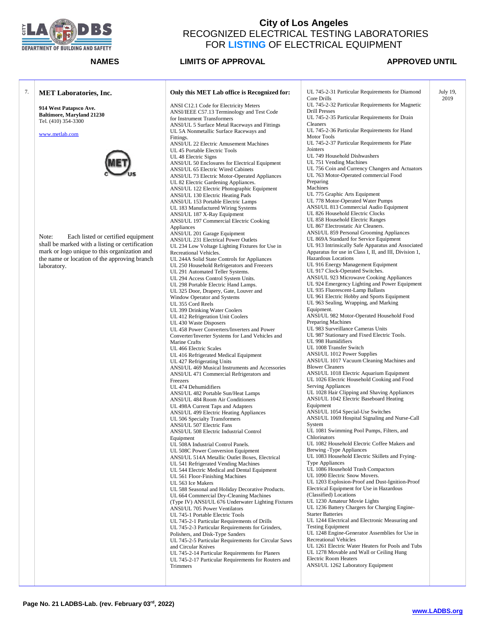

### **NAMES LIMITS OF APPROVAL APPROVED UNTIL**

July 19, 2019

### 7. **MET Laboratories, Inc.**

**914 West Patapsco Ave. Baltimore, Maryland 21230** Tel. (410) 354-3300

[www.metlab.com](http://www.metlab.com/)



Note: Each listed or certified equipment shall be marked with a listing or certification mark or logo unique to this organization and the name or location of the approving branch laboratory.

### **Only this MET Lab office is Recognized for:**

ANSI C12.1 Code for Electricity Meters ANSI/IEEE C57.13 Terminology and Test Code for Instrument Transformers ANSI/UL 5 Surface Metal Raceways and Fittings UL 5A Nonmetallic Surface Raceways and Fittings. ANSI/UL 22 Electric Amusement Machines UL 45 Portable Electric Tools UL 48 Electric Signs ANSI/UL 50 Enclosures for Electrical Equipment ANSI/UL 65 Electric Wired Cabinets ANSI/UL 73 Electric Motor-Operated Appliances UL 82 Electric Gardening Appliances. ANSI/UL 122 Electric Photographic Equipment ANSI/UL 130 Electric Heating Pads ANSI/UL 153 Portable Electric Lamps UL 183 Manufactured Wiring Systems ANSI/UL 187 X-Ray Equipment ANSI/UL 197 Commercial Electric Cooking Appliances ANSI/UL 201 Garage Equipment ANSI/UL 231 Electrical Power Outlets UL 234 Low Voltage Lighting Fixtures for Use in Recreational Vehicles. UL 244A Solid State Controls for Appliances UL 250 Household Refrigerators and Freezers UL 291 Automated Teller Systems. UL 294 Access Control System Units. UL 298 Portable Electric Hand Lamps. UL 325 Door, Drapery, Gate, Louver and Window Operator and Systems UL 355 Cord Reels UL 399 Drinking Water Coolers UL 412 Refrigeration Unit Coolers UL 430 Waste Disposers UL 458 Power Converters/Inverters and Power Converter/Inverter Systems for Land Vehicles and Marine Crafts UL 466 Electric Scales UL 416 Refrigerated Medical Equipment UL 427 Refrigerating Units ANSI/UL 469 Musical Instruments and Accessories ANSI/UL 471 Commercial Refrigerators and Freezers UL 474 Dehumidifiers ANSI/UL 482 Portable Sun/Heat Lamps ANSI/UL 484 Room Air Conditioners UL 498A Current Taps and Adapters ANSI/UL 499 Electric Heating Appliances UL 506 Specialty Transformers ANSI/UL 507 Electric Fans ANSI/UL 508 Electric Industrial Control Equipment UL 508A Industrial Control Panels. UL 508C Power Conversion Equipment ANSI/UL 514A Metallic Outlet Boxes, Electrical UL 541 Refrigerated Vending Machines UL 544 Electric Medical and Dental Equipment UL 561 Floor-Finishing Machines UL 563 Ice Makers UL 588 Seasonal and Holiday Decorative Products. UL 664 Commercial Dry-Cleaning Machines (Type IV) ANSI/UL 676 Underwater Lighting Fixtures ANSI/UL 705 Power Ventilators UL 745-1 Portable Electric Tools UL 745-2-1 Particular Requirements of Drills UL 745-2-3 Particular Requirements for Grinders, Polishers, and Disk-Type Sanders UL 745-2-5 Particular Requirements for Circular Saws and Circular Knives UL 745-2-14 Particular Requirements for Planers UL 745-2-17 Particular Requirements for Routers and Trimmers

UL 745-2-31 Particular Requirements for Diamond Core Drills UL 745-2-32 Particular Requirements for Magnetic Drill Presses UL 745-2-35 Particular Requirements for Drain Cleaners UL 745-2-36 Particular Requirements for Hand Motor Tools UL 745-2-37 Particular Requirements for Plate Jointers UL 749 Household Dishwashers UL 751 Vending Machines UL 756 Coin and Currency Changers and Actuators UL 763 Motor-Operated commercial Food Preparing Machines UL 775 Graphic Arts Equipment UL 778 Motor-Operated Water Pumps ANSI/UL 813 Commercial Audio Equipment UL 826 Household Electric Clocks UL 858 Household Electric Ranges UL 867 Electrostatic Air Cleaners. ANSI/UL 859 Personal Grooming Appliances UL 869A Standard for Service Equipment UL 913 Intrinsically Safe Apparatus and Associated Apparatus for use in Class I, II, and III, Division 1, Hazardous Locations UL 916 Energy Management Equipment UL 917 Clock-Operated Switches. ANSI/UL 923 Microwave Cooking Appliances UL 924 Emergency Lighting and Power Equipment UL 935 Fluorescent-Lamp Ballasts UL 961 Electric Hobby and Sports Equipment UL 963 Sealing, Wrapping, and Marking Equipment. ANSI/UL 982 Motor-Operated Household Food Preparing Machines UL 983 Surveillance Cameras Units UL 987 Stationary and Fixed Electric Tools. UL 998 Humidifiers UL 1008 Transfer Switch ANSI/UL 1012 Power Supplies ANSI/UL 1017 Vacuum Cleaning Machines and Blower Cleaners ANSI/UL 1018 Electric Aquarium Equipment UL 1026 Electric Household Cooking and Food Serving Appliances UL 1028 Hair Clipping and Shaving Appliances ANSI/UL 1042 Electric Baseboard Heating Equipment ANSI/UL 1054 Special-Use Switches ANSI/UL 1069 Hospital Signaling and Nurse-Call System UL 1081 Swimming Pool Pumps, Filters, and Chlorinators UL 1082 Household Electric Coffee Makers and Brewing -Type Appliances UL 1083 Household Electric Skillets and Frying-Type Appliances UL 1086 Household Trash Compactors UL 1090 Electric Snow Movers. UL 1203 Explosion-Proof and Dust-Ignition-Proof Electrical Equipment for Use in Hazardous (Classified) Locations UL 1230 Amateur Movie Lights UL 1236 Battery Chargers for Charging Engine-Starter Batteries UL 1244 Electrical and Electronic Measuring and Testing Equipment UL 1248 Engine-Generator Assemblies for Use in Recreational Vehicles UL 1261 Electric Water Heaters for Pools and Tubs UL 1278 Movable and Wall or Ceiling Hung Electric Room Heaters ANSI/UL 1262 Laboratory Equipment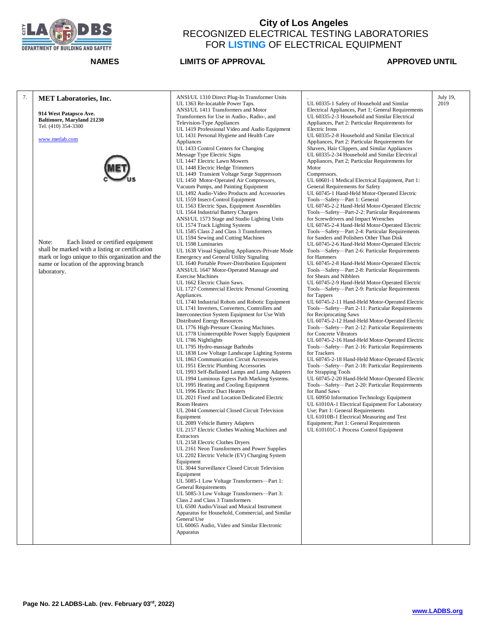

| 7. | <b>MET Laboratories, Inc.</b><br>914 West Patapsco Ave.<br><b>Baltimore, Maryland 21230</b><br>Tel. (410) 354-3300<br>www.metlab.com<br>Note:<br>Each listed or certified equipment<br>shall be marked with a listing or certification<br>mark or logo unique to this organization and the<br>name or location of the approving branch | ANSI/UL 1310 Direct Plug-In Transformer Units<br>UL 1363 Re-locatable Power Taps.<br>ANSI/UL 1411 Transformers and Motor<br>Transformers for Use in Audio-, Radio-, and<br>Television-Type Appliances<br>UL 1419 Professional Video and Audio Equipment<br>UL 1431 Personal Hygiene and Health Care<br>Appliances<br>UL 1433 Control Centers for Changing<br>Message Type Electric Signs<br>UL 1447 Electric Lawn Mowers<br>UL 1448 Electric Hedge Trimmers<br>UL 1449 Transient Voltage Surge Suppressors<br>UL 1450 Motor-Operated Air Compressors,<br>Vacuum Pumps, and Painting Equipment<br>UL 1492 Audio-Video Products and Accessories<br>UL 1559 Insect-Control Equipment<br>UL 1563 Electric Spas, Equipment Assemblies<br>UL 1564 Industrial Battery Chargers<br>ANSI/UL 1573 Stage and Studio Lighting Units<br>UL 1574 Track Lighting Systems<br>UL 1585 Class 2 and Class 3 Transformers<br>UL 1594 Sewing and Cutting Machines<br>UL 1598 Luminaries<br>UL 1638 Visual Signaling Appliances-Private Mode<br>Emergency and General Utility Signaling<br>UL 1640 Portable Power-Distribution Equipment                                                                                                                                                                                                                                                                                                                                                                                                                                                                                                                          | UL 60335-1 Safety of Household and Similar<br>Electrical Appliances, Part 1; General Requirements<br>UL 60335-2-3 Household and Similar Electrical<br>Appliances, Part 2: Particular Requirements for<br>Electric Irons<br>UL 60335-2-8 Household and Similar Electrical<br>Appliances, Part 2: Particular Requirements for<br>Shavers, Hair Clippers, and Similar Appliances<br>UL 60335-2-34 Household and Similar Electrical<br>Appliances, Part 2; Particular Requirements for<br>Motor<br>Compressors.<br>UL 60601-1 Medical Electrical Equipment, Part 1:<br>General Requirements for Safety<br>UL 60745-1 Hand-Held Motor-Operated Electric<br>Tools-Safety-Part 1: General<br>UL 60745-2-2 Hand-Held Motor-Operated Electric<br>Tools-Safety-Part-2-2: Particular Requirements<br>for Screwdrivers and Impact Wrenches<br>UL 60745-2-4 Hand-Held Motor-Operated Electric<br>Tools—Safety—Part 2-4: Particular Requirements<br>for Sanders and Polishers Other Than Disk<br>UL 60745-2-6 Hand-Held Motor-Operated Electric<br>Tools—Safety—Part 2-6: Particular Requirements<br>for Hammers<br>UL 60745-2-8 Hand-Held Motor-Operated Electric | July 19,<br>2019 |
|----|----------------------------------------------------------------------------------------------------------------------------------------------------------------------------------------------------------------------------------------------------------------------------------------------------------------------------------------|---------------------------------------------------------------------------------------------------------------------------------------------------------------------------------------------------------------------------------------------------------------------------------------------------------------------------------------------------------------------------------------------------------------------------------------------------------------------------------------------------------------------------------------------------------------------------------------------------------------------------------------------------------------------------------------------------------------------------------------------------------------------------------------------------------------------------------------------------------------------------------------------------------------------------------------------------------------------------------------------------------------------------------------------------------------------------------------------------------------------------------------------------------------------------------------------------------------------------------------------------------------------------------------------------------------------------------------------------------------------------------------------------------------------------------------------------------------------------------------------------------------------------------------------------------------------------------------------------------------------------------------------|------------------------------------------------------------------------------------------------------------------------------------------------------------------------------------------------------------------------------------------------------------------------------------------------------------------------------------------------------------------------------------------------------------------------------------------------------------------------------------------------------------------------------------------------------------------------------------------------------------------------------------------------------------------------------------------------------------------------------------------------------------------------------------------------------------------------------------------------------------------------------------------------------------------------------------------------------------------------------------------------------------------------------------------------------------------------------------------------------------------------------------------------------|------------------|
|    | laboratory.                                                                                                                                                                                                                                                                                                                            | ANSI/UL 1647 Motor-Operated Massage and<br><b>Exercise Machines</b><br>UL 1662 Electric Chain Saws.<br>UL 1727 Commercial Electric Personal Grooming<br>Appliances.<br>UL 1740 Industrial Robots and Robotic Equipment<br>UL 1741 Inverters, Converters, Controllers and<br>Interconnection System Equipment for Use With<br>Distributed Energy Resources<br>UL 1776 High-Pressure Cleaning Machines.<br>UL 1778 Uninterruptible Power Supply Equipment<br>UL 1786 Nightlights<br>UL 1795 Hydro-massage Bathtubs<br>UL 1838 Low Voltage Landscape Lighting Systems<br>UL 1863 Communication Circuit Accessories<br>UL 1951 Electric Plumbing Accessories<br>UL 1993 Self-Ballasted Lamps and Lamp Adapters<br>UL 1994 Luminous Egress Path Marking Systems.<br>UL 1995 Heating and Cooling Equipment<br>UL 1996 Electric Duct Heaters<br>UL 2021 Fixed and Location Dedicated Electric<br>Room Heaters<br>UL 2044 Commercial Closed Circuit Television<br>Equipment<br>UL 2089 Vehicle Battery Adapters<br>UL 2157 Electric Clothes Washing Machines and<br><b>Extractors</b><br>UL 2158 Electric Clothes Dryers<br>UL 2161 Neon Transformers and Power Supplies<br>UL 2202 Electric Vehicle (EV) Charging System<br>Equipment<br>UL 3044 Surveillance Closed Circuit Television<br>Equipment<br>UL 5085-1 Low Voltage Transformers-Part 1:<br><b>General Requirements</b><br>UL 5085-3 Low Voltage Transformers-Part 3:<br>Class 2 and Class 3 Transformers<br>UL 6500 Audio/Visual and Musical Instrument<br>Apparatus for Household, Commercial, and Similar<br>General Use<br>UL 60065 Audio, Video and Similar Electronic<br>Apparatus | Tools-Safety-Part 2-8: Particular Requirements<br>for Shears and Nibblers<br>UL 60745-2-9 Hand-Held Motor-Operated Electric<br>Tools-Safety-Part 2-9: Particular Requirements<br>for Tappers<br>UL 60745-2-11 Hand-Held Motor-Operated Electric<br>Tools-Safety-Part 2-11: Particular Requirements<br>for Reciprocating Saws<br>UL 60745-2-12 Hand-Held Motor-Operated Electric<br>Tools-Safety-Part 2-12: Particular Requirements<br>for Concrete Vibrators<br>UL 60745-2-16 Hand-Held Motor-Operated Electric<br>Tools—Safety—Part 2-16: Particular Requirements<br>for Trackers<br>UL 60745-2-18 Hand-Held Motor-Operated Electric<br>Tools—Safety—Part 2-18: Particular Requirements<br>for Strapping Tools<br>UL 60745-2-20 Hand-Held Motor-Operated Electric<br>Tools-Safety-Part 2-20: Particular Requirements<br>for Band Saws<br>UL 60950 Information Technology Equipment<br>UL 61010A-1 Electrical Equipment For Laboratory<br>Use; Part 1: General Requirements<br>UL 61010B-1 Electrical Measuring and Test<br>Equipment; Part 1: General Requirements<br>UL 610101C-1 Process Control Equipment                                        |                  |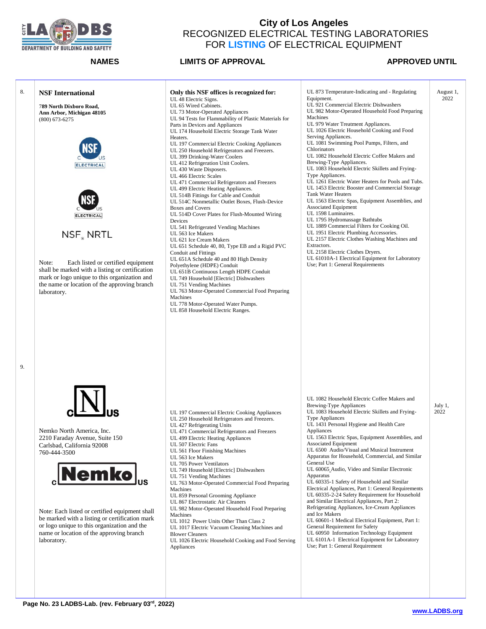

Equipment.

Machines

Serving Appliances.

August 1, 2022

# **NAMES LIMITS OF APPROVAL APPROVED UNTIL** 8. **NSF International** 7**89 North Dixboro Road, Ann Arbor, Michigan 48105** (800) 673-6275 Heaters. **ELECTRICAL ELECTRICAL** Devices NSF NRTL Note: Each listed or certified equipment shall be marked with a listing or certification mark or logo unique to this organization and the name or location of the approving branch laboratory. UL 427 Refrigerating Units Nemko North America, Inc. 2210 Faraday Avenue, Suite 150 Carlsbad, California 92008 UL 507 Electric Fans UL 561 Floor Finishing Machines 760-444-3500 UL 563 Ice Makers UL 705 Power Ventilators emko UL 751 Vending Machines Machines UL 867 Electrostatic Air Cleaners Note: Each listed or certified equipment shall Machines

be marked with a listing or certification mark or logo unique to this organization and the name or location of the approving branch laboratory.

Blower Cleaners

Appliances

- **Only this NSF offices is recognized for:** UL 48 Electric Signs. UL 65 Wired Cabinets. UL 73 Motor-Operated Appliances UL 94 Tests for Flammability of Plastic Materials for Parts in Devices and Appliances UL 174 Household Electric Storage Tank Water UL 197 Commercial Electric Cooking Appliances UL 250 Household Refrigerators and Freezers. UL 399 Drinking-Water Coolers UL 412 Refrigeration Unit Coolers. UL 430 Waste Disposers. UL 466 Electric Scales UL 471 Commercial Refrigerators and Freezers UL 499 Electric Heating Appliances. UL 514B Fittings for Cable and Conduit UL 514C Nonmetallic Outlet Boxes, Flush-Device Boxes and Covers UL 514D Cover Plates for Flush-Mounted Wiring UL 541 Refrigerated Vending Machines UL 563 Ice Makers UL 621 Ice Cream Makers UL 651 Schedule 40, 80, Type EB and a Rigid PVC Conduit and Fittings UL 651A Schedule 40 and 80 High Density Polyethylene (HDPE) Conduit UL 651B Continuous Length HDPE Conduit UL 749 Household [Electric] Dishwashers UL 751 Vending Machines UL 763 Motor-Operated Commercial Food Preparing Machines UL 778 Motor-Operated Water Pumps. UL 858 Household Electric Ranges.
- UL 197 Commercial Electric Cooking Appliances UL 250 Household Refrigerators and Freezers. UL 471 Commercial Refrigerators and Freezers UL 499 Electric Heating Appliances UL 749 Household [Electric] Dishwashers UL 763 Motor-Operated Commercial Food Preparing UL 859 Personal Grooming Appliance UL 982 Motor-Operated Household Food Preparing UL 1012 Power Units Other Than Class 2 UL 1017 Electric Vacuum Cleaning Machines and UL 1026 Electric Household Cooking and Food Serving UL 1082 Household Electric Coffee Makers and Brewing-Type Appliances UL 1083 Household Electric Skillets and Frying-Type Appliances UL 1431 Personal Hygiene and Health Care Appliances UL 1563 Electric Spas, Equipment Assemblies, and Associated Equipment UL 6500 Audio/Visual and Musical Instrument Apparatus for Household, Commercial, and Similar General Use UL 60065 Audio, Video and Similar Electronic Apparatus UL 60335-1 Safety of Household and Similar Electrical Appliances, Part 1: General Requirements UL 60335-2-24 Safety Requirement for Household and Similar Electrical Appliances, Part 2: Refrigerating Appliances, Ice-Cream Appliances and Ice Makers UL 60601-1 Medical Electrical Equipment, Part 1: General Requirement for Safety UL 60950 Information Technology Equipment UL 6101A-1 Electrical Equipment for Laboratory Use; Part 1: General Requirement
- UL 1081 Swimming Pool Pumps, Filters, and Chlorinators UL 1082 Household Electric Coffee Makers and Brewing-Type Appliances. UL 1083 Household Electric Skillets and Frying-Type Appliances. UL 1261 Electric Water Heaters for Pools and Tubs. UL 1453 Electric Booster and Commercial Storage Tank Water Heaters UL 1563 Electric Spas, Equipment Assemblies, and Associated Equipment UL 1598 Luminaires. UL 1795 Hydromassage Bathtubs UL 1889 Commercial Filters for Cooking Oil. UL 1951 Electric Plumbing Accessories. UL 2157 Electric Clothes Washing Machines and Extractors. UL 2158 Electric Clothes Dryers. UL 61010A-1 Electrical Equipment for Laboratory Use; Part 1: General Requirements

UL 873 Temperature-Indicating and - Regulating

UL 921 Commercial Electric Dishwashers UL 982 Motor-Operated Household Food Preparing

UL 979 Water Treatment Appliances. UL 1026 Electric Household Cooking and Food

> July 1, 2022

**Page No. 23 LADBS-Lab. (rev. February 03 rd, 2022)**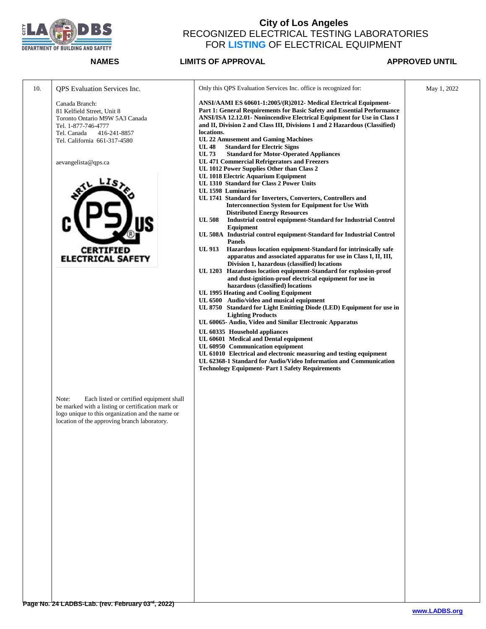

| 10. | <b>QPS</b> Evaluation Services Inc.                                                                                                                                                                        | Only this QPS Evaluation Services Inc. office is recognized for:                                                                                                                                                                                                                                                                                                 | May 1, 2022 |
|-----|------------------------------------------------------------------------------------------------------------------------------------------------------------------------------------------------------------|------------------------------------------------------------------------------------------------------------------------------------------------------------------------------------------------------------------------------------------------------------------------------------------------------------------------------------------------------------------|-------------|
|     | Canada Branch:<br>81 Kelfield Street, Unit 8<br>Toronto Ontario M9W 5A3 Canada<br>Tel. 1-877-746-4777<br>Tel. Canada<br>416-241-8857                                                                       | ANSI/AAMI ES 60601-1:2005/(R)2012- Medical Electrical Equipment-<br>Part 1: General Requirements for Basic Safety and Essential Performance<br>ANSI/ISA 12.12.01- Nonincendive Electrical Equipment for Use in Class I<br>and II, Division 2 and Class III, Divisions 1 and 2 Hazardous (Classified)<br>locations.<br><b>UL 22 Amusement and Gaming Machines</b> |             |
|     | Tel. California 661-317-4580                                                                                                                                                                               | <b>Standard for Electric Signs</b><br><b>UL 48</b><br><b>UL 73</b><br><b>Standard for Motor-Operated Appliances</b>                                                                                                                                                                                                                                              |             |
|     | aevangelista@qps.ca                                                                                                                                                                                        | <b>UL 471 Commercial Refrigerators and Freezers</b><br>UL 1012 Power Supplies Other than Class 2                                                                                                                                                                                                                                                                 |             |
|     |                                                                                                                                                                                                            | UL 1018 Electric Aquarium Equipment<br>UL 1310 Standard for Class 2 Power Units                                                                                                                                                                                                                                                                                  |             |
|     |                                                                                                                                                                                                            | UL 1598 Luminaries<br>UL 1741 Standard for Inverters, Converters, Controllers and<br><b>Interconnection System for Equipment for Use With</b>                                                                                                                                                                                                                    |             |
|     |                                                                                                                                                                                                            | <b>Distributed Energy Resources</b><br>Industrial control equipment-Standard for Industrial Control<br><b>UL 508</b><br>Equipment                                                                                                                                                                                                                                |             |
|     |                                                                                                                                                                                                            | UL 508A Industrial control equipment-Standard for Industrial Control<br><b>Panels</b>                                                                                                                                                                                                                                                                            |             |
|     | <b>CERTIFIED</b><br><b>ELECTRICAL SAFETY</b>                                                                                                                                                               | Hazardous location equipment-Standard for intrinsically safe<br>UL 913<br>apparatus and associated apparatus for use in Class I, II, III,<br>Division 1, hazardous (classified) locations<br>UL 1203 Hazardous location equipment-Standard for explosion-proof                                                                                                   |             |
|     |                                                                                                                                                                                                            | and dust-ignition-proof electrical equipment for use in<br>hazardous (classified) locations                                                                                                                                                                                                                                                                      |             |
|     |                                                                                                                                                                                                            | UL 1995 Heating and Cooling Equipment<br>UL 6500 Audio/video and musical equipment<br>UL 8750 Standard for Light Emitting Diode (LED) Equipment for use in                                                                                                                                                                                                       |             |
|     |                                                                                                                                                                                                            | <b>Lighting Products</b><br>UL 60065- Audio, Video and Similar Electronic Apparatus                                                                                                                                                                                                                                                                              |             |
|     |                                                                                                                                                                                                            | UL 60335 Household appliances<br>UL 60601 Medical and Dental equipment                                                                                                                                                                                                                                                                                           |             |
|     |                                                                                                                                                                                                            | UL 60950 Communication equipment<br>UL 61010 Electrical and electronic measuring and testing equipment<br>UL 62368-1 Standard for Audio/Video Information and Communication<br><b>Technology Equipment- Part 1 Safety Requirements</b>                                                                                                                           |             |
|     |                                                                                                                                                                                                            |                                                                                                                                                                                                                                                                                                                                                                  |             |
|     | Note:<br>Each listed or certified equipment shall<br>be marked with a listing or certification mark or<br>logo unique to this organization and the name or<br>location of the approving branch laboratory. |                                                                                                                                                                                                                                                                                                                                                                  |             |
|     |                                                                                                                                                                                                            |                                                                                                                                                                                                                                                                                                                                                                  |             |
|     |                                                                                                                                                                                                            |                                                                                                                                                                                                                                                                                                                                                                  |             |
|     |                                                                                                                                                                                                            |                                                                                                                                                                                                                                                                                                                                                                  |             |
|     |                                                                                                                                                                                                            |                                                                                                                                                                                                                                                                                                                                                                  |             |
|     |                                                                                                                                                                                                            |                                                                                                                                                                                                                                                                                                                                                                  |             |
|     |                                                                                                                                                                                                            |                                                                                                                                                                                                                                                                                                                                                                  |             |
|     |                                                                                                                                                                                                            |                                                                                                                                                                                                                                                                                                                                                                  |             |
|     |                                                                                                                                                                                                            |                                                                                                                                                                                                                                                                                                                                                                  |             |
|     |                                                                                                                                                                                                            |                                                                                                                                                                                                                                                                                                                                                                  |             |
|     |                                                                                                                                                                                                            |                                                                                                                                                                                                                                                                                                                                                                  |             |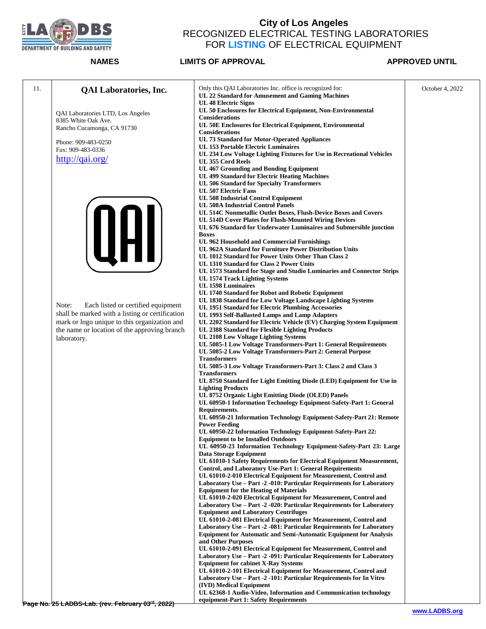

| 11. | <b>QAI</b> Laboratories, Inc.                                                                | Only this QAI Laboratories Inc. office is recognized for:<br>UL 22 Standard for Amusement and Gaming Machines                           | October 4, 2022 |
|-----|----------------------------------------------------------------------------------------------|-----------------------------------------------------------------------------------------------------------------------------------------|-----------------|
|     |                                                                                              | <b>UL 48 Electric Signs</b>                                                                                                             |                 |
|     | QAI Laboratories LTD, Los Angeles                                                            | UL 50 Enclosures for Electrical Equipment, Non-Environmental<br><b>Considerations</b>                                                   |                 |
|     | 8385 White Oak Ave.<br>Rancho Cucamonga, CA 91730                                            | UL 50E Enclosures for Electrical Equipment, Environmental                                                                               |                 |
|     |                                                                                              | <b>Considerations</b><br>UL 73 Standard for Motor-Operated Appliances                                                                   |                 |
|     | Phone: 909-483-0250<br>Fax: 909-483-0336                                                     | <b>UL 153 Portable Electric Luminaires</b>                                                                                              |                 |
|     | http://qai.org/                                                                              | UL 234 Low Voltage Lighting Fixtures for Use in Recreational Vehicles<br>UL 355 Cord Reels                                              |                 |
|     |                                                                                              | <b>UL 467 Grounding and Bonding Equipment</b>                                                                                           |                 |
|     |                                                                                              | UL 499 Standard for Electric Heating Machines<br><b>UL 506 Standard for Specialty Transformers</b>                                      |                 |
|     |                                                                                              | UL 507 Electric Fans                                                                                                                    |                 |
|     |                                                                                              | <b>UL 508 Industrial Control Equipment</b>                                                                                              |                 |
|     |                                                                                              | UL 508A Industrial Control Panels<br>UL 514C Nonmetallic Outlet Boxes, Flush-Device Boxes and Covers                                    |                 |
|     |                                                                                              | UL 514D Cover Plates for Flush-Mounted Wiring Devices                                                                                   |                 |
|     |                                                                                              | UL 676 Standard for Underwater Luminaires and Submersible junction<br><b>Boxes</b>                                                      |                 |
|     |                                                                                              | UL 962 Household and Commercial Furnishings                                                                                             |                 |
|     | UHI.                                                                                         | UL 962A Standard for Furniture Power Distribution Units<br>UL 1012 Standard for Power Units Other Than Class 2                          |                 |
|     |                                                                                              | UL 1310 Standard for Class 2 Power Units                                                                                                |                 |
|     |                                                                                              | UL 1573 Standard for Stage and Studio Luminaries and Connector Strips                                                                   |                 |
|     |                                                                                              | UL 1574 Track Lighting Systems<br>UL 1598 Luminaires                                                                                    |                 |
|     |                                                                                              | UL 1740 Standard for Robot and Robotic Equipment                                                                                        |                 |
|     | Note:<br>Each listed or certified equipment                                                  | UL 1838 Standard for Low Voltage Landscape Lighting Systems<br>UL 1951 Standard for Electric Plumbing Accessories                       |                 |
|     | shall be marked with a listing or certification                                              | UL 1993 Self-Ballasted Lamps and Lamp Adapters                                                                                          |                 |
|     | mark or logo unique to this organization and<br>the name or location of the approving branch | UL 2202 Standard for Electric Vehicle (EV) Charging System Equipment<br>UL 2388 Standard for Flexible Lighting Products                 |                 |
|     | laboratory.                                                                                  | UL 2108 Low Voltage Lighting Systems                                                                                                    |                 |
|     |                                                                                              | UL 5085-1 Low Voltage Transformers-Part 1: General Requirements<br>UL 5085-2 Low Voltage Transformers-Part 2: General Purpose           |                 |
|     |                                                                                              | <b>Transformers</b>                                                                                                                     |                 |
|     |                                                                                              | UL 5085-3 Low Voltage Transformers-Part 3: Class 2 and Class 3<br><b>Transformers</b>                                                   |                 |
|     |                                                                                              | UL 8750 Standard for Light Emitting Diode (LED) Equipment for Use in                                                                    |                 |
|     |                                                                                              | <b>Lighting Products</b>                                                                                                                |                 |
|     |                                                                                              | UL 8752 Organic Light Emitting Diode (OLED) Panels<br>UL 60950-1 Information Technology Equipment-Safety-Part 1: General                |                 |
|     |                                                                                              | Requirements.                                                                                                                           |                 |
|     |                                                                                              | UL 60950-21 Information Technology Equipment-Safety-Part 21: Remote<br><b>Power Feeding</b>                                             |                 |
|     |                                                                                              | UL 60950-22 Information Technology Equipment-Safety-Part 22:                                                                            |                 |
|     |                                                                                              | <b>Equipment to be Installed Outdoors</b><br>UL 60950-23 Information Technology Equipment-Safety-Part 23: Large                         |                 |
|     |                                                                                              | Data Storage Equipment                                                                                                                  |                 |
|     |                                                                                              | UL 61010-1 Safety Requirements for Electrical Equipment Measurement,<br><b>Control, and Laboratory Use-Part 1: General Requirements</b> |                 |
|     |                                                                                              | UL 61010-2-010 Electrical Equipment for Measurement, Control and                                                                        |                 |
|     |                                                                                              | Laboratory Use – Part -2 -010: Particular Requirements for Laboratory<br><b>Equipment for the Heating of Materials</b>                  |                 |
|     |                                                                                              | UL 61010-2-020 Electrical Equipment for Measurement, Control and                                                                        |                 |
|     |                                                                                              | Laboratory Use – Part -2 -020: Particular Requirements for Laboratory<br><b>Equipment and Laboratory Centrifuges</b>                    |                 |
|     |                                                                                              | UL 61010-2-081 Electrical Equipment for Measurement, Control and                                                                        |                 |
|     |                                                                                              | Laboratory Use - Part -2 -081: Particular Requirements for Laboratory                                                                   |                 |
|     |                                                                                              | <b>Equipment for Automatic and Semi-Automatic Equipment for Analysis</b><br>and Other Purposes                                          |                 |
|     |                                                                                              | UL 61010-2-091 Electrical Equipment for Measurement, Control and                                                                        |                 |
|     |                                                                                              | Laboratory Use - Part -2 -091: Particular Requirements for Laboratory<br><b>Equipment for cabinet X-Ray Systems</b>                     |                 |
|     |                                                                                              | UL 61010-2-101 Electrical Equipment for Measurement, Control and                                                                        |                 |
|     |                                                                                              | Laboratory Use – Part -2 -101: Particular Requirements for In Vitro<br>(IVD) Medical Equipment                                          |                 |
|     |                                                                                              | UL 62368-1 Audio-Video, Information and Communication technology                                                                        |                 |
|     | Eabruary 02rd 2022<br>ADDCI                                                                  | equipment-Part 1: Safety Requirements                                                                                                   |                 |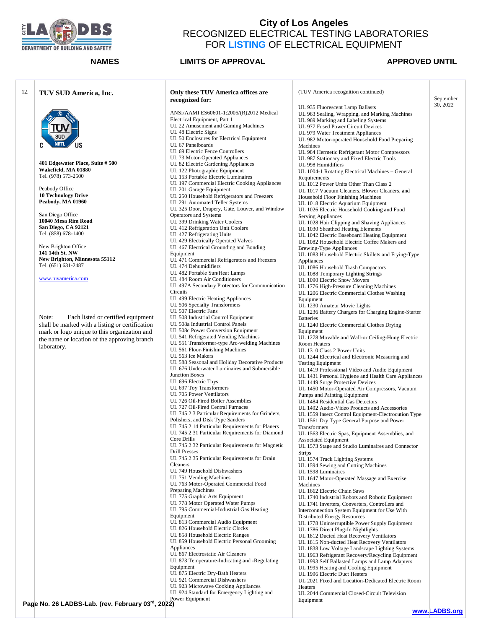

| 12. | TUV SUD America, Inc.                                   | Only these TUV America offices are<br>recognized for:                                 | (TUV America recognition continued)                                                                | September |
|-----|---------------------------------------------------------|---------------------------------------------------------------------------------------|----------------------------------------------------------------------------------------------------|-----------|
|     |                                                         |                                                                                       | UL 935 Fluorescent Lamp Ballasts                                                                   | 30, 2022  |
|     |                                                         | ANSI/AAMI ES60601-1:2005/(R)2012 Medical                                              | UL 963 Sealing, Wrapping, and Marking Machines                                                     |           |
|     |                                                         | Electrical Equipment, Part 1                                                          | UL 969 Marking and Labeling Systems                                                                |           |
|     |                                                         | UL 22 Amusement and Gaming Machines<br>UL 48 Electric Signs                           | UL 977 Fused Power Circuit Devices                                                                 |           |
|     | sud                                                     | UL 50 Enclosures for Electrical Equipment                                             | UL 979 Water Treatment Appliances<br>UL 982 Motor-operated Household Food Preparing                |           |
|     | <b>NRTL</b><br>US                                       | UL 67 Panelboards                                                                     | Machines                                                                                           |           |
|     |                                                         | UL 69 Electric Fence Controllers                                                      | UL 984 Hermetic Refrigerant Motor Compressors                                                      |           |
|     |                                                         | UL 73 Motor-Operated Appliances                                                       | UL 987 Stationary and Fixed Electric Tools                                                         |           |
|     | 401 Edgewater Place, Suite # 500<br>Wakefield, MA 01880 | UL 82 Electric Gardening Appliances                                                   | UL 998 Humidifiers                                                                                 |           |
|     | Tel. (978) 573-2500                                     | UL 122 Photographic Equipment<br>UL 153 Portable Electric Luminaires                  | UL 1004-1 Rotating Electrical Machines - General                                                   |           |
|     |                                                         | UL 197 Commercial Electric Cooking Appliances                                         | Requirements<br>UL 1012 Power Units Other Than Class 2                                             |           |
|     | Peabody Office                                          | UL 201 Garage Equipment                                                               | UL 1017 Vacuum Cleaners, Blower Cleaners, and                                                      |           |
|     | <b>10 Technology Drive</b>                              | UL 250 Household Refrigerators and Freezers                                           | Household Floor Finishing Machines                                                                 |           |
|     | Peabody, MA 01960                                       | UL 291 Automated Teller Systems                                                       | UL 1018 Electric Aquarium Equipment                                                                |           |
|     | San Diego Office                                        | UL 325 Door, Drapery, Gate, Louver, and Window                                        | UL 1026 Electric Household Cooking and Food                                                        |           |
|     | 10040 Mesa Rim Road                                     | Operators and Systems<br>UL 399 Drinking Water Coolers                                | Serving Appliances<br>UL 1028 Hair Clipping and Shaving Appliances                                 |           |
|     | San Diego, CA 92121                                     | UL 412 Refrigeration Unit Coolers                                                     | UL 1030 Sheathed Heating Elements                                                                  |           |
|     | Tel. (858) 678-1400                                     | UL 427 Refrigerating Units                                                            | UL 1042 Electric Baseboard Heating Equipment                                                       |           |
|     |                                                         | UL 429 Electrically Operated Valves                                                   | UL 1082 Household Electric Coffee Makers and                                                       |           |
|     | New Brighton Office<br>141 14th St. NW                  | UL 467 Electrical Grounding and Bonding                                               | <b>Brewing-Type Appliances</b>                                                                     |           |
|     | New Brighton, Minnesota 55112                           | Equipment<br>UL 471 Commercial Refrigerators and Freezers                             | UL 1083 Household Electric Skillets and Frying-Type                                                |           |
|     | Tel. (651) 631-2487                                     | UL 474 Dehumidifiers                                                                  | Appliances<br>UL 1086 Household Trash Compactors                                                   |           |
|     |                                                         | UL 482 Portable Sun/Heat Lamps                                                        | UL 1088 Temporary Lighting Strings                                                                 |           |
|     | www.tuvamerica.com                                      | UL 484 Room Air Conditioners                                                          | UL 1090 Electric Snow Movers                                                                       |           |
|     |                                                         | UL 497A Secondary Protectors for Communication                                        | UL 1776 High-Pressure Cleaning Machines                                                            |           |
|     |                                                         | Circuits                                                                              | UL 1206 Electric Commercial Clothes Washing                                                        |           |
|     |                                                         | UL 499 Electric Heating Appliances<br>UL 506 Specialty Transformers                   | Equipment<br>UL 1230 Amateur Movie Lights                                                          |           |
|     |                                                         | UL 507 Electric Fans                                                                  | UL 1236 Battery Chargers for Charging Engine-Starter                                               |           |
|     | Each listed or certified equipment<br>Note:             | UL 508 Industrial Control Equipment                                                   | <b>Batteries</b>                                                                                   |           |
|     | shall be marked with a listing or certification         | UL 508a Industrial Control Panels                                                     | UL 1240 Electric Commercial Clothes Drying                                                         |           |
|     | mark or logo unique to this organization and            | UL 508c Power Conversion Equipment                                                    | Equipment                                                                                          |           |
|     | the name or location of the approving branch            | UL 541 Refrigerated Vending Machines<br>UL 551 Transformer-type Arc-welding Machines  | UL 1278 Movable and Wall-or Ceiling-Hung Electric<br>Room Heaters                                  |           |
|     | laboratory.                                             | UL 561 Floor-Finishing Machines                                                       | UL 1310 Class 2 Power Units                                                                        |           |
|     |                                                         | UL 563 Ice Makers                                                                     | UL 1244 Electrical and Electronic Measuring and                                                    |           |
|     |                                                         | UL 588 Seasonal and Holiday Decorative Products                                       | <b>Testing Equipment</b>                                                                           |           |
|     |                                                         | UL 676 Underwater Luminaires and Submersible<br>Junction Boxes                        | UL 1419 Professional Video and Audio Equipment                                                     |           |
|     |                                                         | UL 696 Electric Toys                                                                  | UL 1431 Personal Hygiene and Health Care Appliances<br>UL 1449 Surge Protective Devices            |           |
|     |                                                         | UL 697 Toy Transformers                                                               | UL 1450 Motor-Operated Air Compressors, Vacuum                                                     |           |
|     |                                                         | UL 705 Power Ventilators                                                              | Pumps and Painting Equipment                                                                       |           |
|     |                                                         | UL 726 Oil-Fired Boiler Assemblies                                                    | UL 1484 Residential Gas Detectors                                                                  |           |
|     |                                                         | UL 727 Oil-Fired Central Furnaces<br>UL 745 2 3 Particular Requirements for Grinders, | UL 1492 Audio-Video Products and Accessories                                                       |           |
|     |                                                         | Polishers, and Disk Type Sanders                                                      | UL 1559 Insect Control Equipment-Electrocution Type<br>UL 1561 Dry Type General Purpose and Power  |           |
|     |                                                         | UL 745 2 14 Particular Requirements for Planers                                       | Transformers                                                                                       |           |
|     |                                                         | UL 745 2 31 Particular Requirements for Diamond                                       | UL 1563 Electric Spas, Equipment Assemblies, and                                                   |           |
|     |                                                         | Core Drills<br>UL 745 2 32 Particular Requirements for Magnetic                       | <b>Associated Equipment</b>                                                                        |           |
|     |                                                         | <b>Drill Presses</b>                                                                  | UL 1573 Stage and Studio Luminaires and Connector<br><b>Strips</b>                                 |           |
|     |                                                         | UL 745 2 35 Particular Requirements for Drain                                         | UL 1574 Track Lighting Systems                                                                     |           |
|     |                                                         | Cleaners                                                                              | UL 1594 Sewing and Cutting Machines                                                                |           |
|     |                                                         | UL 749 Household Dishwashers                                                          | UL 1598 Luminaires                                                                                 |           |
|     |                                                         | UL 751 Vending Machines<br>UL 763 Motor-Operated Commercial Food                      | UL 1647 Motor-Operated Massage and Exercise                                                        |           |
|     |                                                         | <b>Preparing Machines</b>                                                             | Machines<br>UL 1662 Electric Chain Saws                                                            |           |
|     |                                                         | UL 775 Graphic Arts Equipment                                                         | UL 1740 Industrial Robots and Robotic Equipment                                                    |           |
|     |                                                         | UL 778 Motor Operated Water Pumps                                                     | UL 1741 Inverters, Converters, Controllers and                                                     |           |
|     |                                                         | UL 795 Commercial-Industrial Gas Heating<br>Equipment                                 | Interconnection System Equipment for Use With                                                      |           |
|     |                                                         | UL 813 Commercial Audio Equipment                                                     | <b>Distributed Energy Resources</b><br>UL 1778 Uninterruptible Power Supply Equipment              |           |
|     |                                                         | UL 826 Household Electric Clocks                                                      | UL 1786 Direct Plug-In Nightlights                                                                 |           |
|     |                                                         | UL 858 Household Electric Ranges                                                      | UL 1812 Ducted Heat Recovery Ventilators                                                           |           |
|     |                                                         | UL 859 Household Electric Personal Grooming                                           | UL 1815 Non-ducted Heat Recovery Ventilators                                                       |           |
|     |                                                         | Appliances                                                                            | UL 1838 Low Voltage Landscape Lighting Systems                                                     |           |
|     |                                                         | UL 867 Electrostatic Air Cleaners<br>UL 873 Temperature-Indicating and -Regulating    | UL 1963 Refrigerant Recovery/Recycling Equipment<br>UL 1993 Self Ballasted Lamps and Lamp Adapters |           |
|     |                                                         | Equipment                                                                             | UL 1995 Heating and Cooling Equipment                                                              |           |
|     |                                                         | UL 875 Electric Dry-Bath Heaters                                                      | UL 1996 Electric Duct Heaters                                                                      |           |
|     |                                                         | UL 921 Commercial Dishwashers                                                         | UL 2021 Fixed and Location-Dedicated Electric Room                                                 |           |
|     |                                                         | UL 923 Microwave Cooking Appliances<br>UL 924 Standard for Emergency Lighting and     | Heaters                                                                                            |           |
|     |                                                         | Power Equipment                                                                       | UL 2044 Commercial Closed-Circuit Television<br>Equipment                                          |           |
|     | Page No. 26 LADBS-Lab. (rev. February 03rd, 2022)       |                                                                                       |                                                                                                    |           |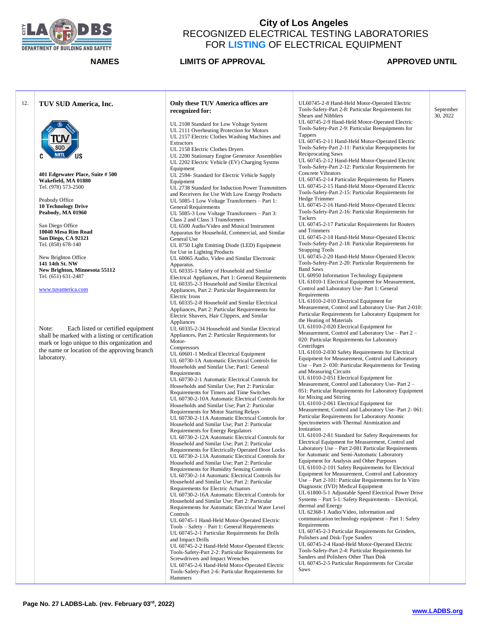

### **NAMES LIMITS OF APPROVAL APPROVED UNTIL**

September 30, 2022

### 12. **TUV SUD America, Inc. 401 Edgewater Place, Suite # 500 Wakefield, MA 01880** Tel. (978) 573-2500 Peabody Office **10 Technology Drive Peabody, MA 01960** San Diego Office **10040 Mesa Rim Road San Diego, CA 92121** Tel. (858) 678-140 New Brighton Office **141 14th St. NW New Brighton, Minnesota 55112** Tel. (651) 631-2487 [www.tuvamerica.com](http://www.tuvamerica.com/) Note: Each listed or certified equipment shall be marked with a listing or certification mark or logo unique to this organization and the name or location of the approving branch laboratory. **Only these TUV America offices are recognized for:** UL 2108 Standard for Low Voltage System UL 2111 Overheating Protection for Motors UL 2157 Electric Clothes Washing Machines and Extractors UL 2158 Electric Clothes Dryers UL 2200 Stationary Engine Generator Assemblies UL 2202 Electric Vehicle (EV) Charging Systms Equipment UL 2594- Standard for Electric Vehicle Supply Equipment UL 2738 Standard for Induction Power Transmitters and Receivers for Use With Low Energy Products UL 5085-1 Low Voltage Transformers – Part 1: General Requirements UL 5085-3 Low Voltage Transformers – Part 3: Class 2 and Class 3 Transformers UL 6500 Audio/Video and Musical Instrument Apparatus for Household, Commercial, and Similar General Use UL 8750 Light Emitting Diode (LED) Equipment for Use in Lighting Products UL 60065 Audio, Video and Similar Electronic Apparatus. UL 60335-1 Safety of Household and Similar Electrical Appliances, Part 1: General Requirements UL 60335-2-3 Household and Similar Electrical Appliances, Part 2: Particular Requirements for Electric Irons UL 60335-2-8 Household and Similar Electrical Appliances, Part 2: Particular Requirements for Electric Shavers, Hair Clippers, and Similar Appliances UL 60335-2-34 Household and Similar Electrical Appliances, Part 2: Particular Requirements for Motor-**Compressors** UL 60601-1 Medical Electrical Equipment UL 60730-1A Automatic Electrical Controls for Households and Similar Use; Part1: General Requirements UL 60730-2-1 Automatic Electrical Controls for Households and Similar Use; Part 2: Particular Requirements for Timers and Time Switches UL 60730-2-10A Automatic Electrical Controls for Households and Similar Use; Part 2: Particular Requirements for Motor Starting Relays UL 60730-2-11A Automatic Electrical Controls for Household and Similar Use; Part 2: Particular Requirements for Energy Regulators UL 60730-2-12A Automatic Electrical Controls for Household and Similar Use; Part 2: Particular Requirements for Electrically Operated Door Locks UL 60730-2-13A Automatic Electrical Controls for Household and Similar Use; Part 2: Particular Requirements for Humidity Sensing Controls UL 60730-2-14 Automatic Electrical Controls for Household and Similar Use; Part 2: Particular Requirements for Electric Actuators UL 60730-2-16A Automatic Electrical Controls for Household and Similar Use; Part 2: Particular Requirements for Automatic Electrical Water Level Controls UL 60745-1 Hand-Held Motor-Operated Electric Tools – Safety – Part 1: General Requirements UL 60745-2-1 Particular Requirements for Drills and Impact Drills UL 60745-2-2 Hand-Held Motor-Operated Electric Tools-Safety-Part 2-2: Particular Requirements for Screwdrivers and Impact Wrenches UL 60745-2-6 Hand-Held Motor-Operated Electric Tools-Safety-Part 2-6: Particular Requirements for Hammers UL60745-2-8 Hand-Held Motor-Operated Electric Tools-Safety-Part 2-8: Particular Requirements for Shears and Nibblers UL 60745-2-9 Hand-Held Motor-Operated Electric Tools-Safety-Part 2-9: Particular Reequipments for Tappers UL 60745-2-11 Hand-Held Motor-Operated Electric

Saws

Tools-Safety-Part 2-11: Particular Reequipments for Reciprocating Saws UL 60745-2-12 Hand-Held Motor-Operated Electric Tools-Safety-Part 2-12: Particular Requirements for Concrete Vibrators UL 60745-2-14 Particular Requirements for Planers UL 60745-2-15 Hand-Held Motor-Operated Electric Tools-Safety-Part 2-15: Particular Requirements for Hedge Trimmer

UL 60745-2-16 Hand-Held Motor-Operated Electric Tools-Safety-Part 2-16: Particular Requirements for Tackers

UL 60745-2-17 Particular Requirements for Routers and Trimmers

UL 60745-2-18 Hand-Held Motor-Operated Electric Tools-Safety-Part 2-18: Particular Requirements for Strapping Tools

UL 60745-2-20 Hand-Held Motor-Operated Electric Tools-Safety-Part 2-20: Particular Requirements for Band Saws

UL 60950 Information Technology Equipment UL 61010-1 Electrical Equipment for Measurement, Control and Laboratory Use- Part 1: General **Requirements** 

UL 61010-2-010 Electrical Equipment for Measurement, Control and Laboratory Use- Part 2-010: Particular Requirements for Laboratory Equipment for the Heating of Materials

UL 61010-2-020 Electrical Equipment for Measurement, Control and Laboratory Use – Part 2 –

020: Particular Requirements for Laboratory **Centrifuges** 

UL 61010-2-030 Safety Requirements for Electrical Equipment for Measurement, Control and Laboratory Use – Part 2- 030: Particular Requirements for Testing and Measuring Circuits

UL 61010-2-051 Electrical Equipment for Measurement, Control and Laboratory Use- Part 2 – 051: Particular Requirements for Laboratory Equipment for Mixing and Stirring

UL 61010-2-061 Electrical Equipment for Measurement, Control and Laboratory Use- Part 2- 061: Particular Requirements for Laboratory Atomic Spectrometers with Thermal Atomization and

Ionization UL 61010-2-81 Standard for Safety Requirements for Electrical Equipment for Measurement, Control and Laboratory Use – Part 2-081 Particular Requirements

for Automatic and Semi-Automatic Laboratory Equipment for Analysis and Other Purposes

UL 61010-2-101 Safety Requirements for Electrical Equipment for Measurement, Control and Laboratory Use – Part 2-101: Particular Requirements for In Vitro Diagnostic (IVD) Medical Equipment

UL 61800-5-1 Adjustable Speed Electrical Power Drive Systems – Part 5-1: Safety Requirements – Electrical, thermal and Energy

UL 62368-1 Audio/Video, information and communication technology equipment – Part 1: Safety **Requirements** 

UL 60745-2-3 Particular Requirements for Grinders, Polishers and Disk-Type Sanders

UL 60745-2-4 Hand-Held Motor-Operated Electric Tools-Safety-Part 2-4: Particular Requirements for Sanders and Polishers Other Than Disk UL 60745-2-5 Particular Requirements for Circular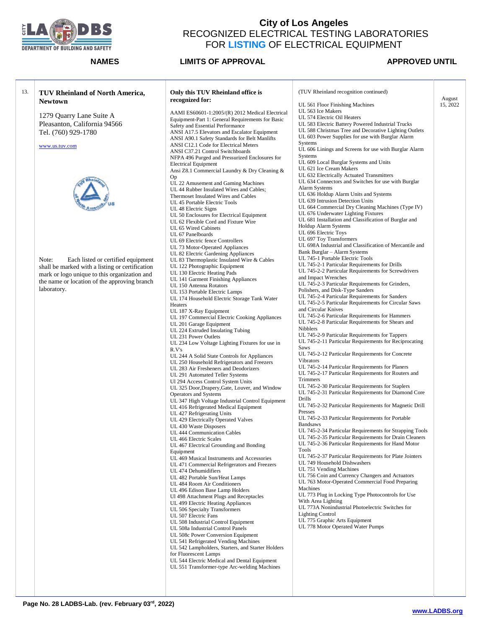

| 13. | TUV Rheinland of North America,                 | Only this TUV Rheinland office is                                                            | (TUV Rheinland recognition continued)                                      | August   |
|-----|-------------------------------------------------|----------------------------------------------------------------------------------------------|----------------------------------------------------------------------------|----------|
|     | <b>Newtown</b>                                  | recognized for:                                                                              | UL 561 Floor Finishing Machines                                            | 15, 2022 |
|     |                                                 | AAMI ES60601-1:2005/(R) 2012 Medical Electrical                                              | UL 563 Ice Makers                                                          |          |
|     | 1279 Quarry Lane Suite A                        | Equipment-Part 1: General Requirements for Basic                                             | UL 574 Electric Oil Heaters                                                |          |
|     | Pleasanton, California 94566                    | Safety and Essential Performance                                                             | UL 583 Electric Battery Powered Industrial Trucks                          |          |
|     | Tel. (760) 929-1780                             | ANSI A17.5 Elevators and Escalator Equipment                                                 | UL 588 Christmas Tree and Decorative Lighting Outlets                      |          |
|     |                                                 | ANSI A90.1 Safety Standards for Belt Manlifts                                                | UL 603 Power Supplies for use with Burglar Alarm                           |          |
|     | www.us.tuv.com                                  | ANSI C12.1 Code for Electrical Meters                                                        | Systems                                                                    |          |
|     |                                                 | ANSI C37.21 Control Switchboards                                                             | UL 606 Linings and Screens for use with Burglar Alarm                      |          |
|     |                                                 | NFPA 496 Purged and Pressurized Enclosures for                                               | Systems                                                                    |          |
|     |                                                 | <b>Electrical Equipment</b>                                                                  | UL 609 Local Burglar Systems and Units                                     |          |
|     |                                                 | Ansi Z8.1 Commercial Laundry & Dry Cleaning &                                                | UL 621 Ice Cream Makers                                                    |          |
|     |                                                 | Op                                                                                           | UL 632 Electrically Actuated Transmitters                                  |          |
|     |                                                 | UL 22 Amusement and Gaming Machines                                                          | UL 634 Connectors and Switches for use with Burglar                        |          |
|     |                                                 | UL 44 Rubber Insulated Wires and Cables;                                                     | Alarm Systems                                                              |          |
|     |                                                 | Thermoset Insulated Wires and Cables                                                         | UL 636 Holdup Alarm Units and Systems<br>UL 639 Intrusion Detection Units  |          |
|     |                                                 | UL 45 Portable Electric Tools                                                                | UL 664 Commercial Dry Cleaning Machines (Type IV)                          |          |
|     |                                                 | UL 48 Electric Signs                                                                         | UL 676 Underwater Lighting Fixtures                                        |          |
|     |                                                 | UL 50 Enclosures for Electrical Equipment                                                    | UL 681 Installation and Classification of Burglar and                      |          |
|     |                                                 | UL 62 Flexible Cord and Fixture Wire                                                         | Holdup Alarm Systems                                                       |          |
|     |                                                 | UL 65 Wired Cabinets<br>UL 67 Panelboards                                                    | UL 696 Electric Toys                                                       |          |
|     |                                                 | UL 69 Electric fence Controllers                                                             | UL 697 Toy Transformers                                                    |          |
|     |                                                 | UL 73 Motor-Operated Appliances                                                              | UL 698A Industrial and Classification of Mercantile and                    |          |
|     |                                                 | UL 82 Electric Gardening Appliances                                                          | Bank Burglar - Alarm Systems                                               |          |
|     | Each listed or certified equipment<br>Note:     | UL 83 Thermoplastic Insulated Wire & Cables                                                  | UL 745-1 Portable Electric Tools                                           |          |
|     | shall be marked with a listing or certification | UL 122 Photographic Equipment                                                                | UL 745-2-1 Particular Requirements for Drills                              |          |
|     | mark or logo unique to this organization and    | UL 130 Electric Heating Pads                                                                 | UL 745-2-2 Particular Requirements for Screwdrivers                        |          |
|     | the name or location of the approving branch    | UL 141 Garment Finishing Appliances                                                          | and Impact Wrenches                                                        |          |
|     |                                                 | UL 150 Antenna Rotators                                                                      | UL 745-2-3 Particular Requirements for Grinders,                           |          |
|     | laboratory.                                     | UL 153 Portable Electric Lamps                                                               | Polishers, and Disk-Type Sanders                                           |          |
|     |                                                 | UL 174 Household Electric Storage Tank Water                                                 | UL 745-2-4 Particular Requirements for Sanders                             |          |
|     |                                                 | Heaters                                                                                      | UL 745-2-5 Particular Requirements for Circular Saws                       |          |
|     |                                                 | UL 187 X-Ray Equipment                                                                       | and Circular Knives<br>UL 745-2-6 Particular Requirements for Hammers      |          |
|     |                                                 | UL 197 Commercial Electric Cooking Appliances                                                | UL 745-2-8 Particular Requirements for Shears and                          |          |
|     |                                                 | UL 201 Garage Equipment                                                                      | Nibblers                                                                   |          |
|     |                                                 | UL 224 Extruded Insulating Tubing                                                            | UL 745-2-9 Particular Requirements for Tappers                             |          |
|     |                                                 | UL 231 Power Outlets                                                                         | UL 745-2-11 Particular Requirements for Reciprocating                      |          |
|     |                                                 | UL 234 Low Voltage Lighting Fixtures for use in<br>R.Vs                                      | Saws                                                                       |          |
|     |                                                 | UL 244 A Solid State Controls for Appliances                                                 | UL 745-2-12 Particular Requirements for Concrete                           |          |
|     |                                                 | UL 250 Household Refrigerators and Freezers                                                  | <b>Vibrators</b>                                                           |          |
|     |                                                 | UL 283 Air Fresheners and Deodorizers                                                        | UL 745-2-14 Particular Requirements for Planers                            |          |
|     |                                                 | UL 291 Automated Teller Systems                                                              | UL 745-2-17 Particular Requirements for Routers and                        |          |
|     |                                                 | Ul 294 Access Control System Units                                                           | Trimmers                                                                   |          |
|     |                                                 | UL 325 Door, Drapery, Gate, Louver, and Window                                               | UL 745-2-30 Particular Requirements for Staplers                           |          |
|     |                                                 | Operators and Systems                                                                        | UL 745-2-31 Particular Requirements for Diamond Core                       |          |
|     |                                                 | UL 347 High Voltage Industrial Control Equipment                                             | Drills                                                                     |          |
|     |                                                 | UL 416 Refrigerated Medical Equipment                                                        | UL 745-2-32 Particular Requirements for Magnetic Drill                     |          |
|     |                                                 | UL 427 Refrigerating Units                                                                   | Presses<br>UL 745-2-33 Particular Requirements for Portable                |          |
|     |                                                 | UL 429 Electrically Operated Valves                                                          |                                                                            |          |
|     |                                                 | UL 430 Waste Disposers                                                                       | <b>Bandsaws</b><br>UL 745-2-34 Particular Requirements for Strapping Tools |          |
|     |                                                 | UL 444 Communication Cables                                                                  | UL 745-2-35 Particular Requirements for Drain Cleaners                     |          |
|     |                                                 | UL 466 Electric Scales                                                                       | UL 745-2-36 Particular Requirements for Hand Motor                         |          |
|     |                                                 | UL 467 Electrical Grounding and Bonding<br>Equipment                                         | Tools                                                                      |          |
|     |                                                 | UL 469 Musical Instruments and Accessories                                                   | UL 745-2-37 Particular Requirements for Plate Jointers                     |          |
|     |                                                 | UL 471 Commercial Refrigerators and Freezers                                                 | UL 749 Household Dishwashers                                               |          |
|     |                                                 | UL 474 Dehumidifiers                                                                         | UL 751 Vending Machines                                                    |          |
|     |                                                 | UL 482 Portable Sun/Heat Lamps                                                               | UL 756 Coin and Currency Changers and Actuators                            |          |
|     |                                                 | UL 484 Room Air Conditioners                                                                 | UL 763 Motor-Operated Commercial Food Preparing                            |          |
|     |                                                 | UL 496 Edison Base Lamp Holders                                                              | Machines                                                                   |          |
|     |                                                 | Ul 498 Attachment Plugs and Receptacles                                                      | UL 773 Plug in Locking Type Photocontrols for Use                          |          |
|     |                                                 | UL 499 Electric Heating Appliances                                                           | With Area Lighting                                                         |          |
|     |                                                 | UL 506 Specialty Transformers                                                                | UL 773A Nonindustrial Photoelectric Switches for                           |          |
|     |                                                 | UL 507 Electric Fans                                                                         | <b>Lighting Control</b>                                                    |          |
|     |                                                 | UL 508 Industrial Control Equipment                                                          | UL 775 Graphic Arts Equipment                                              |          |
|     |                                                 | UL 508a Industrial Control Panels                                                            | UL 778 Motor Operated Water Pumps                                          |          |
|     |                                                 | UL 508c Power Conversion Equipment                                                           |                                                                            |          |
|     |                                                 | UL 541 Refrigerated Vending Machines                                                         |                                                                            |          |
|     |                                                 | UL 542 Lampholders, Starters, and Starter Holders                                            |                                                                            |          |
|     |                                                 | for Fluorescent Lamps                                                                        |                                                                            |          |
|     |                                                 | UL 544 Electric Medical and Dental Equipment<br>UL 551 Transformer-type Arc-welding Machines |                                                                            |          |
|     |                                                 |                                                                                              |                                                                            |          |
|     |                                                 |                                                                                              |                                                                            |          |
|     |                                                 |                                                                                              |                                                                            |          |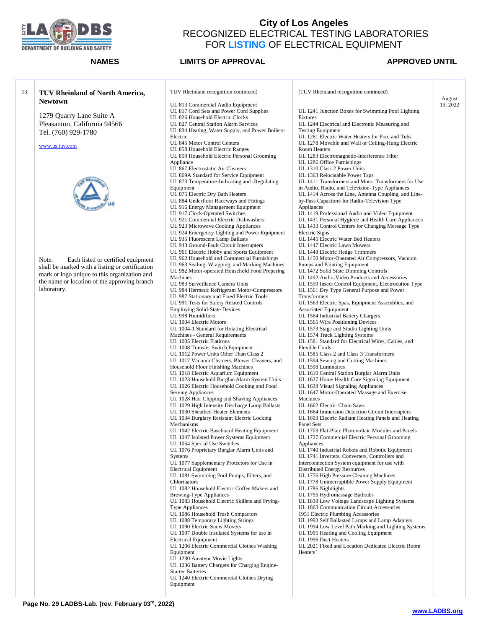

### **NAMES LIMITS OF APPROVAL APPROVED UNTIL**

| TUV Rheinland of North America,<br><b>Newtown</b> | TUV Rheinland recognition continued)                                         |
|---------------------------------------------------|------------------------------------------------------------------------------|
|                                                   | UL 813 Commercial Audio Equipment                                            |
| 1279 Quarry Lane Suite A                          | UL 817 Cord Sets and Power Cord Supplies<br>UL 826 Household Electric Clocks |
| Pleasanton, California 94566                      | UL 827 Central Station Alarm Services                                        |
|                                                   | UL 834 Heating, Water Supply, and Power Boilers-                             |
| Tel. (760) 929-1780                               | Electric                                                                     |
|                                                   | UL 845 Motor Control Centers                                                 |
| www.us.tuv.com                                    | UL 858 Household Electric Ranges                                             |
|                                                   | UL 859 Household Electric Personal Grooming                                  |
|                                                   | Appliance                                                                    |
|                                                   | UL 867 Electrostatic Air Cleaners                                            |
|                                                   | UL 869A Standard for Service Equipment                                       |
|                                                   | UL 873 Temperature-Indicating and -Regulating                                |
|                                                   | Equipment                                                                    |
|                                                   | UL 875 Electric Dry Bath Heaters                                             |
|                                                   | UL 884 Underfloor Raceways and Fittings                                      |
|                                                   | UL 916 Energy Management Equipment<br>UL 917 Clock-Operated Switches         |
|                                                   | UL 921 Commercial Electric Dishwashers                                       |
|                                                   | UL 923 Microwave Cooking Appliances                                          |
|                                                   | UL 924 Emergency Lighting and Power Equipment                                |
|                                                   | UL 935 Fluorescent Lamp Ballasts                                             |
|                                                   | UL 943 Ground-Fault Circuit Interrupters                                     |
|                                                   | UL 961 Electric Hobby and Sports Equipment                                   |
| Note:<br>Each listed or certified equipment       | UL 962 Household and Commercial Furnishings                                  |
| shall be marked with a listing or certification   | UL 963 Sealing, Wrapping, and Marking Machines                               |
| mark or logo unique to this organization and      | UL 982 Motor-operated Household Food Preparing                               |
| the name or location of the approving branch      | Machines<br>UL 983 Surveillance Camera Units                                 |
| laboratory.                                       | UL 984 Hermetic Refrigerant Motor-Compressors                                |
|                                                   | UL 987 Stationary and Fixed Electric Tools                                   |
|                                                   | UL 991 Tests for Safety Related Controls                                     |
|                                                   | <b>Employing Solid-State Devices</b>                                         |
|                                                   | UL 998 Humidifiers                                                           |
|                                                   | UL 1004 Electric Motors                                                      |
|                                                   | UL 1004-1 Standard for Rotating Electrical                                   |
|                                                   | Machines - General Requirements                                              |
|                                                   | UL 1005 Electric Flatirons                                                   |
|                                                   | UL 1008 Transfer Switch Equipment<br>UL 1012 Power Units Other Than Class 2  |
|                                                   | UL 1017 Vacuum Cleaners, Blower Cleaners, and                                |
|                                                   | Household Floor Finishing Machines                                           |
|                                                   | UL 1018 Electric Aquarium Equipment                                          |
|                                                   | UL 1023 Household Burglar-Alarm System Units                                 |
|                                                   | UL 1026 Electric Household Cooking and Food                                  |
|                                                   | <b>Serving Appliances</b>                                                    |
|                                                   | UL 1028 Hair Clipping and Shaving Appliances                                 |
|                                                   | UL 1029 High Intensity Discharge Lamp Ballasts                               |
|                                                   | UL 1030 Sheathed Heater Elements                                             |
|                                                   | UL 1034 Burglary Resistant Electric Locking                                  |
|                                                   | Mechanisms                                                                   |
|                                                   | UL 1042 Electric Baseboard Heating Equipment                                 |
|                                                   | UL 1047 Isolated Power Systems Equipment<br>UL 1054 Special Use Switches     |
|                                                   | UL 1076 Proprietary Burglar Alarm Units and                                  |
|                                                   | Systems                                                                      |
|                                                   | UL 1077 Supplementary Protectors for Use in                                  |
|                                                   | <b>Electrical Equipment</b>                                                  |
|                                                   | UL 1081 Swimming Pool Pumps, Filters, and                                    |
|                                                   | <b>Chlorinators</b>                                                          |
|                                                   | UL 1082 Household Electric Coffee Makers and                                 |
|                                                   | <b>Brewing-Type Appliances</b>                                               |
|                                                   | UL 1083 Household Electric Skillets and Frying-                              |
|                                                   | <b>Type Appliances</b>                                                       |
|                                                   | UL 1086 Household Trash Compactors                                           |
|                                                   | UL 1088 Temporary Lighting Strings                                           |
|                                                   | UL 1090 Electric Snow Movers                                                 |
|                                                   | UL 1097 Double Insulated Systems for use in<br><b>Electrical Equipment</b>   |
|                                                   | UL 1206 Electric Commercial Clothes Washing                                  |
|                                                   | Equipment                                                                    |
|                                                   | UL 1230 Amateur Movie Lights                                                 |
|                                                   | UL 1236 Battery Chargers for Charging Engine-                                |
|                                                   | <b>Starter Batteries</b>                                                     |
|                                                   | UL 1240 Electric Commercial Clothes Drying                                   |
|                                                   | Equipment                                                                    |
|                                                   |                                                                              |

(TUV Rheinland recognition continued) UL 1241 Junction Boxes for Swimming Pool Lighting Fixtures UL 1244 Electrical and Electronic Measuring and Testing Equipment UL 1261 Electric Water Heaters for Pool and Tubs UL 1278 Movable and Wall or Ceiling-Hung Electric Room Heaters UL 1283 Electromagnetic-Interference Filter UL 1286 Office Furnishings UL 1310 Class 2 Power Units UL 1363 Relocatable Power Taps UL 1411 Transformers and Motor Transformers for Use in Audio, Radio, and Television-Type Appliances UL 1414 Across the Line, Antenna Coupling, and Lineby-Pass Capacitors for Radio-Television Type Appliances UL 1419 Professional Audio and Video Equipment UL 1431 Personal Hygiene and Health Care Appliances UL 1433 Control Centers for Changing Message Type Electric Signs UL 1445 Electric Water Bed Heaters UL 1447 Electric Lawn Mowers UL 1448 Electric Hedge Trimmers UL 1450 Motor-Operated Air Compressors, Vacuum Pumps and Painting Equipment UL 1472 Solid State Dimming Controls UL 1492 Audio-Video Products and Accessories UL 1559 Insect Control Equipment, Electrocution Type UL 1561 Dry Type General Purpose and Power **Transformers** UL 1563 Electric Spas, Equipment Assemblies, and Associated Equipment UL 1564 Industrial Battery Chargers UL 1565 Wire Positioning Devices UL 1573 Stage and Studio Lighting Units UL 1574 Track Lighting Systems UL 1581 Standard for Electrical Wires, Cables, and Flexible Cords UL 1585 Class 2 and Class 3 Transformers UL 1594 Sewing and Cutting Machines UL 1598 Luminaires UL 1610 Central Station Burglar Alarm Units UL 1637 Home Health Care Signaling Equipment UL 1638 Visual Signaling Appliances UL 1647 Motor-Operated Massage and Exercise Machines UL 1662 Electric Chain Saws UL 1664 Immersion Detection Circuit Interrupters UL 1693 Electric Radiant Heating Panels and Heating Panel Sets UL 1703 Flat-Plate Photovoltaic Modules and Panels UL 1727 Commercial Electric Personal Grooming Appliances UL 1740 Industrial Robots and Robotic Equipment UL 1741 Inverters, Converters, Controllers and Interconnection System equipment for use with Distributed Energy Resources UL 1776 High Pressure Cleaning Machines UL 1778 Uninterruptible Power Supply Equipment UL 1786 Nightlights UL 1795 Hydromassage Bathtubs UL 1838 Low Voltage Landscape Lighting Systems UL 1863 Communication Circuit Accessories 1951 Electric Plumbing Accessories UL 1993 Self Ballasted Lamps and Lamp Adapters UL 1994 Low Level Path Marking and Lighting Systems UL 1995 Heating and Cooling Equipment UL 1996 Duct Heaters UL 2021 Fixed and Location Dedicated Electric Room Heaters` August 15, 2022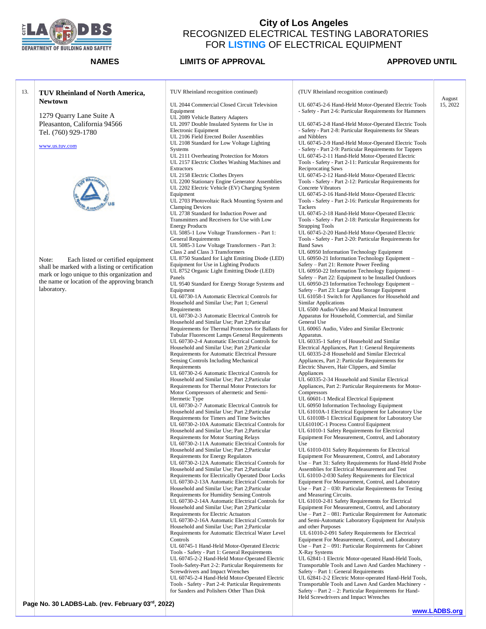

**Newtown**

Tel. (760) 929-1780

[www.us.tuv.com](http://www.us.tuv.com/)

laboratory.

## **City of Los Angeles**  RECOGNIZED ELECTRICAL TESTING LABORATORIES FOR **LISTING** OF ELECTRICAL EQUIPMENT

**NAMES LIMITS OF APPROVAL APPROVED UNTIL** 

August 15, 2022

### 13. **TUV Rheinland of North America,**  1279 Quarry Lane Suite A Pleasanton, California 94566 Note: Each listed or certified equipment shall be marked with a listing or certification mark or logo unique to this organization and the name or location of the approving branch TUV Rheinland recognition continued) UL 2044 Commercial Closed Circuit Television Equipment UL 2089 Vehicle Battery Adapters UL 2097 Double Insulated Systems for Use in Electronic Equipment UL 2106 Field Erected Boiler Assemblies UL 2108 Standard for Low Voltage Lighting **Systems** UL 2111 Overheating Protection for Motors UL 2157 Electric Clothes Washing Machines and **Extractors** UL 2158 Electric Clothes Dryers UL 2200 Stationary Engine Generator Assemblies UL 2202 Electric Vehicle (EV) Charging System Equipment UL 2703 Photovoltaic Rack Mounting System and Clamping Devices UL 2738 Standard for Induction Power and Transmitters and Receivers for Use with Low Energy Products UL 5085-1 Low Voltage Transformers - Part 1: General Requirements UL 5085-3 Low Voltage Transformers - Part 3: Class 2 and Class 3 Transformers UL 8750 Standard for Light Emitting Diode (LED) Equipment for Use in Lighting Products UL 8752 Organic Light Emitting Diode (LED) Panels UL 9540 Standard for Energy Storage Systems and Equipment UL 60730-1A Automatic Electrical Controls for Household and Similar Use; Part 1; General Requirements UL 60730-2-3 Automatic Electrical Controls for Household and Similar Use; Part 2;Particular Requirements for Thermal Protectors for Ballasts for Tubular Fluorescent Lamps General Requirements UL 60730-2-4 Automatic Electrical Controls for Household and Similar Use; Part 2;Particular Requirements for Automatic Electrical Pressure Sensing Controls Including Mechanical **Requirements** UL 60730-2-6 Automatic Electrical Controls for Household and Similar Use; Part 2;Particular Requirements for Thermal Motor Protectors for Motor Compressors of ahermetic and Semi-Hermetic Type UL 60730-2-7 Automatic Electrical Controls for Household and Similar Use; Part 2;Particular Requirements for Timers and Time Switches UL 60730-2-10A Automatic Electrical Controls for Household and Similar Use; Part 2;Particular Requirements for Motor Starting Relays UL 60730-2-11A Automatic Electrical Controls for Household and Similar Use; Part 2;Particular Requirements for Energy Regulators UL 60730-2-12A Automatic Electrical Controls for Household and Similar Use; Part 2;Particular Requirements for Electrically Operated Door Locks UL 60730-2-13A Automatic Electrical Controls for Household and Similar Use; Part 2;Particular Requirements for Humidity Sensing Controls UL 60730-2-14A Automatic Electrical Controls for Household and Similar Use; Part 2;Particular Requirements for Electric Actuators UL 60730-2-16A Automatic Electrical Controls for Household and Similar Use; Part 2;Particular Requirements for Automatic Electrical Water Level Controls UL 60745-1 Hand-Held Motor-Operated Electric Tools - Safety - Part 1: General Requirements UL 60745-2-2 Hand-Held Motor-Operated Electric Tools-Safety-Part 2-2: Particular Requirements for Screwdrivers and Impact Wrenches UL 60745-2-4 Hand-Held Motor-Operated Electric Tools - Safety - Part 2-4: Particular Requirements for Sanders and Polishers Other Than Disk (TUV Rheinland recognition continued) UL 60745-2-6 Hand-Held Motor-Operated Electric Tools - Safety - Part 2-6: Particular Requirements for Hammers UL 60745-2-8 Hand-Held Motor-Operated Electric Tools - Safety - Part 2-8: Particular Requirements for Shears and Nibblers UL 60745-2-9 Hand-Held Motor-Operated Electric Tools - Safety - Part 2-9: Particular Requirements for Tappers UL 60745-2-11 Hand-Held Motor-Operated Electric Tools - Safety - Part 2-11: Particular Requirements for Reciprocating Saws UL 60745-2-12 Hand-Held Motor-Operated Electric Tools - Safety - Part 2-12: Particular Requirements for Concrete Vibrators UL 60745-2-16 Hand-Held Motor-Operated Electric Tools - Safety - Part 2-16: Particular Requirements for Tackers UL 60745-2-18 Hand-Held Motor-Operated Electric Tools - Safety - Part 2-18: Particular Requirements for Strapping Tools UL 60745-2-20 Hand-Held Motor-Operated Electric Tools - Safety - Part 2-20: Particular Requirements for Band Saws UL 60950 Information Technology Equipment UL 60950-21 Information Technology Equipment – Safety – Part 21: Remote Power Feeding UL 60950-22 Information Technology Equipment – Safety – Part 22: Equipment to be Installed Outdoors UL 60950-23 Information Technology Equipment – Safety – Part 23: Large Data Storage Equipment UL 61058-1 Switch for Appliances for Household and Similar Applications UL 6500 Audio/Video and Musical Instrument Apparatus for Household, Commercial, and Similar General Use UL 60065 Audio, Video and Similar Electronic Apparatus. UL 60335-1 Safety of Household and Similar Electrical Appliances, Part 1: General Requirements UL 60335-2-8 Household and Similar Electrical Appliances, Part 2: Particular Requirements for Electric Shavers, Hair Clippers, and Similar Appliances UL 60335-2-34 Household and Similar Electrical Appliances, Part 2: Particular Requirements for Motor-**Compressors** UL 60601-1 Medical Electrical Equipment UL 60950 Information Technology Equipment UL 61010A-1 Electrical Equipment for Laboratory Use UL 61010B-1 Electrical Equipment for Laboratory Use UL61010C-1 Process Control Equipment UL 61010-1 Safety Requirements for Electrical Equipment For Measurement, Control, and Laboratory Use UL 61010-031 Safety Requirements for Electrical Equipment For Measurement, Control, and Laboratory Use – Part 31: Safety Requirements for Hand-Held Probe Assemblies for Electrical Measurement and Test UL 61010-2-030 Safety Requirements for Electrical Equipment For Measurement, Control, and Laboratory Use – Part  $2 - 030$ : Particular Requirements for Testing and Measuring Circuits. UL 61010-2-81 Safety Requirements for Electrical Equipment For Measurement, Control, and Laboratory Use – Part 2 – 081: Particular Requirement for Automatic and Semi-Automatic Laboratory Equipment for Analysis and other Purposes UL 61010-2-091 Safety Requirements for Electrical Equipment For Measurement, Control, and Laboratory Use – Part 2 – 091: Particular Requirements for Cabinet X-Ray Systems UL 62841-1 Electric Motor-operated Hand-Held Tools, Transportable Tools and Lawn And Garden Machinery - Safety – Part 1: General Requirements UL 62841-2-2 Electric Motor-operated Hand-Held Tools, Transportable Tools and Lawn And Garden Machinery - Safety – Part 2 – 2: Particular Requirements for Hand-Held Screwdrivers and Impact Wrenches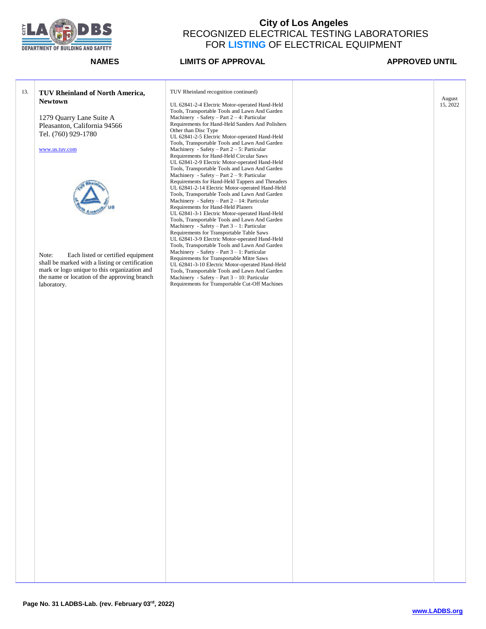

**NAMES LIMITS OF APPROVAL APPROVED UNTIL** 

August 15, 2022

## 13. **TUV Rheinland of North America, Newtown** 1279 Quarry Lane Suite A Pleasanton, California 94566 Tel. (760) 929-1780 [www.us.tuv.com](http://www.us.tuv.com/) Note: Each listed or certified equipment shall be marked with a listing or certification mark or logo unique to this organization and the name or location of the approving branch laboratory. TUV Rheinland recognition continued) UL 62841-2-4 Electric Motor-operated Hand-Held Tools, Transportable Tools and Lawn And Garden Machinery - Safety – Part 2 – 4: Particular Requirements for Hand-Held Sanders And Polishers Other than Disc Type UL 62841-2-5 Electric Motor-operated Hand-Held Tools, Transportable Tools and Lawn And Garden Machinery - Safety – Part 2 – 5: Particular Requirements for Hand-Held Circular Saws UL 62841-2-9 Electric Motor-operated Hand-Held Tools, Transportable Tools and Lawn And Garden Machinery - Safety – Part 2 – 9: Particular Requirements for Hand-Held Tappers and Threaders UL 62841-2-14 Electric Motor-operated Hand-Held Tools, Transportable Tools and Lawn And Garden Machinery - Safety – Part 2 – 14: Particular Requirements for Hand-Held Planers UL 62841-3-1 Electric Motor-operated Hand-Held Tools, Transportable Tools and Lawn And Garden Machinery - Safety – Part 3 – 1: Particular Requirements for Transportable Table Saws UL 62841-3-9 Electric Motor-operated Hand-Held Tools, Transportable Tools and Lawn And Garden Machinery - Safety – Part 3 – 1: Particular Requirements for Transportable Mitre Saws UL 62841-3-10 Electric Motor-operated Hand-Held Tools, Transportable Tools and Lawn And Garden Machinery - Safety – Part 3 – 10: Particular Requirements for Transportable Cut-Off Machines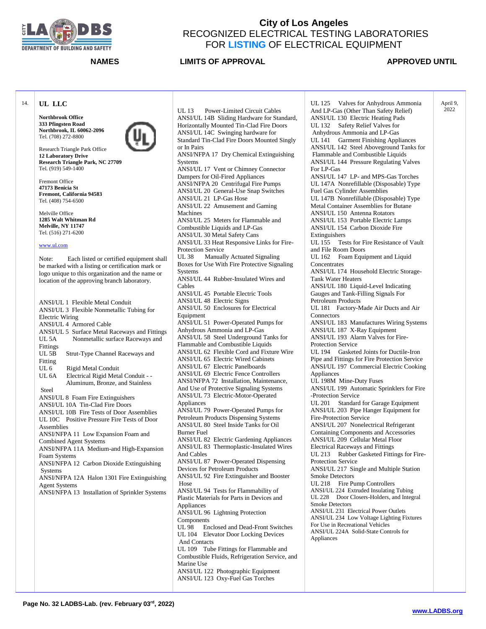

**NAMES LIMITS OF APPROVAL**  APPROVED UNTIL

April 9, 2022

### 14. **UL LLC**

**Northbrook Office 333 Pfingsten Road Northbrook, IL 60062-2096** Tel. (708) 272-8800



Research Triangle Park Office **12 Laboratory Drive Research Triangle Park, NC 27709** Tel. (919) 549-1400

Fremont Office **47173 Benicia St Fremont, California 94583** Tel. (408) 754-6500

Melville Office **1285 Walt Whitman Rd Melville, NY 11747** Tel. (516) 271-6200

### [www.ul.com](http://www.ul.com/)

Note: Each listed or certified equipment shall be marked with a listing or certification mark or logo unique to this organization and the name or location of the approving branch laboratory.

ANSI/UL 1 Flexible Metal Conduit ANSI/UL 3 Flexible Nonmetallic Tubing for Electric Wiring ANSI/UL 4 Armored Cable ANSI/UL 5 Surface Metal Raceways and Fittings UL 5A Nonmetallic surface Raceways and Fittings UL 5B Strut-Type Channel Raceways and Fitting UL 6 Rigid Metal Conduit<br>UL 6A Electrical Rigid Meta Electrical Rigid Metal Conduit - - Aluminum, Bronze, and Stainless Steel ANSI/UL 8 Foam Fire Extinguishers ANSI/UL 10A Tin-Clad Fire Doors ANSI/UL 10B Fire Tests of Door Assemblies UL 10C Positive Pressure Fire Tests of Door **Assemblies** ANSI/NFPA 11 Low Expansion Foam and Combined Agent Systems ANSI/NFPA 11A Medium-and High-Expansion Foam Systems ANSI/NFPA 12 Carbon Dioxide Extinguishing **Systems** ANSI/NFPA 12A Halon 1301 Fire Extinguishing Agent Systems ANSI/NFPA 13 Installation of Sprinkler Systems

UL 13 Power-Limited Circuit Cables ANSI/UL 14B Sliding Hardware for Standard, Horizontally Mounted Tin-Clad Fire Doors ANSI/UL 14C Swinging hardware for Standard Tin-Clad Fire Doors Mounted Singly or In Pairs ANSI/NFPA 17 Dry Chemical Extinguishing **Systems** ANSI/UL 17 Vent or Chimney Connector Dampers for Oil-Fired Appliances ANSI/NFPA 20 Centrifugal Fire Pumps ANSI/UL 20 General-Use Snap Switches ANSI/UL 21 LP-Gas Hose ANSI/UL 22 Amusement and Gaming Machines ANSI/UL 25 Meters for Flammable and Combustible Liquids and LP-Gas ANSI/UL 30 Metal Safety Cans ANSI/UL 33 Heat Responsive Links for Fire-Protection Service<br>III 38 Manual Manually Actuated Signaling Boxes for Use With Fire Protective Signaling Systems ANSI/UL 44 Rubber-Insulated Wires and Cables ANSI/UL 45 Portable Electric Tools ANSI/UL 48 Electric Signs ANSI/UL 50 Enclosures for Electrical Equipment ANSI/UL 51 Power-Operated Pumps for Anhydrous Ammonia and LP-Gas ANSI/UL 58 Steel Underground Tanks for Flammable and Combustible Liquids ANSI/UL 62 Flexible Cord and Fixture Wire ANSI/UL 65 Electric Wired Cabinets ANSI/UL 67 Electric Panelboards ANSI/UL 69 Electric Fence Controllers ANSI/NFPA 72 Installation, Maintenance, And Use of Protective Signaling Systems ANSI/UL 73 Electric-Motor-Operated Appliances ANSI/UL 79 Power-Operated Pumps for Petroleum Products Dispensing Systems ANSI/UL 80 Steel Inside Tanks for Oil Burner Fuel ANSI/UL 82 Electric Gardening Appliances ANSI/UL 83 Thermoplastic-Insulated Wires And Cables ANSI/UL 87 Power-Operated Dispensing Devices for Petroleum Products ANSI/UL 92 Fire Extinguisher and Booster Hose ANSI/UL 94 Tests for Flammability of Plastic Materials for Parts in Devices and Appliances ANSI/UL 96 Lightning Protection Components UL 98 Enclosed and Dead-Front Switches UL 104 Elevator Door Locking Devices And Contacts UL 109 Tube Fittings for Flammable and Combustible Fluids, Refrigeration Service, and Marine Use

ANSI/UL 122 Photographic Equipment ANSI/UL 123 Oxy-Fuel Gas Torches

UL 125 Valves for Anhydrous Ammonia And LP-Gas (Other Than Safety Relief) ANSI/UL 130 Electric Heating Pads UL 132 Safety Relief Valves for Anhydrous Ammonia and LP-Gas UL 141 Garment Finishing Appliances ANSI/UL 142 Steel Aboveground Tanks for Flammable and Combustible Liquids ANSI/UL 144 Pressure Regulating Valves For LP-Gas ANSI/UL 147 LP- and MPS-Gas Torches UL 147A Nonrefillable (Disposable) Type Fuel Gas Cylinder Assemblies UL 147B Nonrefillable (Disposable) Type Metal Container Assemblies for Butane ANSI/UL 150 Antenna Rotators ANSI/UL 153 Portable Electric Lamps ANSI/UL 154 Carbon Dioxide Fire Extinguishers UL 155 Tests for Fire Resistance of Vault and File Room Doors UL 162 Foam Equipment and Liquid **Concentrates** ANSI/UL 174 Household Electric Storage-Tank Water Heaters ANSI/UL 180 Liquid-Level Indicating Gauges and Tank-Filling Signals For Petroleum Products UL 181 Factory-Made Air Ducts and Air **Connectors** ANSI/UL 183 Manufactures Wiring Systems ANSI/UL 187 X-Ray Equipment ANSI/UL 193 Alarm Valves for Fire-Protection Service UL 194 Gasketed Joints for Ductile-Iron Pipe and Fittings for Fire Protection Service ANSI/UL 197 Commercial Electric Cooking Appliances UL 198M Mine-Duty Fuses ANSI/UL 199 Automatic Sprinklers for Fire -Protection Service UL 201 Standard for Garage Equipment ANSI/UL 203 Pipe Hanger Equipment for Fire-Protection Service ANSI/UL 207 Nonelectrical Refrigerant Containing Components and Accessories ANSI/UL 209 Cellular Metal Floor Electrical Raceways and Fittings UL 213 Rubber Gasketed Fittings for Fire-Protection Service ANSI/UL 217 Single and Multiple Station Smoke Detectors UL 218 Fire Pump Controllers ANSI/UL 224 Extruded Insulating Tubing UL 228 Door Closers-Holders, and Integral Smoke Detectors ANSI/UL 231 Electrical Power Outlets ANSI/UL 234 Low Voltage Lighting Fixtures For Use in Recreational Vehicles ANSI/UL 224A Solid-State Controls for Appliances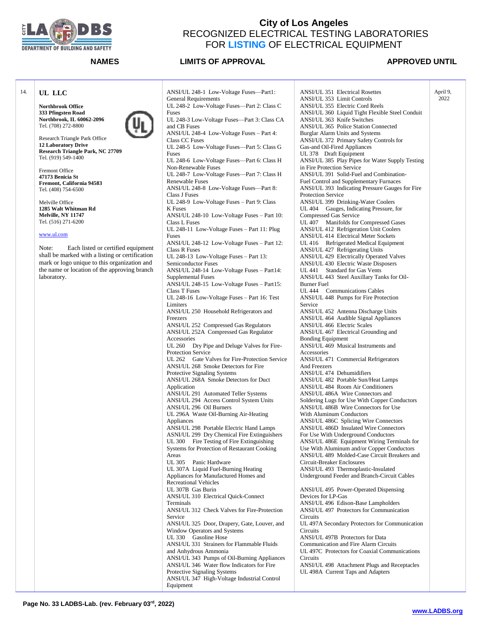

### **NAMES LIMITS OF APPROVAL**  APPROVED UNTIL

April 9, 2022

### 14. **UL LLC**

**Northbrook Office 333 Pfingsten Road Northbrook, IL 60062-2096** Tel. (708) 272-8800



Research Triangle Park Office **12 Laboratory Drive Research Triangle Park, NC 27709** Tel. (919) 549-1400

Fremont Office **47173 Benicia St Fremont, California 94583** Tel. (408) 754-6500

Melville Office **1285 Walt Whitman Rd Melville, NY 11747** Tel. (516) 271-6200

### [www.ul.com](http://www.ul.com/)

Note: Each listed or certified equipment shall be marked with a listing or certification mark or logo unique to this organization and the name or location of the approving branch laboratory.

ANSI/UL 248-1 Low-Voltage Fuses—Part1: General Requirements UL 248-2 Low-Voltage Fuses—Part 2: Class C Fuses UL 248-3 Low-Voltage Fuses—Part 3: Class CA and CB Fuses ANSI/UL 248-4 Low-Voltage Fuses – Part 4: Class CC Fuses UL 248-5 Low-Voltage Fuses—Part 5: Class G Fuses UL 248-6 Low-Voltage Fuses—Part 6: Class H Non-Renewable Fuses UL 248-7 Low-Voltage Fuses—Part 7: Class H Renewable Fuses ANSI/UL 248-8 Low-Voltage Fuses—Part 8: Class J Fuses UL 248-9 Low-Voltage Fuses – Part 9: Class K Fuses ANSI/UL 248-10 Low-Voltage Fuses – Part 10: Class L Fuses UL 248-11 Low-Voltage Fuses – Part 11: Plug Fuses ANSI/UL 248-12 Low-Voltage Fuses – Part 12: Class R Fuses UL 248-13 Low-Voltage Fuses – Part 13: Semiconductor Fuses ANSI/UL 248-14 Low-Voltage Fuses – Part14: Supplemental Fuses ANSI/UL 248-15 Low-Voltage Fuses – Part15: Class T Fuses UL 248-16 Low-Voltage Fuses – Part 16: Test Limiters ANSI/UL 250 Household Refrigerators and Freezers ANSI/UL 252 Compressed Gas Regulators ANSI/UL 252A Compressed Gas Regulator Accessories UL 260 Dry Pipe and Deluge Valves for Fire-Protection Service UL 262 Gate Valves for Fire-Protection Service ANSI/UL 268 Smoke Detectors for Fire Protective Signaling Systems ANSI/UL 268A Smoke Detectors for Duct Application ANSI/UL 291 Automated Teller Systems ANSI/UL 294 Access Control System Units ANSI/UL 296 Oil Burners UL 296A Waste Oil-Burning Air-Heating Appliances ANSI/UL 298 Portable Electric Hand Lamps ASNI/UL 299 Dry Chemical Fire Extinguishers UL 300 Fire Testing of Fire Extinguishing Systems for Protection of Restaurant Cooking Areas UL 305 Panic Hardware UL 307A Liquid Fuel-Burning Heating Appliances for Manufactured Homes and Recreational Vehicles UL 307B Gas Burin ANSI/UL 310 Electrical Quick-Connect Terminals ANSI/UL 312 Check Valves for Fire-Protection Service ANSI/UL 325 Door, Drapery, Gate, Louver, and Window Operators and Systems UL 330 Gasoline Hose ANSI/UL 331 Strainers for Flammable Fluids and Anhydrous Ammonia ANSI/UL 343 Pumps of Oil-Burning Appliances ANSI/UL 346 Water flow Indicators for Fire Protective Signaling Systems ANSI/UL 347 High-Voltage Industrial Control Equipment

ANSI/UL 351 Electrical Rosettes ANSI/UL 353 Limit Controls ANSI/UL 355 Electric Cord Reels ANSI/UL 360 Liquid Tight Flexible Steel Conduit ANSI/UL 363 Knife Switches ANSI/UL 365 Police Station Connected Burglar Alarm Units and Systems ANSI/UL 372 Primary Safety Controls for Gas-and Oil-Fired Appliances UL 378 Draft Equipment ANSI/UL 385 Play Pipes for Water Supply Testing in Fire Protection Service ANSI/UL 391 Solid-Fuel and Combination-Fuel Control and Supplementary Furnaces ANSI/UL 393 Indicating Pressure Gauges for Fire Protection Service ANSI/UL 399 Drinking-Water Coolers UL 404 Gauges, Indicating Pressure, for Compressed Gas Service UL 407 Manifolds for Compressed Gases ANSI/UL 412 Refrigeration Unit Coolers ANSI/UL 414 Electrical Meter Sockets UL 416 Refrigerated Medical Equipment ANSI/UL 427 Refrigerating Units ANSI/UL 429 Electrically Operated Valves ANSI/UL 430 Electric Waste Disposers UL 441 Standard for Gas Vents ANSI/UL 443 Steel Auxillary Tanks for Oil-Burner Fuel UL 444 Communications Cables ANSI/UL 448 Pumps for Fire Protection Service ANSI/UL 452 Antenna Discharge Units ANSI/UL 464 Audible Signal Appliances ANSI/UL 466 Electric Scales ANSI/UL 467 Electrical Grounding and Bonding Equipment ANSI/UL 469 Musical Instruments and Accessories ANSI/UL 471 Commercial Refrigerators And Freezers ANSI/UL 474 Dehumidifiers ANSI/UL 482 Portable Sun/Heat Lamps ANSI/UL 484 Room Air Conditioners ANSI/UL 486A Wire Connectors and Soldering Lugs for Use With Copper Conductors ANSI/UL 486B Wire Connectors for Use With Aluminum Conductors ANSI/UL 486C Splicing Wire Connectors ANSI/UL 486D Insulated Wire Connectors For Use With Underground Conductors ANSI/UL 486E Equipment Wiring Terminals for Use With Aluminum and/or Copper Conductors ANSI/UL 489 Molded-Case Circuit Breakers and Circuit-Breaker Enclosures ANSI/UL 493 Thermoplastic-Insulated Underground Feeder and Branch-Circuit Cables ANSI/UL 495 Power-Operated Dispensing Devices for LP-Gas ANSI/UL 496 Edison-Base Lampholders ANSI/UL 497 Protectors for Communication **Circuits** UL 497A Secondary Protectors for Communication **Circuits** ANSI/UL 497B Protectors for Data Communication and Fire Alarm Circuits UL 497C Protectors for Coaxial Communications Circuits

ANSI/UL 498 Attachment Plugs and Receptacles UL 498A Current Taps and Adapters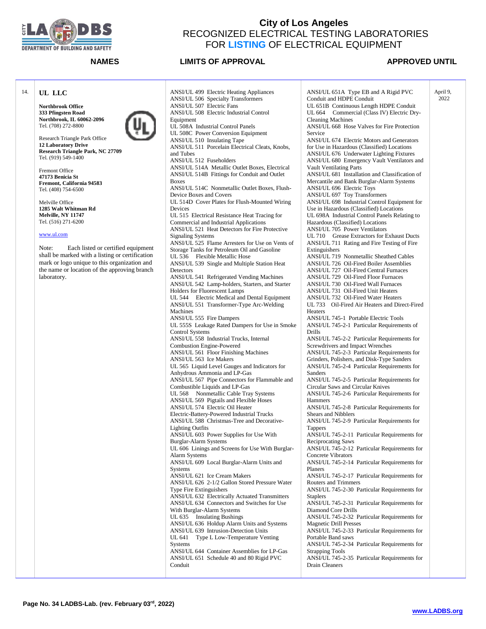

### **NAMES LIMITS OF APPROVAL APPROVED UNTIL**

2022

14. **UL LLC Northbrook Office 333 Pfingsten Road Northbrook, IL 60062-2096** Tel. (708) 272-8800 Research Triangle Park Office **12 Laboratory Drive Research Triangle Park, NC 27709** Tel. (919) 549-1400 Fremont Office **47173 Benicia St Fremont, California 94583** Tel. (408) 754-6500 Melville Office **1285 Walt Whitman Rd Melville, NY 11747** Tel. (516) 271-6200 [www.ul.com](http://www.ul.com/) Note: Each listed or certified equipment shall be marked with a listing or certification mark or logo unique to this organization and the name or location of the approving branch laboratory. ANSI/UL 499 Electric Heating Appliances ANSI/UL 506 Specialty Transformers ANSI/UL 507 Electric Fans ANSI/UL 508 Electric Industrial Control Equipment UL 508A Industrial Control Panels UL 508C Power Conversion Equipment ANSI/UL 510 Insulating Tape ANSI/UL 511 Porcelain Electrical Cleats, Knobs, and Tubes ANSI/UL 512 Fuseholders ANSI/UL 514A Metallic Outlet Boxes, Electrical ANSI/UL 514B Fittings for Conduit and Outlet Boxes ANSI/UL 514C Nonmetallic Outlet Boxes, Flush-Device Boxes and Covers UL 514D Cover Plates for Flush-Mounted Wiring Devices UL 515 Electrical Resistance Heat Tracing for Commercial and Industrial Applications ANSI/UL 521 Heat Detectors for Fire Protective Signaling Systems ANSI/UL 525 Flame Arresters for Use on Vents of Storage Tanks for Petroleum Oil and Gasoline UL 536 Flexible Metallic Hose ANSI/UL 539 Single and Multiple Station Heat **Detectors** ANSI/UL 541 Refrigerated Vending Machines ANSI/UL 542 Lamp-holders, Starters, and Starter Holders for Fluorescent Lamps UL 544 Electric Medical and Dental Equipment ANSI/UL 551 Transformer-Type Arc-Welding Machines ANSI/UL 555 Fire Dampers UL 555S Leakage Rated Dampers for Use in Smoke Control Systems ANSI/UL 558 Industrial Trucks, Internal Combustion Engine-Powered ANSI/UL 561 Floor Finishing Machines ANSI/UL 563 Ice Makers UL 565 Liquid Level Gauges and Indicators for Anhydrous Ammonia and LP-Gas ANSI/UL 567 Pipe Connectors for Flammable and Combustible Liquids and LP-Gas UL 568 Nonmetallic Cable Tray Systems ANSI/UL 569 Pigtails and Flexible Hoses ANSI/UL 574 Electric Oil Heater Electric-Battery-Powered Industrial Trucks ANSI/UL 588 Christmas-Tree and Decorative-Lighting Outfits ANSI/UL 603 Power Supplies for Use With Burglar-Alarm Systems UL 606 Linings and Screens for Use With Burglar-Alarm Systems ANSI/UL 609 Local Burglar-Alarm Units and Systems ANSI/UL 621 Ice Cream Makers ANSI/UL 626 2-1/2 Gallon Stored Pressure Water Type Fire Extinguishers ANSI/UL 632 Electrically Actuated Transmitters ANSI/UL 634 Connectors and Switches for Use With Burglar-Alarm Systems UL 635 Insulating Bushings ANSI/UL 636 Holdup Alarm Units and Systems ANSI/UL 639 Intrusion-Detection Units UL 641 Type L Low-Temperature Venting **Systems** ANSI/UL 644 Container Assemblies for LP-Gas ANSI/UL 651 Schedule 40 and 80 Rigid PVC Conduit Service **Heaters** Drills Sanders Hammers Tappers Planers Staplers Drain Cleaners

ANSI/UL 651A Type EB and A Rigid PVC Conduit and HDPE Conduit UL 651B Continuous Length HDPE Conduit UL 664 Commercial (Class IV) Electric Dry-Cleaning Machines ANSI/UL 668 Hose Valves for Fire Protection ANSI/UL 674 Electric Motors and Generators for Use in Hazardous (Classified) Locations ANSI/UL 676 Underwater Lighting Fixtures ANSI/UL 680 Emergency Vault Ventilators and Vault Ventilating Parts ANSI/UL 681 Installation and Classification of Mercantile and Bank Burglar-Alarm Systems ANSI/UL 696 Electric Toys ANSI/UL 697 Toy Transformers ANSI/UL 698 Industrial Control Equipment for Use in Hazardous (Classified) Locations UL 698A Industrial Control Panels Relating to Hazardous (Classified) Locations ANSI/UL 705 Power Ventilators UL 710 Grease Extractors for Exhaust Ducts ANSI/UL 711 Rating and Fire Testing of Fire Extinguishers ANSI/UL 719 Nonmetallic Sheathed Cables ANSI/UL 726 Oil-Fired Boiler Assemblies ANSI/UL 727 Oil-Fired Central Furnaces ANSI/UL 729 Oil-Fired Floor Furnaces ANSI/UL 730 Oil-Fired Wall Furnaces ANSI/UL 731 Oil-Fired Unit Heaters ANSI/UL 732 Oil-Fired Water Heaters UL 733 Oil-Fired Air Heaters and Direct-Fired ANSI/UL 745-1 Portable Electric Tools ANSI/UL 745-2-1 Particular Requirements of ANSI/UL 745-2-2 Particular Requirements for Screwdrivers and Impact Wrenches ANSI/UL 745-2-3 Particular Requirements for Grinders, Polishers, and Disk-Type Sanders ANSI/UL 745-2-4 Particular Requirements for ANSI/UL 745-2-5 Particular Requirements for Circular Saws and Circular Knives ANSI/UL 745-2-6 Particular Requirements for ANSI/UL 745-2-8 Particular Requirements for Shears and Nibblers ANSI/UL 745-2-9 Particular Requirements for ANSI/UL 745-2-11 Particular Requirements for Reciprocating Saws ANSI/UL 745-2-12 Particular Requirements for Concrete Vibrators ANSI/UL 745-2-14 Particular Requirements for ANSI/UL 745-2-17 Particular Requirements for Routers and Trimmers ANSI/UL 745-2-30 Particular Requirements for ANSI/UL 745-2-31 Particular Requirements for Diamond Core Drills ANSI/UL 745-2-32 Particular Requirements for Magnetic Drill Presses ANSI/UL 745-2-33 Particular Requirements for Portable Band saws ANSI/UL 745-2-34 Particular Requirements for Strapping Tools ANSI/UL 745-2-35 Particular Requirements for April 9,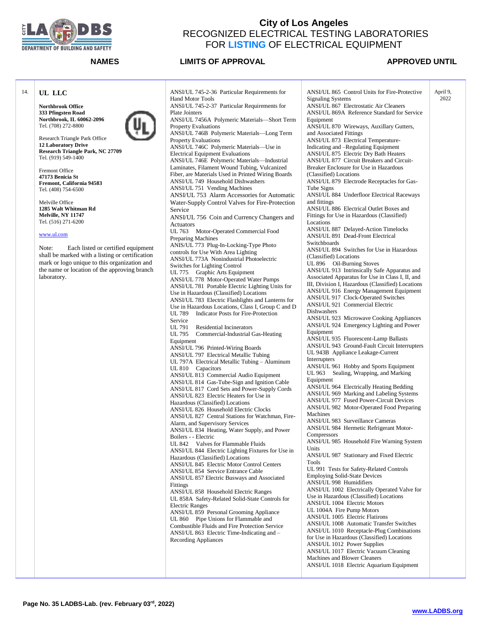

**NAMES LIMITS OF APPROVAL APPROVED UNTIL** 

April 9, 2022

### 14. **UL LLC**

**Northbrook Office 333 Pfingsten Road Northbrook, IL 60062-2096** Tel. (708) 272-8800



Research Triangle Park Office **12 Laboratory Drive Research Triangle Park, NC 27709** Tel. (919) 549-1400

Fremont Office **47173 Benicia St Fremont, California 94583** Tel. (408) 754-6500

Melville Office **1285 Walt Whitman Rd Melville, NY 11747** Tel. (516) 271-6200

### [www.ul.com](http://www.ul.com/)

Note: Each listed or certified equipment shall be marked with a listing or certification mark or logo unique to this organization and the name or location of the approving branch laboratory.

ANSI/UL 745-2-36 Particular Requirements for Hand Motor Tools ANSI/UL 745-2-37 Particular Requirements for Plate Jointers ANSI/UL 7456A Polymeric Materials—Short Term Property Evaluations ANSI/UL 746B Polymeric Materials—Long Term Property Evaluations ANSI/UL 746C Polymeric Materials—Use in Electrical Equipment Evaluations ANSI/UL 746E Polymeric Materials—Industrial Laminates, Filament Wound Tubing, Vulcanized Fiber, are Materials Used in Printed Wiring Boards ANSI/UL 749 Household Dishwashers ANSI/UL 751 Vending Machines ANSI/UL 753 Alarm Accessories for Automatic Water-Supply Control Valves for Fire-Protection Service ANSI/UL 756 Coin and Currency Changers and Actuators UL 763 Motor-Operated Commercial Food Preparing Machines ANIS/UL 773 Plug-In-Locking-Type Photo controls for Use With Area Lighting ANSI/UL 773A Nonindustrial Photoelectric Switches for Lighting Control UL 775 Graphic Arts Equipment ANSI/UL 778 Motor-Operated Water Pumps ANSI/UL 781 Portable Electric Lighting Units for Use in Hazardous (Classified) Locations ANSI/UL 783 Electric Flashlights and Lanterns for Use in Hazardous Locations, Class I, Group C and D UL 789 Indicator Posts for Fire-Protection Service<br>UL 791 Residential Incinerators UL 795 Commercial-Industrial Gas-Heating Equipment ANSI/UL 796 Printed-Wiring Boards ANSI/UL 797 Electrical Metallic Tubing UL 797A Electrical Metallic Tubing – Aluminum UL 810 Capacitors ANSI/UL 813 Commercial Audio Equipment ANSI/UL 814 Gas-Tube-Sign and Ignition Cable ANSI/UL 817 Cord Sets and Power-Supply Cords ANSI/UL 823 Electric Heaters for Use in Hazardous (Classified) Locations ANSI/UL 826 Household Electric Clocks ANSI/UL 827 Central Stations for Watchman, Fire-Alarm, and Supervisory Services ANSI/UL 834 Heating, Water Supply, and Power Boilers - - Electric UL 842 Valves for Flammable Fluids ANSI/UL 844 Electric Lighting Fixtures for Use in Hazardous (Classified) Locations ANSI/UL 845 Electric Motor Control Centers ANSI/UL 854 Service Entrance Cable ANSI/UL 857 Electric Busways and Associated Fittings ANSI/UL 858 Household Electric Ranges UL 858A Safety-Related Solid-State Controls for Electric Ranges ANSI/UL 859 Personal Grooming Appliance UL 860 Pipe Unions for Flammable and Combustible Fluids and Fire Protection Service ANSI/UL 863 Electric Time-Indicating and – Recording Appliances

ANSI/UL 865 Control Units for Fire-Protective Signaling Systems ANSI/UL 867 Electrostatic Air Cleaners ANSI/UL 869A Reference Standard for Service Equipment ANSI/UL 870 Wireways, Auxillary Gutters, and Associated Fittings ANSI/UL 873 Electrical Temperature-Indicating and –Regulating Equipment ANSI/UL 875 Electric Dry Bath Heaters ANSI/UL 877 Circuit Breakers and Circuit-Breaker Enclosure for Use in Hazardous (Classified) Locations ANSI/UL 879 Electrode Receptacles for Gas-Tube Signs ANSI/UL 884 Underfloor Electrical Raceways and fittings ANSI/UL 886 Electrical Outlet Boxes and Fittings for Use in Hazardous (Classified) Locations ANSI/UL 887 Delayed-Action Timelocks ANSI/UL 891 Dead-Front Electrical **Switchboards** ANSI/UL 894 Switches for Use in Hazardous (Classified) Locations UL 896 Oil-Burning Stoves ANSI/UL 913 Intrinsically Safe Apparatus and Associated Apparatus for Use in Class I, II, and III, Division I, Hazardous (Classified) Locations ANSI/UL 916 Energy Management Equipment ANSI/UL 917 Clock-Operated Switches ANSI/UL 921 Commercial Electric **Dishwashers** ANSI/UL 923 Microwave Cooking Appliances ANSI/UL 924 Emergency Lighting and Power Equipment ANSI/UL 935 Fluorescent-Lamp Ballasts ANSI/UL 943 Ground-Fault Circuit Interrupters UL 943B Appliance Leakage-Current Interrupters ANSI/UL 961 Hobby and Sports Equipment UL 963 Sealing, Wrapping, and Marking Equipment ANSI/UL 964 Electrically Heating Bedding ANSI/UL 969 Marking and Labeling Systems ANSI/UL 977 Fused Power-Circuit Devices ANSI/UL 982 Motor-Operated Food Preparing Machines ANSI/UL 983 Surveillance Cameras ANSI/UL 984 Hermetic Refrigerant Motor-**Compressors** ANSI/UL 985 Household Fire Warning System **I** Inits ANSI/UL 987 Stationary and Fixed Electric Tools UL 991 Tests for Safety-Related Controls Employing Solid-State Devices ANSI/UL 998 Humidifiers ANSI/UL 1002 Electrically Operated Valve for Use in Hazardous (Classified) Locations ANSI/UL 1004 Electric Motors UL 1004A Fire Pump Motors ANSI/UL 1005 Electric Flatirons ANSI/UL 1008 Automatic Transfer Switches ANSI/UL 1010 Receptacle-Plug Combinations for Use in Hazardous (Classified) Locations ANSI/UL 1012 Power Supplies ANSI/UL 1017 Electric Vacuum Cleaning Machines and Blower Cleaners ANSI/UL 1018 Electric Aquarium Equipment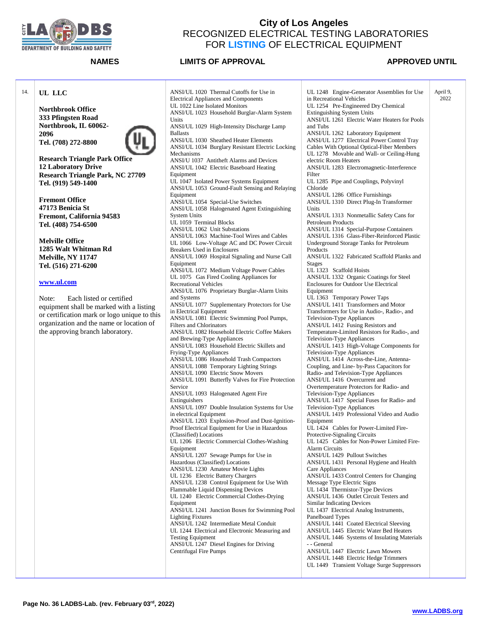

**Northbrook Office 333 Pfingsten Road Northbrook, IL 60062-**

**Tel. (708) 272-8800**

**12 Laboratory Drive**

**Tel. (919) 549-1400**

**Fremont Office 47173 Benicia St**

**Melville Office 1285 Walt Whitman Rd Melville, NY 11747 Tel. (516) 271-6200**

**[www.ul.com](http://www.ul.com/)**

**Research Triangle Park Office**

**Fremont, California 94583 Tel. (408) 754-6500**

Note: Each listed or certified

14. **UL LLC**

**2096**

### **City of Los Angeles**  RECOGNIZED ELECTRICAL TESTING LABORATORIES FOR **LISTING** OF ELECTRICAL EQUIPMENT

### **NAMES LIMITS OF APPROVAL APPROVED UNTIL**

**Research Triangle Park, NC 27709** equipment shall be marked with a listing or certification mark or logo unique to this organization and the name or location of ANSI/UL 1020 Thermal Cutoffs for Use in Electrical Appliances and Components UL 1022 Line Isolated Monitors ANSI/UL 1023 Household Burglar-Alarm System Units ANSI/UL 1029 High-Intensity Discharge Lamp Ballasts ANSI/UL 1030 Sheathed Heater Elements ANSI/UL 1034 Burglary Resistant Electric Locking Mechanisms ANSI/U 1037 Antitheft Alarms and Devices ANSI/UL 1042 Electric Baseboard Heating Equipment UL 1047 Isolated Power Systems Equipment ANSI/UL 1053 Ground-Fault Sensing and Relaying Equipment ANSI/UL 1054 Special-Use Switches ANSI/UL 1058 Halogenated Agent Extinguishing System Units UL 1059 Terminal Blocks ANSI/UL 1062 Unit Substations ANSI/UL 1063 Machine-Tool Wires and Cables UL 1066 Low-Voltage AC and DC Power Circuit Breakers Used in Enclosures ANSI/UL 1069 Hospital Signaling and Nurse Call Equipment ANSI/UL 1072 Medium Voltage Power Cables UL 1075 Gas Fired Cooling Appliances for Recreational Vehicles ANSI/UL 1076 Proprietary Burglar-Alarm Units and Systems ANSI/UL 1077 Supplementary Protectors for Use in Electrical Equipment ANSI/UL 1081 Electric Swimming Pool Pumps, Filters and Chlorinators ANSI/UL 1082 Household Electric Coffee Makers and Brewing-Type Appliances ANSI/UL 1083 Household Electric Skillets and Frying-Type Appliances ANSI/UL 1086 Household Trash Compactors ANSI/UL 1088 Temporary Lighting Strings ANSI/UL 1090 Electric Snow Movers ANSI/UL 1091 Butterfly Valves for Fire Protection Service ANSI/UL 1093 Halogenated Agent Fire Extinguishers ANSI/UL 1097 Double Insulation Systems for Use in electrical Equipment ANSI/UL 1203 Explosion-Proof and Dust-Ignition-Proof Electrical Equipment for Use in Hazardous (Classified) Locations UL 1206 Electric Commercial Clothes-Washing Equipment ANSI/UL 1207 Sewage Pumps for Use in Hazardous (Classified) Locations ANSI/UL 1230 Amateur Movie Lights UL 1236 Electric Battery Chargers ANSI/UL 1238 Control Equipment for Use With Flammable Liquid Dispensing Devices UL 1240 Electric Commercial Clothes-Drying Equipment ANSI/UL 1241 Junction Boxes for Swimming Pool Lighting Fixtures ANSI/UL 1242 Intermediate Metal Conduit UL 1244 Electrical and Electronic Measuring and Testing Equipment ANSI/UL 1247 Diesel Engines for Driving Centrifugal Fire Pumps

UL 1248 Engine-Generator Assemblies for Use in Recreational Vehicles UL 1254 Pre-Engineered Dry Chemical Extinguishing System Units ANSI/UL 1261 Electric Water Heaters for Pools and Tubs ANSI/UL 1262 Laboratory Equipment ANSI/UL 1277 Electrical Power Control Tray Cables With Optional Optical-Fiber Members UL 1278 Movable and Wall- or Ceiling-Hung electric Room Heaters ANSI/UL 1283 Electromagnetic-Interference Filter UL 1285 Pipe and Couplings, Polyvinyl Chloride ANSI/UL 1286 Office Furnishings ANSI/UL 1310 Direct Plug-In Transformer Units ANSI/UL 1313 Nonmetallic Safety Cans for Petroleum Products ANSI/UL 1314 Special-Purpose Containers ANSI/UL 1316 Glass-Fiber-Reinforced Plastic Underground Storage Tanks for Petroleum Products ANSI/UL 1322 Fabricated Scaffold Planks and Stages UL 1323 Scaffold Hoists ANSI/UL 1332 Organic Coatings for Steel Enclosures for Outdoor Use Electrical Equipment UL 1363 Temporary Power Taps ANSI/UL 1411 Transformers and Motor Transformers for Use in Audio-, Radio-, and Television-Type Appliances ANSI/UL 1412 Fusing Resistors and Temperature-Limited Resistors for Radio-, and Television-Type Appliances ANSI/UL 1413 High-Voltage Components for Television-Type Appliances ANSI/UL 1414 Across-the-Line, Antenna-Coupling, and Line- by-Pass Capacitors for Radio- and Television-Type Appliances ANSI/UL 1416 Overcurrent and Overtemperature Protectors for Radio- and Television-Type Appliances ANSI/UL 1417 Special Fuses for Radio- and Television-Type Appliances ANSI/UL 1419 Professional Video and Audio Equipment UL 1424 Cables for Power-Limited Fire-Protective-Signaling Circuits UL 1425 Cables for Non-Power Limited Fire-Alarm Circuits ANSI/UL 1429 Pullout Switches ANSI/UL 1431 Personal Hygiene and Health Care Appliances ANSI/UL 1433 Control Centers for Changing Message Type Electric Signs UL 1434 Thermistor-Type Devices ANSI/UL 1436 Outlet Circuit Testers and Similar Indicating Devices UL 1437 Electrical Analog Instruments, Panelboard Types ANSI/UL 1441 Coated Electrical Sleeving ANSI/UL 1445 Electric Water Bed Heaters ANSI/UL 1446 Systems of Insulating Materials - - General ANSI/UL 1447 Electric Lawn Mowers ANSI/UL 1448 Electric Hedge Trimmers UL 1449 Transient Voltage Surge Suppressors April 9, 2022

the approving branch laboratory.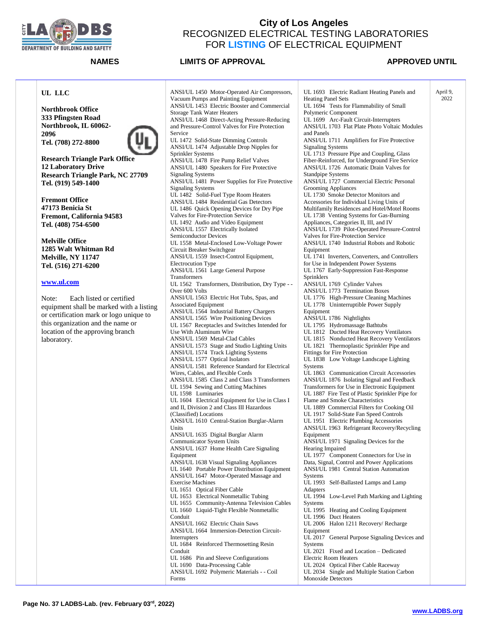

### **NAMES LIMITS OF APPROVAL APPROVED UNTIL**

2022

### **UL LLC**

**Northbrook Office 333 Pfingsten Road Northbrook, IL 60062- 2096 Tel. (708) 272-8800**



**Research Triangle Park Office 12 Laboratory Drive Research Triangle Park, NC 27709 Tel. (919) 549-1400**

**Fremont Office 47173 Benicia St Fremont, California 94583 Tel. (408) 754-6500**

**Melville Office 1285 Walt Whitman Rd Melville, NY 11747 Tel. (516) 271-6200**

### **[www.ul.com](http://www.ul.com/)**

Note: Each listed or certified equipment shall be marked with a listing or certification mark or logo unique to this organization and the name or location of the approving branch laboratory.

ANSI/UL 1450 Motor-Operated Air Compressors, Vacuum Pumps and Painting Equipment ANSI/UL 1453 Electric Booster and Commercial Storage Tank Water Heaters ANSI/UL 1468 Direct-Acting Pressure-Reducing and Pressure-Control Valves for Fire Protection Service UL 1472 Solid-State Dimming Controls ANSI/UL 1474 Adjustable Drop Nipples for Sprinkler Systems ANSI/UL 1478 Fire Pump Relief Valves ANSI/UL 1480 Speakers for Fire Protective Signaling Systems ANSI/UL 1481 Power Supplies for Fire Protective Signaling Systems UL 1482 Solid-Fuel Type Room Heaters ANSI/UL 1484 Residential Gas Detectors UL 1486 Quick Opening Devices for Dry Pipe Valves for Fire-Protection Service UL 1492 Audio and Video Equipment ANSI/UL 1557 Electrically Isolated Semiconductor Devices UL 1558 Metal-Enclosed Low-Voltage Power Circuit Breaker Switchgear ANSI/UL 1559 Insect-Control Equipment, Electrocution Type ANSI/UL 1561 Large General Purpose Transformers UL 1562 Transformers, Distribution, Dry Type - - Over 600 Volts ANSI/UL 1563 Electric Hot Tubs, Spas, and Associated Equipment ANSI/UL 1564 Industrial Battery Chargers ANSI/UL 1565 Wire Positioning Devices UL 1567 Receptacles and Switches Intended for Use With Aluminum Wire ANSI/UL 1569 Metal-Clad Cables ANSI/UL 1573 Stage and Studio Lighting Units ANSI/UL 1574 Track Lighting Systems ANSI/UL 1577 Optical Isolators ANSI/UL 1581 Reference Standard for Electrical Wires, Cables, and Flexible Cords ANSI/UL 1585 Class 2 and Class 3 Transformers UL 1594 Sewing and Cutting Machines UL 1598 Luminaries UL 1604 Electrical Equipment for Use in Class I and II, Division 2 and Class III Hazardous (Classified) Locations ANSI/UL 1610 Central-Station Burglar-Alarm Units ANSI/UL 1635 Digital Burglar Alarm Communicator System Units ANSI/UL 1637 Home Health Care Signaling Equipment ANSI/UL 1638 Visual Signaling Appliances UL 1640 Portable Power Distribution Equipment ANSI/UL 1647 Motor-Operated Massage and Exercise Machines UL 1651 Optical Fiber Cable UL 1653 Electrical Nonmetallic Tubing UL 1655 Community-Antenna Television Cables UL 1660 Liquid-Tight Flexible Nonmetallic Conduit ANSI/UL 1662 Electric Chain Saws ANSI/UL 1664 Immersion-Detection Circuit-Interrupters UL 1684 Reinforced Thermosetting Resin Conduit UL 1686 Pin and Sleeve Configurations UL 1690 Data-Processing Cable ANSI/UL 1692 Polymeric Materials - - Coil Forms

UL 1693 Electric Radiant Heating Panels and Heating Panel Sets UL 1694 Tests for Flammability of Small Polymeric Component UL 1699 Arc-Fault Circuit-Interrupters ANSI/UL 1703 Flat Plate Photo Voltaic Modules and Panels ANSI/UL 1711 Amplifiers for Fire Protective Signaling Systems UL 1713 Pressure Pipe and Coupling, Glass Fiber-Reinforced, for Underground Fire Service ANSI/UL 1726 Automatic Drain Valves for Standpipe Systems ANSI/UL 1727 Commercial Electric Personal Grooming Appliances UL 1730 Smoke Detector Monitors and Accessories for Individual Living Units of Multifamily Residences and Hotel/Motel Rooms UL 1738 Venting Systems for Gas-Burning Appliances, Categories II, III, and IV ANSI/UL 1739 Pilot-Operated Pressure-Control Valves for Fire-Protection Service ANSI/UL 1740 Industrial Robots and Robotic Equipment UL 1741 Inverters, Converters, and Controllers for Use in Independent Power Systems UL 1767 Early-Suppression Fast-Response Sprinklers ANSI/UL 1769 Cylinder Valves ANSI/UL 1773 Termination Boxes UL 1776 High-Pressure Cleaning Machines UL 1778 Uninterruptible Power Supply Equipment ANSI/UL 1786 Nightlights UL 1795 Hydromassage Bathtubs UL 1812 Ducted Heat Recovery Ventilators UL 1815 Nonducted Heat Recovery Ventilators UL 1821 Thermoplastic Sprinkler Pipe and Fittings for Fire Protection UL 1838 Low Voltage Landscape Lighting **Systems** UL 1863 Communication Circuit Accessories ANSI/UL 1876 Isolating Signal and Feedback Transformers for Use in Electronic Equipment UL 1887 Fire Test of Plastic Sprinkler Pipe for Flame and Smoke Characteristics UL 1889 Commercial Filters for Cooking Oil UL 1917 Solid-State Fan Speed Controls UL 1951 Electric Plumbing Accessories ANSI/UL 1963 Refrigerant Recovery/Recycling Equipment ANSI/UL 1971 Signaling Devices for the Hearing Impaired UL 1977 Component Connectors for Use in Data, Signal, Control and Power Applications ANSI/UL 1981 Central Station Automation **Systems** UL 1993 Self-Ballasted Lamps and Lamp Adapters UL 1994 Low-Level Path Marking and Lighting Systems UL 1995 Heating and Cooling Equipment UL 1996 Duct Heaters UL 2006 Halon 1211 Recovery/ Recharge Equipment UL 2017 General Purpose Signaling Devices and **Systems** UL 2021 Fixed and Location – Dedicated Electric Room Heaters UL 2024 Optical Fiber Cable Raceway UL 2034 Single and Multiple Station Carbon Monoxide Detectors April 9,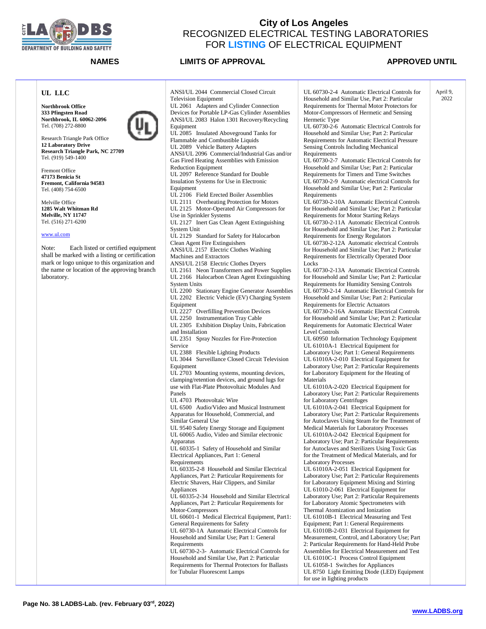

## **NAMES LIMITS OF APPROVAL APPROVED UNTIL**

2022

### **UL LLC**

**Northbrook Office 333 Pfingsten Road Northbrook, IL 60062-2096** Tel. (708) 272-8800



Research Triangle Park Office **12 Laboratory Drive Research Triangle Park, NC 27709** Tel. (919) 549-1400

Fremont Office **47173 Benicia St Fremont, California 94583** Tel. (408) 754-6500

Melville Office **1285 Walt Whitman Rd Melville, NY 11747** Tel. (516) 271-6200

### [www.ul.com](http://www.ul.com/)

Note: Each listed or certified equipment shall be marked with a listing or certification mark or logo unique to this organization and the name or location of the approving branch laboratory.

ANSI/UL 2044 Commercial Closed Circuit Television Equipment UL 2061 Adapters and Cylinder Connection Devices for Portable LP-Gas Cylinder Assemblies ANSI/UL 2083 Halon 1301 Recovery/Recycling Equipment UL 2085 Insulated Aboveground Tanks for Flammable and Combustible Liquids UL 2089 Vehicle Battery Adapters ANSI/UL 2096 Commercial/Industrial Gas and/or Gas Fired Heating Assemblies with Emission Reduction Equipment UL 2097 Reference Standard for Double Insulation Systems for Use in Electronic Equipment UL 2106 Field Erected Boiler Assemblies UL 2111 Overheating Protection for Motors UL 2125 Motor-Operated Air Compressors for Use in Sprinkler Systems UL 2127 Inert Gas Clean Agent Extinguishing System Unit UL 2129 Standard for Safety for Halocarbon Clean Agent Fire Extinguishers ANSI/UL 2157 Electric Clothes Washing Machines and Extractors ANSI/UL 2158 Electric Clothes Dryers UL 2161 Neon Transformers and Power Supplies UL 2166 Halocarbon Clean Agent Extinguishing System Units UL 2200 Stationary Engine Generator Assemblies UL 2202 Electric Vehicle (EV) Charging System Equipment UL 2227 Overfilling Prevention Devices UL 2250 Instrumentation Tray Cable UL 2305 Exhibition Display Units, Fabrication and Installation UL 2351 Spray Nozzles for Fire-Protection Service UL 2388 Flexible Lighting Products UL 3044 Surveillance Closed Circuit Television Equipment UL 2703 Mounting systems, mounting devices, clamping/retention devices, and ground lugs for use with Flat-Plate Photovoltaic Modules And Panels UL 4703 Photovoltaic Wire UL 6500 Audio/Video and Musical Instrument Apparatus for Household, Commercial, and Similar General Use UL 9540 Safety Energy Storage and Equipment UL 60065 Audio, Video and Similar electronic Apparatus UL 60335-1 Safety of Household and Similar Electrical Appliances, Part 1: General **Requirements** UL 60335-2-8 Household and Similar Electrical Appliances, Part 2: Particular Requirements for Electric Shavers, Hair Clippers, and Similar **Appliances** UL 60335-2-34 Household and Similar Electrical Appliances, Part 2: Particular Requirements for Motor-Compressors UL 60601-1 Medical Electrical Equipment, Part1: General Requirements for Safety UL 60730-1A Automatic Electrical Controls for Household and Similar Use; Part 1: General **Requirements** UL 60730-2-3- Automatic Electrical Controls for Household and Similar Use, Part 2: Particular Requirements for Thermal Protectors for Ballasts for Tubular Fluorescent Lamps

UL 60730-2-4 Automatic Electrical Controls for Household and Similar Use, Part 2: Particular Requirements for Thermal Motor Protectors for Motor-Compressors of Hermetic and Sensing Hermetic Type UL 60730-2-6 Automatic Electrical Controls for Household and Similar Use; Part 2: Particular Requirements for Automatic Electrical Pressure Sensing Controls Including Mechanical Requirements UL 60730-2-7 Automatic Electrical Controls for Household and Similar Use; Part 2: Particular Requirements for Timers and Time Switches UL 60730-2-9 Automatic electrical Controls for Household and Similar Use; Part 2: Particular Requirements UL 60730-2-10A Automatic Electrical Controls for Household and Similar Use; Part 2: Particular Requirements for Motor Starting Relays UL 60730-2-11A Automatic Electrical Controls for Household and Similar Use; Part 2: Particular Requirements for Energy Regulators UL 60730-2-12A Automatic electrical Controls for Household and Similar Use; Part 2: Particular Requirements for Electrically Operated Door Locks UL 60730-2-13A Automatic Electrical Controls for Household and Similar Use; Part 2: Particular Requirements for Humidity Sensing Controls UL 60730-2-14 Automatic Electrical Controls for Household and Similar Use; Part 2: Particular Requirements for Electric Actuators UL 60730-2-16A Automatic Electrical Controls for Household and Similar Use; Part 2: Particular Requirements for Automatic Electrical Water Level Controls UL 60950 Information Technology Equipment UL 61010A-1 Electrical Equipment for Laboratory Use; Part 1: General Requirements UL 61010A-2-010 Electrical Equipment for Laboratory Use; Part 2: Particular Requirements for Laboratory Equipment for the Heating of Materials UL 61010A-2-020 Electrical Equipment for Laboratory Use; Part 2: Particular Requirements for Laboratory Centrifuges UL 61010A-2-041 Electrical Equipment for Laboratory Use; Part 2: Particular Requirements for Autoclaves Using Steam for the Treatment of Medical Materials for Laboratory Processes UL 61010A-2-042 Electrical Equipment for Laboratory Use; Part 2: Particular Requirements for Autoclaves and Sterilizers Using Toxic Gas for the Treatment of Medical Materials, and for Laboratory Processes UL 61010A-2-051 Electrical Equipment for Laboratory Use; Part 2: Particular Requirements for Laboratory Equipment Mixing and Stirring UL 61010-2-061 Electrical Equipment for Laboratory Use; Part 2: Particular Requirements for Laboratory Atomic Spectrometers with Thermal Atomization and Ionization UL 61010B-1 Electrical Measuring and Test Equipment; Part 1: General Requirements UL 61010B-2-031 Electrical Equipment for Measurement, Control, and Laboratory Use; Part 2: Particular Requirements for Hand-Held Probe Assemblies for Electrical Measurement and Test UL 61010C-1 Process Control Equipment April 9,

UL 61058-1 Switches for Appliances UL 8750 Light Emitting Diode (LED) Equipment for use in lighting products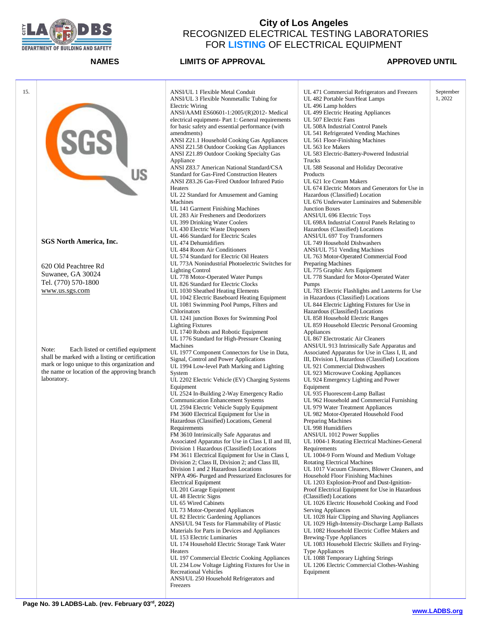

| 15. |                                                 |                                                                                         |                                                                                | September |
|-----|-------------------------------------------------|-----------------------------------------------------------------------------------------|--------------------------------------------------------------------------------|-----------|
|     |                                                 | ANSI/UL 1 Flexible Metal Conduit<br>ANSI/UL 3 Flexible Nonmetallic Tubing for           | UL 471 Commercial Refrigerators and Freezers<br>UL 482 Portable Sun/Heat Lamps | 1, 2022   |
|     |                                                 | Electric Wiring                                                                         | UL 496 Lamp holders                                                            |           |
|     |                                                 | ANSI/AAMI ES60601-1:2005/(R)2012- Medical                                               | UL 499 Electric Heating Appliances                                             |           |
|     |                                                 | electrical equipment- Part 1: General requirements                                      | UL 507 Electric Fans                                                           |           |
|     | SGS                                             | for basic safety and essential performance (with                                        | UL 508A Industrial Control Panels                                              |           |
|     |                                                 | amendments)                                                                             |                                                                                |           |
|     |                                                 | ANSI Z21.1 Household Cooking Gas Appliances                                             | UL 541 Refrigerated Vending Machines<br>UL 561 Floor-Finishing Machines        |           |
|     |                                                 |                                                                                         | UL 563 Ice Makers                                                              |           |
|     |                                                 | ANSI Z21.58 Outdoor Cooking Gas Appliances<br>ANSI Z21.89 Outdoor Cooking Specialty Gas | UL 583 Electric-Battery-Powered Industrial                                     |           |
|     |                                                 |                                                                                         | Trucks                                                                         |           |
|     |                                                 | Appliance<br>ANSI Z83.7 American National Standard/CSA                                  | UL 588 Seasonal and Holiday Decorative                                         |           |
|     | <b>US</b>                                       | <b>Standard for Gas-Fired Construction Heaters</b>                                      | Products                                                                       |           |
|     |                                                 | ANSI Z83.26 Gas-Fired Outdoor Infrared Patio                                            | UL 621 Ice Cream Makers                                                        |           |
|     |                                                 |                                                                                         | UL 674 Electric Motors and Generators for Use in                               |           |
|     |                                                 | Heaters                                                                                 |                                                                                |           |
|     |                                                 | UL 22 Standard for Amusement and Gaming                                                 | Hazardous (Classified) Location                                                |           |
|     |                                                 | Machines                                                                                | UL 676 Underwater Luminaires and Submersible                                   |           |
|     |                                                 | UL 141 Garment Finishing Machines                                                       | <b>Junction Boxes</b>                                                          |           |
|     |                                                 | UL 283 Air Fresheners and Deodorizers                                                   | ANSI/UL 696 Electric Toys                                                      |           |
|     |                                                 | UL 399 Drinking Water Coolers                                                           | UL 698A Industrial Control Panels Relating to                                  |           |
|     |                                                 | UL 430 Electric Waste Disposers                                                         | Hazardous (Classified) Locations                                               |           |
|     | <b>SGS North America, Inc.</b>                  | UL 466 Standard for Electric Scales                                                     | ANSI/UL 697 Toy Transformers                                                   |           |
|     |                                                 | UL 474 Dehumidifiers                                                                    | UL 749 Household Dishwashers                                                   |           |
|     |                                                 | UL 484 Room Air Conditioners                                                            | ANSI/UL 751 Vending Machines                                                   |           |
|     |                                                 | UL 574 Standard for Electric Oil Heaters                                                | UL 763 Motor-Operated Commercial Food                                          |           |
|     | 620 Old Peachtree Rd                            | UL 773A Nonindustrial Photoelectric Switches for                                        | <b>Preparing Machines</b>                                                      |           |
|     | Suwanee, GA 30024                               | <b>Lighting Control</b>                                                                 | UL 775 Graphic Arts Equipment                                                  |           |
|     | Tel. (770) 570-1800                             | UL 778 Motor-Operated Water Pumps<br>UL 826 Standard for Electric Clocks                | UL 778 Standard for Motor-Operated Water                                       |           |
|     |                                                 |                                                                                         | Pumps                                                                          |           |
|     | www.us.sgs.com                                  | UL 1030 Sheathed Heating Elements                                                       | UL 783 Electric Flashlights and Lanterns for Use                               |           |
|     |                                                 | UL 1042 Electric Baseboard Heating Equipment                                            | in Hazardous (Classified) Locations                                            |           |
|     |                                                 | UL 1081 Swimming Pool Pumps, Filters and                                                | UL 844 Electric Lighting Fixtures for Use in                                   |           |
|     |                                                 | Chlorinators                                                                            | Hazardous (Classified) Locations                                               |           |
|     |                                                 | UL 1241 junction Boxes for Swimming Pool                                                | UL 858 Household Electric Ranges                                               |           |
|     |                                                 | <b>Lighting Fixtures</b><br>UL 1740 Robots and Robotic Equipment                        | UL 859 Household Electric Personal Grooming                                    |           |
|     |                                                 | UL 1776 Standard for High-Pressure Cleaning                                             | Appliances                                                                     |           |
|     |                                                 |                                                                                         | UL 867 Electrostatic Air Cleaners                                              |           |
|     | Note:<br>Each listed or certified equipment     | Machines                                                                                | ANSI/UL 913 Intrinsically Safe Apparatus and                                   |           |
|     | shall be marked with a listing or certification | UL 1977 Component Connectors for Use in Data,                                           | Associated Apparatus for Use in Class I, II, and                               |           |
|     | mark or logo unique to this organization and    | Signal, Control and Power Applications                                                  | III, Division I, Hazardous (Classified) Locations                              |           |
|     | the name or location of the approving branch    | UL 1994 Low-level Path Marking and Lighting                                             | UL 921 Commercial Dishwashers                                                  |           |
|     | laboratory.                                     | System<br>UL 2202 Electric Vehicle (EV) Charging Systems                                | UL 923 Microwave Cooking Appliances<br>UL 924 Emergency Lighting and Power     |           |
|     |                                                 |                                                                                         | Equipment                                                                      |           |
|     |                                                 | Equipment                                                                               |                                                                                |           |
|     |                                                 | UL 2524 In-Building 2-Way Emergency Radio<br><b>Communication Enhancement Systems</b>   | UL 935 Fluorescent-Lamp Ballast<br>UL 962 Household and Commercial Furnishing  |           |
|     |                                                 | UL 2594 Electric Vehicle Supply Equipment                                               | UL 979 Water Treatment Appliances                                              |           |
|     |                                                 | FM 3600 Electrical Equipment for Use in                                                 | UL 982 Motor-Operated Household Food                                           |           |
|     |                                                 | Hazardous (Classified) Locations, General                                               | Preparing Machines                                                             |           |
|     |                                                 | Requirements                                                                            | UL 998 Humidifiers                                                             |           |
|     |                                                 | FM 3610 Intrinsically Safe Apparatus and                                                | ANSI/UL 1012 Power Supplies                                                    |           |
|     |                                                 | Associated Apparatus for Use in Class I, II and III,                                    | UL 1004-1 Rotating Electrical Machines-General                                 |           |
|     |                                                 | Division 1 Hazardous (Classified) Locations                                             | Requirements                                                                   |           |
|     |                                                 | FM 3611 Electrical Equipment for Use in Class I,                                        | UL 1004-9 Form Wound and Medium Voltage                                        |           |
|     |                                                 | Division 2; Class II, Division 2; and Class III,                                        | <b>Rotating Electrical Machines</b>                                            |           |
|     |                                                 | Division 1 and 2 Hazardous Locations                                                    | UL 1017 Vacuum Cleaners, Blower Cleaners, and                                  |           |
|     |                                                 | NFPA 496- Purged and Pressurized Enclosures for                                         | Household Floor Finishing Machines                                             |           |
|     |                                                 | <b>Electrical Equipment</b>                                                             | UL 1203 Explosion-Proof and Dust-Ignition-                                     |           |
|     |                                                 | UL 201 Garage Equipment                                                                 | Proof Electrical Equipment for Use in Hazardous                                |           |
|     |                                                 | UL 48 Electric Signs                                                                    | (Classified) Locations                                                         |           |
|     |                                                 | UL 65 Wired Cabinets                                                                    | UL 1026 Electric Household Cooking and Food                                    |           |
|     |                                                 | UL 73 Motor-Operated Appliances                                                         | <b>Serving Appliances</b>                                                      |           |
|     |                                                 | UL 82 Electric Gardening Appliances                                                     | UL 1028 Hair Clipping and Shaving Appliances                                   |           |
|     |                                                 | ANSI/UL 94 Tests for Flammability of Plastic                                            | UL 1029 High-Intensity-Discharge Lamp Ballasts                                 |           |
|     |                                                 | Materials for Parts in Devices and Appliances                                           | UL 1082 Household Electric Coffee Makers and                                   |           |
|     |                                                 | UL 153 Electric Luminaries                                                              | <b>Brewing-Type Appliances</b>                                                 |           |
|     |                                                 | UL 174 Household Electric Storage Tank Water                                            | UL 1083 Household Electric Skillets and Frying-                                |           |
|     |                                                 | Heaters                                                                                 | Type Appliances                                                                |           |
|     |                                                 | UL 197 Commercial Electric Cooking Appliances                                           | UL 1088 Temporary Lighting Strings                                             |           |
|     |                                                 | UL 234 Low Voltage Lighting Fixtures for Use in                                         | UL 1206 Electric Commercial Clothes-Washing                                    |           |
|     |                                                 | <b>Recreational Vehicles</b>                                                            | Equipment                                                                      |           |
|     |                                                 | ANSI/UL 250 Household Refrigerators and                                                 |                                                                                |           |
|     |                                                 | Freezers                                                                                |                                                                                |           |
|     |                                                 |                                                                                         |                                                                                |           |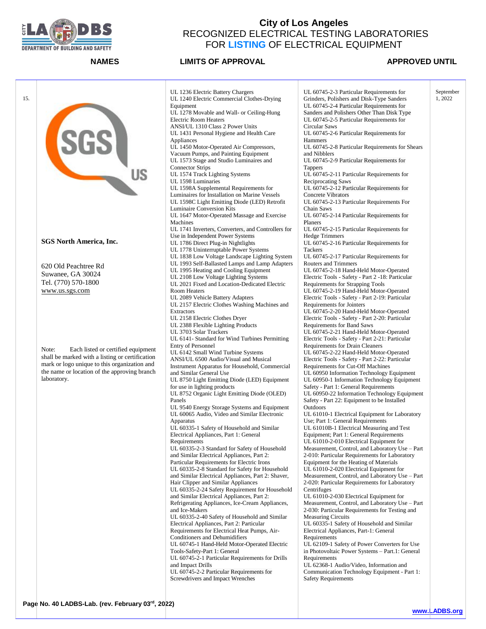